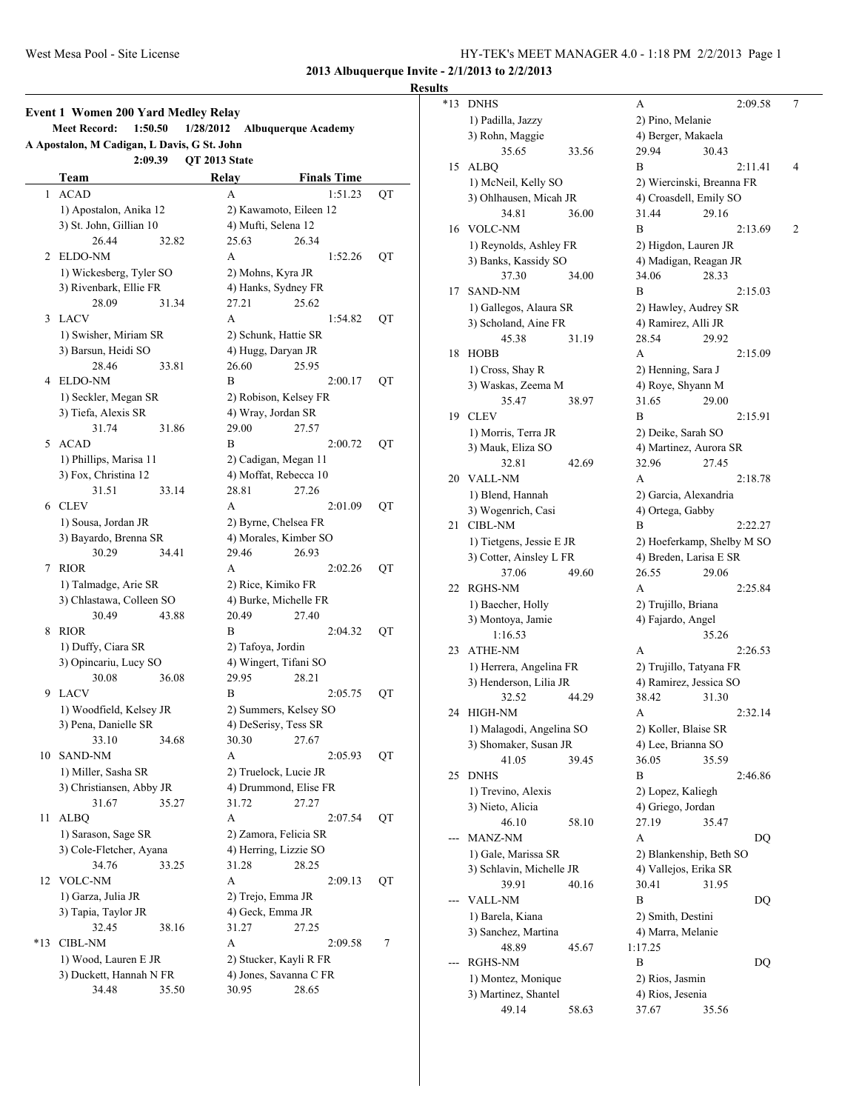**Results**

|              | A Apostalon, M Cadigan, L Davis, G St. John |                   |                        |    |
|--------------|---------------------------------------------|-------------------|------------------------|----|
|              | 2:09.39                                     | OT 2013 State     |                        |    |
|              | Team                                        | Relay             | <b>Finals Time</b>     |    |
| $\mathbf{1}$ | <b>ACAD</b>                                 | А                 | 1:51.23                | QT |
|              | 1) Apostalon, Anika 12                      |                   | 2) Kawamoto, Eileen 12 |    |
|              | 3) St. John, Gillian 10                     |                   | 4) Mufti, Selena 12    |    |
|              | 26.44<br>32.82                              | 25.63             | 26.34                  |    |
| 2            | ELDO-NM                                     | А                 | 1:52.26                | QT |
|              | 1) Wickesberg, Tyler SO                     |                   | 2) Mohns, Kyra JR      |    |
|              | 3) Rivenbark, Ellie FR                      |                   | 4) Hanks, Sydney FR    |    |
|              | 28.09<br>31.34                              | 27.21             | 25.62                  |    |
| 3            | <b>LACV</b>                                 | A                 | 1:54.82                | QT |
|              | 1) Swisher, Miriam SR                       |                   | 2) Schunk, Hattie SR   |    |
|              | 3) Barsun, Heidi SO                         |                   | 4) Hugg, Daryan JR     |    |
|              | 28.46<br>33.81                              | 26.60             | 25.95                  |    |
|              | 4 ELDO-NM                                   | B                 | 2:00.17                | QT |
|              | 1) Seckler, Megan SR                        |                   | 2) Robison, Kelsey FR  |    |
|              | 3) Tiefa, Alexis SR                         |                   | 4) Wray, Jordan SR     |    |
|              | 31.74<br>31.86                              | 29.00             | 27.57                  |    |
| 5            | <b>ACAD</b>                                 | B                 | 2:00.72                | QT |
|              | 1) Phillips, Marisa 11                      |                   | 2) Cadigan, Megan 11   |    |
|              | 3) Fox, Christina 12                        |                   | 4) Moffat, Rebecca 10  |    |
|              | 31.51<br>33.14                              | 28.81             | 27.26                  |    |
|              | 6 CLEV                                      | А                 | 2:01.09                | QT |
|              | 1) Sousa, Jordan JR                         |                   | 2) Byrne, Chelsea FR   |    |
|              | 3) Bayardo, Brenna SR                       |                   | 4) Morales, Kimber SO  |    |
|              | 30.29<br>34.41                              | 29.46             | 26.93                  |    |
| 7            | <b>RIOR</b>                                 | A                 | 2:02.26                | QT |
|              | 1) Talmadge, Arie SR                        |                   | 2) Rice, Kimiko FR     |    |
|              | 3) Chlastawa, Colleen SO                    |                   | 4) Burke, Michelle FR  |    |
|              | 30.49<br>43.88                              | 20.49             | 27.40                  |    |
| 8            | <b>RIOR</b>                                 | В                 | 2:04.32                | QT |
|              | 1) Duffy, Ciara SR                          | 2) Tafoya, Jordin |                        |    |
|              | 3) Opincariu, Lucy SO                       |                   | 4) Wingert, Tifani SO  |    |
|              | 30.08<br>36.08                              | 29.95             | 28.21                  |    |
| 9            | <b>LACV</b>                                 | B                 | 2:05.75                | QT |
|              | 1) Woodfield, Kelsey JR                     |                   | 2) Summers, Kelsey SO  |    |
|              | 3) Pena, Danielle SR                        |                   | 4) DeSerisy, Tess SR   |    |
|              | 33.10<br>34.68                              | 30.30             | 27.67                  |    |
| 10           | <b>SAND-NM</b>                              | А                 | 2:05.93                | QT |
|              | 1) Miller, Sasha SR                         |                   | 2) Truelock, Lucie JR  |    |
|              | 3) Christiansen, Abby JR                    |                   | 4) Drummond, Elise FR  |    |
|              | 31.67<br>35.27                              | 31.72             | 27.27                  |    |
| 11           | <b>ALBQ</b>                                 | А                 | 2:07.54                | QT |
|              | 1) Sarason, Sage SR                         |                   | 2) Zamora, Felicia SR  |    |
|              | 3) Cole-Fletcher, Ayana                     |                   | 4) Herring, Lizzie SO  |    |
|              | 34.76<br>33.25                              | 31.28             | 28.25                  |    |
| 12           | <b>VOLC-NM</b>                              | А                 | 2:09.13                | QT |
|              | 1) Garza, Julia JR                          |                   | 2) Trejo, Emma JR      |    |
|              | 3) Tapia, Taylor JR                         |                   | 4) Geck, Emma JR       |    |
|              | 32.45<br>38.16                              | 31.27             | 27.25                  |    |
| *13          | <b>CIBL-NM</b>                              | А                 | 2:09.58                | 7  |
|              | 1) Wood, Lauren E JR                        |                   | 2) Stucker, Kayli R FR |    |
|              |                                             |                   |                        |    |
|              | 3) Duckett, Hannah N FR                     |                   | 4) Jones, Savanna C FR |    |

| *13 | <b>DNHS</b>               | 2:09.58<br>А                   | 7 |
|-----|---------------------------|--------------------------------|---|
|     | 1) Padilla, Jazzy         | 2) Pino, Melanie               |   |
|     | 3) Rohn, Maggie           | 4) Berger, Makaela             |   |
|     | 35.65<br>33.56            | 29.94<br>30.43                 |   |
| 15  | <b>ALBQ</b>               | B<br>2:11.41                   | 4 |
|     | 1) McNeil, Kelly SO       | 2) Wiercinski, Breanna FR      |   |
|     | 3) Ohlhausen, Micah JR    | 4) Croasdell, Emily SO         |   |
|     | 34.81<br>36.00            | 31.44<br>29.16                 |   |
| 16  | <b>VOLC-NM</b>            | B<br>2:13.69                   | 2 |
|     | 1) Reynolds, Ashley FR    | 2) Higdon, Lauren JR           |   |
|     | 3) Banks, Kassidy SO      | 4) Madigan, Reagan JR          |   |
|     | 37.30<br>34.00            | 28.33<br>34.06                 |   |
| 17  | <b>SAND-NM</b>            | B<br>2:15.03                   |   |
|     | 1) Gallegos, Alaura SR    | 2) Hawley, Audrey SR           |   |
|     | 3) Scholand, Aine FR      | 4) Ramirez, Alli JR            |   |
|     | 45.38<br>31.19            | 28.54<br>29.92                 |   |
| 18  | <b>HOBB</b>               | А<br>2:15.09                   |   |
|     | 1) Cross, Shay R          | 2) Henning, Sara J             |   |
|     | 3) Waskas, Zeema M        | 4) Roye, Shyann M              |   |
|     | 35.47<br>38.97            | 31.65<br>29.00                 |   |
| 19  | <b>CLEV</b>               | В<br>2:15.91                   |   |
|     | 1) Morris, Terra JR       | 2) Deike, Sarah SO             |   |
|     | 3) Mauk, Eliza SO         | 4) Martinez, Aurora SR         |   |
|     | 32.81<br>42.69            | 27.45<br>32.96                 |   |
| 20  | <b>VALL-NM</b>            | A<br>2:18.78                   |   |
|     | 1) Blend, Hannah          | 2) Garcia, Alexandria          |   |
|     | 3) Wogenrich, Casi        | 4) Ortega, Gabby               |   |
| 21  | <b>CIBL-NM</b>            | B<br>2:22.27                   |   |
|     | 1) Tietgens, Jessie E JR  | 2) Hoeferkamp, Shelby M SO     |   |
|     | 3) Cotter, Ainsley L FR   | 4) Breden, Larisa E SR         |   |
| 22  | 37.06<br>49.60<br>RGHS-NM | 26.55<br>29.06<br>A<br>2:25.84 |   |
|     | 1) Baecher, Holly         | 2) Trujillo, Briana            |   |
|     | 3) Montoya, Jamie         | 4) Fajardo, Angel              |   |
|     | 1:16.53                   | 35.26                          |   |
| 23  | <b>ATHE-NM</b>            | 2:26.53<br>А                   |   |
|     | 1) Herrera, Angelina FR   | 2) Trujillo, Tatyana FR        |   |
|     | 3) Henderson, Lilia JR    | 4) Ramirez, Jessica SO         |   |
|     | 32.52<br>44.29            | 38.42<br>31.30                 |   |
| 24  | <b>HIGH-NM</b>            | А<br>2:32.14                   |   |
|     | 1) Malagodi, Angelina SO  | 2) Koller, Blaise SR           |   |
|     | 3) Shomaker, Susan JR     | 4) Lee, Brianna SO             |   |
|     | 41.05<br>39.45            | 36.05<br>35.59                 |   |
| 25  | <b>DNHS</b>               | B<br>2:46.86                   |   |
|     | 1) Trevino, Alexis        | 2) Lopez, Kaliegh              |   |
|     | 3) Nieto, Alicia          | 4) Griego, Jordan              |   |
|     | 46.10<br>58.10            | 27.19<br>35.47                 |   |
|     | MANZ-NM                   | A<br>DQ                        |   |
|     | 1) Gale, Marissa SR       | 2) Blankenship, Beth SO        |   |
|     | 3) Schlavin, Michelle JR  | 4) Vallejos, Erika SR          |   |
|     | 39.91<br>40.16            | 30.41<br>31.95                 |   |
|     | <b>VALL-NM</b>            | B<br>DQ                        |   |
|     | 1) Barela, Kiana          | 2) Smith, Destini              |   |
|     | 3) Sanchez, Martina       | 4) Marra, Melanie              |   |
|     | 48.89<br>45.67            | 1:17.25                        |   |
|     | RGHS-NM                   | B<br>DQ                        |   |
|     | 1) Montez, Monique        | 2) Rios, Jasmin                |   |
|     | 3) Martinez, Shantel      | 4) Rios, Jesenia               |   |
|     | 49.14<br>58.63            | 37.67<br>35.56                 |   |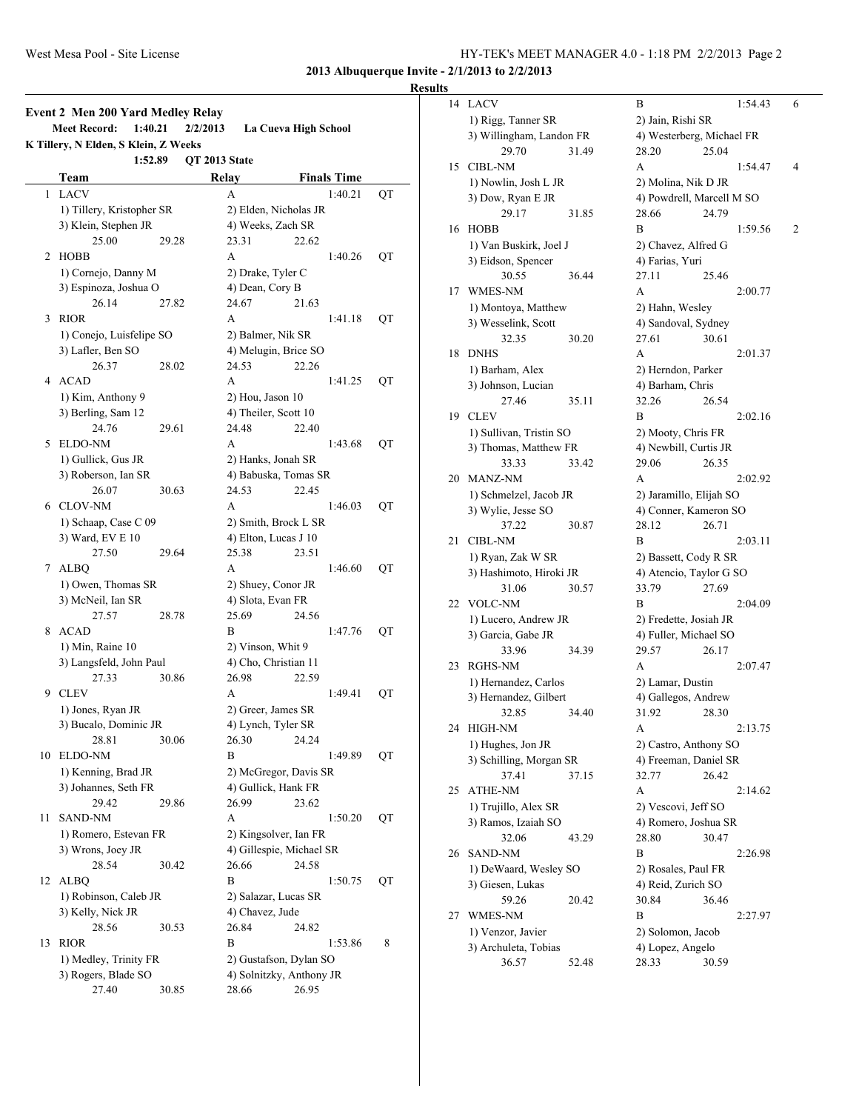#### **Results**

|    | <b>Event 2 Men 200 Yard Medley Relay</b><br><b>Meet Record:</b><br>1:40.21<br>K Tillery, N Elden, S Klein, Z Weeks |       | 2/2/2013           | La Cueva High School     |    |
|----|--------------------------------------------------------------------------------------------------------------------|-------|--------------------|--------------------------|----|
|    | 1:52.89                                                                                                            |       | QT 2013 State      |                          |    |
|    | Team                                                                                                               |       | Relay              | <b>Finals Time</b>       |    |
| 1  | <b>LACV</b>                                                                                                        |       | A                  | 1:40.21                  | QT |
|    | 1) Tillery, Kristopher SR                                                                                          |       |                    | 2) Elden, Nicholas JR    |    |
|    | 3) Klein, Stephen JR                                                                                               |       |                    | 4) Weeks, Zach SR        |    |
|    | 25.00                                                                                                              | 29.28 | 23.31              | 22.62                    |    |
| 2  | <b>HOBB</b>                                                                                                        |       | A                  | 1:40.26                  | QT |
|    | 1) Cornejo, Danny M                                                                                                |       | 2) Drake, Tyler C  |                          |    |
|    | 3) Espinoza, Joshua O                                                                                              |       | 4) Dean, Cory B    |                          |    |
|    | 26.14                                                                                                              | 27.82 | 24.67              | 21.63                    |    |
| 3  | <b>RIOR</b>                                                                                                        |       | A                  | 1:41.18                  | QT |
|    | 1) Conejo, Luisfelipe SO                                                                                           |       | 2) Balmer, Nik SR  |                          |    |
|    | 3) Lafler, Ben SO                                                                                                  |       |                    | 4) Melugin, Brice SO     |    |
|    |                                                                                                                    |       |                    |                          |    |
|    | 26.37                                                                                                              | 28.02 | 24.53              | 22.26                    |    |
| 4  | <b>ACAD</b>                                                                                                        |       | A                  | 1:41.25                  | QT |
|    | 1) Kim, Anthony 9                                                                                                  |       | 2) Hou, Jason 10   |                          |    |
|    | 3) Berling, Sam 12                                                                                                 |       |                    | 4) Theiler, Scott 10     |    |
|    | 24.76                                                                                                              | 29.61 | 24.48              | 22.40                    |    |
| 5  | <b>ELDO-NM</b>                                                                                                     |       | A                  | 1:43.68                  | QT |
|    | 1) Gullick, Gus JR                                                                                                 |       |                    | 2) Hanks, Jonah SR       |    |
|    | 3) Roberson, Ian SR                                                                                                |       |                    | 4) Babuska, Tomas SR     |    |
|    | 26.07                                                                                                              | 30.63 | 24.53              | 22.45                    |    |
|    | 6 CLOV-NM                                                                                                          |       | A                  | 1:46.03                  | QT |
|    | 1) Schaap, Case C 09                                                                                               |       |                    | 2) Smith, Brock L SR     |    |
|    | 3) Ward, EV E 10                                                                                                   |       |                    | 4) Elton, Lucas J 10     |    |
|    |                                                                                                                    |       |                    |                          |    |
|    | 27.50                                                                                                              | 29.64 | 25.38              | 23.51                    |    |
|    | 7 ALBQ                                                                                                             |       | A                  | 1:46.60                  | QT |
|    | 1) Owen, Thomas SR                                                                                                 |       |                    | 2) Shuey, Conor JR       |    |
|    | 3) McNeil, Ian SR                                                                                                  |       | 4) Slota, Evan FR  |                          |    |
|    | 27.57                                                                                                              | 28.78 | 25.69              | 24.56                    |    |
| 8  | <b>ACAD</b>                                                                                                        |       | B                  | 1:47.76                  | QT |
|    | 1) Min, Raine 10                                                                                                   |       | 2) Vinson, Whit 9  |                          |    |
|    | 3) Langsfeld, John Paul                                                                                            |       |                    | 4) Cho, Christian 11     |    |
|    | 27.33                                                                                                              | 30.86 | 26.98              | 22.59                    |    |
| 9  | <b>CLEV</b>                                                                                                        |       | А                  | 1:49.41                  | QT |
|    | 1) Jones, Ryan JR                                                                                                  |       |                    | 2) Greer, James SR       |    |
|    | 3) Bucalo, Dominic JR                                                                                              |       | 4) Lynch, Tyler SR |                          |    |
|    | 28.81                                                                                                              | 30.06 | 26.30              | 24.24                    |    |
|    | <b>ELDO-NM</b>                                                                                                     |       | B                  | 1:49.89                  |    |
| 10 |                                                                                                                    |       |                    |                          | QT |
|    | 1) Kenning, Brad JR                                                                                                |       |                    | 2) McGregor, Davis SR    |    |
|    | 3) Johannes, Seth FR                                                                                               |       |                    | 4) Gullick, Hank FR      |    |
|    | 29.42                                                                                                              | 29.86 | 26.99              | 23.62                    |    |
| 11 | SAND-NM                                                                                                            |       | A                  | 1:50.20                  | QT |
|    | 1) Romero, Estevan FR                                                                                              |       |                    | 2) Kingsolver, Ian FR    |    |
|    | 3) Wrons, Joey JR                                                                                                  |       |                    | 4) Gillespie, Michael SR |    |
|    | 28.54                                                                                                              | 30.42 | 26.66              | 24.58                    |    |
| 12 | <b>ALBQ</b>                                                                                                        |       | B                  | 1:50.75                  | QT |
|    | 1) Robinson, Caleb JR                                                                                              |       |                    | 2) Salazar, Lucas SR     |    |
|    | 3) Kelly, Nick JR                                                                                                  |       | 4) Chavez, Jude    |                          |    |
|    |                                                                                                                    |       |                    |                          |    |
|    | 28.56                                                                                                              | 30.53 | 26.84              | 24.82                    |    |
| 13 | <b>RIOR</b>                                                                                                        |       | B                  | 1:53.86                  | 8  |
|    | 1) Medley, Trinity FR                                                                                              |       |                    | 2) Gustafson, Dylan SO   |    |
|    | 3) Rogers, Blade SO                                                                                                |       |                    | 4) Solnitzky, Anthony JR |    |
|    | 27.40                                                                                                              | 30.85 | 28.66              | 26.95                    |    |

| 14 | <b>LACV</b>              |       | B                         |       | 1:54.43 | 6 |
|----|--------------------------|-------|---------------------------|-------|---------|---|
|    | 1) Rigg, Tanner SR       |       | 2) Jain, Rishi SR         |       |         |   |
|    | 3) Willingham, Landon FR |       | 4) Westerberg, Michael FR |       |         |   |
|    | 29.70                    | 31.49 | 28.20                     | 25.04 |         |   |
| 15 | <b>CIBL-NM</b>           |       | A                         |       | 1:54.47 | 4 |
|    | 1) Nowlin, Josh L JR     |       | 2) Molina, Nik D JR       |       |         |   |
|    | 3) Dow, Ryan E JR        |       | 4) Powdrell, Marcell M SO |       |         |   |
|    | 29.17                    | 31.85 | 28.66                     | 24.79 |         |   |
| 16 | <b>HOBB</b>              |       | B                         |       | 1:59.56 | 2 |
|    | 1) Van Buskirk, Joel J   |       | 2) Chavez, Alfred G       |       |         |   |
|    | 3) Eidson, Spencer       |       | 4) Farias, Yuri           |       |         |   |
|    | 30.55                    | 36.44 | 27.11                     | 25.46 |         |   |
| 17 | WMES-NM                  |       | A                         |       | 2:00.77 |   |
|    | 1) Montoya, Matthew      |       | 2) Hahn, Wesley           |       |         |   |
|    | 3) Wesselink, Scott      |       | 4) Sandoval, Sydney       |       |         |   |
|    | 32.35                    | 30.20 | 27.61                     | 30.61 |         |   |
| 18 | <b>DNHS</b>              |       | A                         |       | 2:01.37 |   |
|    | 1) Barham, Alex          |       | 2) Herndon, Parker        |       |         |   |
|    | 3) Johnson, Lucian       |       | 4) Barham, Chris          |       |         |   |
|    | 27.46                    | 35.11 | 32.26                     | 26.54 |         |   |
| 19 | <b>CLEV</b>              |       | B                         |       | 2:02.16 |   |
|    | 1) Sullivan, Tristin SO  |       | 2) Mooty, Chris FR        |       |         |   |
|    | 3) Thomas, Matthew FR    |       | 4) Newbill, Curtis JR     |       |         |   |
|    | 33.33                    | 33.42 | 29.06                     | 26.35 |         |   |
| 20 | MANZ-NM                  |       | A                         |       | 2:02.92 |   |
|    | 1) Schmelzel, Jacob JR   |       | 2) Jaramillo, Elijah SO   |       |         |   |
|    | 3) Wylie, Jesse SO       |       | 4) Conner, Kameron SO     |       |         |   |
|    | 37.22                    | 30.87 | 28.12                     | 26.71 |         |   |
| 21 | <b>CIBL-NM</b>           |       | B                         |       | 2:03.11 |   |
|    | 1) Ryan, Zak W SR        |       | 2) Bassett, Cody R SR     |       |         |   |
|    | 3) Hashimoto, Hiroki JR  |       | 4) Atencio, Taylor G SO   |       |         |   |
|    | 31.06                    | 30.57 | 33.79                     | 27.69 |         |   |
| 22 | VOLC-NM                  |       | В                         |       | 2:04.09 |   |
|    | 1) Lucero, Andrew JR     |       | 2) Fredette, Josiah JR    |       |         |   |
|    | 3) Garcia, Gabe JR       |       | 4) Fuller, Michael SO     |       |         |   |
|    | 33.96                    | 34.39 | 29.57                     | 26.17 |         |   |
| 23 | RGHS-NM                  |       | A                         |       | 2:07.47 |   |
|    | 1) Hernandez, Carlos     |       | 2) Lamar, Dustin          |       |         |   |
|    | 3) Hernandez, Gilbert    |       | 4) Gallegos, Andrew       |       |         |   |
|    |                          |       |                           |       |         |   |
| 24 | 32.85                    | 34.40 | 31.92                     | 28.30 |         |   |
|    | HIGH-NM                  |       | A                         |       | 2:13.75 |   |
|    | 1) Hughes, Jon JR        |       | 2) Castro, Anthony SO     |       |         |   |
|    | 3) Schilling, Morgan SR  |       | 4) Freeman, Daniel SR     |       |         |   |
|    | 37.41                    | 37.15 | 32.77                     | 26.42 |         |   |
| 25 | ATHE-NM                  |       | A                         |       | 2:14.62 |   |
|    | 1) Trujillo, Alex SR     |       | 2) Vescovi, Jeff SO       |       |         |   |
|    | 3) Ramos, Izaiah SO      |       | 4) Romero, Joshua SR      |       |         |   |
|    | 32.06                    | 43.29 | 28.80                     | 30.47 |         |   |
| 26 | <b>SAND-NM</b>           |       | B                         |       | 2:26.98 |   |
|    | 1) DeWaard, Wesley SO    |       | 2) Rosales, Paul FR       |       |         |   |
|    | 3) Giesen, Lukas         |       | 4) Reid, Zurich SO        |       |         |   |
|    | 59.26                    | 20.42 | 30.84                     | 36.46 |         |   |
| 27 | WMES-NM                  |       | B                         |       | 2:27.97 |   |
|    | 1) Venzor, Javier        |       | 2) Solomon, Jacob         |       |         |   |
|    | 3) Archuleta, Tobias     |       | 4) Lopez, Angelo          |       |         |   |
|    | 36.57                    | 52.48 | 28.33                     | 30.59 |         |   |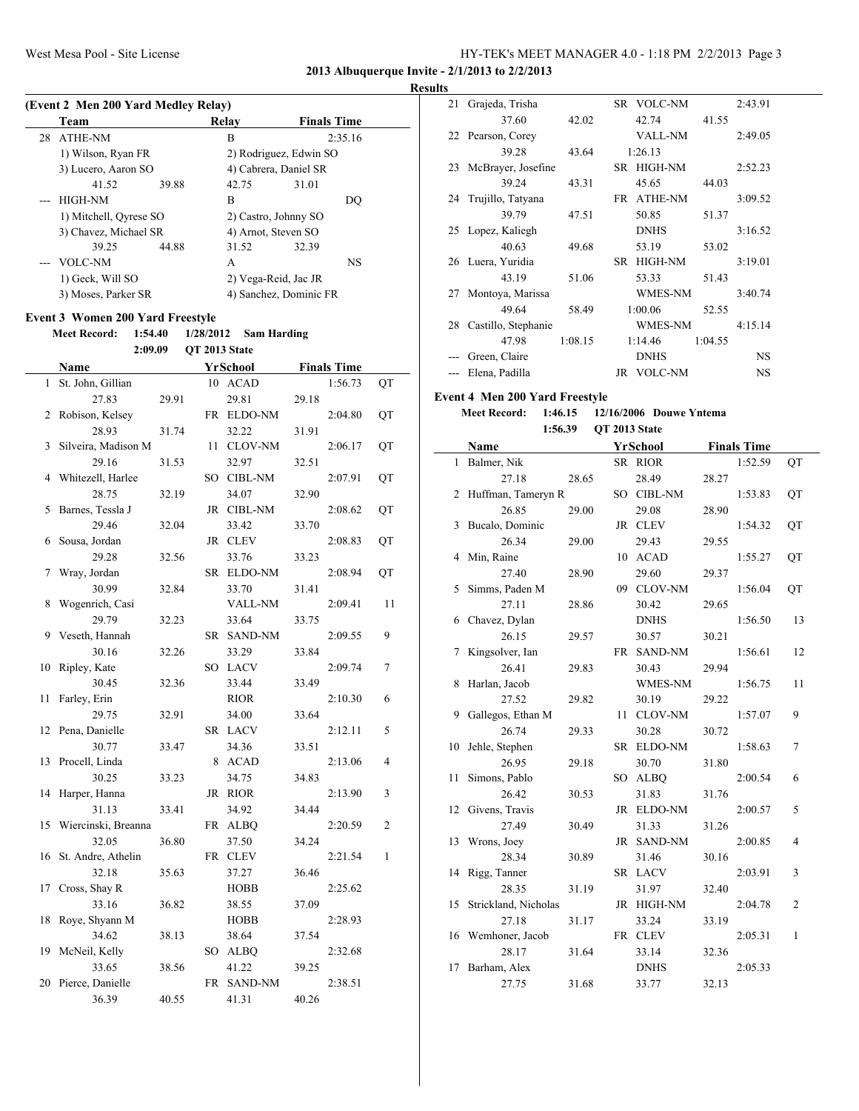#### **Results**

|     | (Event 2 Men 200 Yard Medley Relay)     |       |               |                        |       |                    |                |
|-----|-----------------------------------------|-------|---------------|------------------------|-------|--------------------|----------------|
|     | Team                                    |       |               | Relay                  |       | <b>Finals Time</b> |                |
|     | 28 ATHE-NM                              |       |               | B                      |       | 2:35.16            |                |
|     | 1) Wilson, Ryan FR                      |       |               | 2) Rodriguez, Edwin SO |       |                    |                |
|     | 3) Lucero, Aaron SO                     |       |               | 4) Cabrera, Daniel SR  |       |                    |                |
|     | 41.52                                   | 39.88 |               | 42.75                  | 31.01 |                    |                |
| --- | <b>HIGH-NM</b>                          |       |               | B                      |       | DQ                 |                |
|     | 1) Mitchell, Qyrese SO                  |       |               | 2) Castro, Johnny SO   |       |                    |                |
|     | 3) Chavez, Michael SR                   |       |               | 4) Arnot, Steven SO    |       |                    |                |
|     | 39.25                                   | 44.88 |               | 31.52                  | 32.39 |                    |                |
|     | VOLC-NM                                 |       |               | A                      |       | NS                 |                |
|     | 1) Geck, Will SO                        |       |               | 2) Vega-Reid, Jac JR   |       |                    |                |
|     | 3) Moses, Parker SR                     |       |               | 4) Sanchez, Dominic FR |       |                    |                |
|     | <b>Event 3 Women 200 Yard Freestyle</b> |       |               |                        |       |                    |                |
|     | <b>Meet Record:</b><br>1:54.40          |       | 1/28/2012     | <b>Sam Harding</b>     |       |                    |                |
|     | 2:09.09                                 |       | QT 2013 State |                        |       |                    |                |
|     | Name                                    |       |               | YrSchool               |       | <b>Finals Time</b> |                |
| 1   | St. John, Gillian                       |       |               | 10 ACAD                |       | 1:56.73            | QT             |
|     |                                         |       |               |                        | 29.18 |                    |                |
|     | 27.83                                   | 29.91 |               | 29.81                  |       |                    |                |
| 2   | Robison, Kelsey                         |       |               | FR ELDO-NM             |       | 2:04.80            | QT             |
|     | 28.93                                   | 31.74 |               | 32.22                  | 31.91 |                    |                |
| 3   | Silveira, Madison M                     |       |               | 11 CLOV-NM             |       | 2:06.17            | QT             |
|     | 29.16                                   | 31.53 |               | 32.97                  | 32.51 |                    |                |
| 4   | Whitezell, Harlee                       |       |               | SO CIBL-NM             |       | 2:07.91            | QT             |
|     | 28.75                                   | 32.19 |               | 34.07                  | 32.90 |                    |                |
| 5   | Barnes, Tessla J                        |       |               | JR CIBL-NM             |       | 2:08.62            | QT             |
|     | 29.46                                   | 32.04 |               | 33.42                  | 33.70 |                    |                |
| 6   | Sousa, Jordan                           |       |               | JR CLEV                |       | 2:08.83            | QT             |
|     | 29.28                                   | 32.56 |               | 33.76                  | 33.23 |                    |                |
| 7   | Wray, Jordan                            |       |               | SR ELDO-NM             |       | 2:08.94            | QT             |
|     | 30.99                                   | 32.84 |               | 33.70                  | 31.41 |                    |                |
| 8   | Wogenrich, Casi                         |       |               | VALL-NM                |       | 2:09.41            | 11             |
|     | 29.79                                   | 32.23 |               | 33.64                  | 33.75 |                    |                |
| 9   | Veseth, Hannah                          |       |               | SR SAND-NM             |       | 2:09.55            | 9              |
|     | 30.16                                   | 32.26 |               | 33.29                  | 33.84 |                    |                |
| 10  | Ripley, Kate                            |       |               | SO LACV                |       | 2:09.74            | 7              |
|     | 30.45                                   | 32.36 |               | 33.44                  | 33.49 |                    |                |
| 11  | Farley, Erin                            |       |               | <b>RIOR</b>            |       | 2:10.30            | 6              |
|     | 29.75<br>12 Pena, Danielle              | 32.91 |               | 34.00                  | 33.64 |                    |                |
|     |                                         |       |               | SR LACV                |       | 2:12.11            | 5              |
| 13  | 30.77<br>Procell, Linda                 | 33.47 |               | 34.36                  | 33.51 |                    | $\overline{4}$ |
|     | 30.25                                   | 33.23 |               | 8 ACAD<br>34.75        |       | 2:13.06            |                |
| 14  | Harper, Hanna                           |       |               | JR RIOR                | 34.83 | 2:13.90            | 3              |
|     | 31.13                                   |       |               | 34.92                  |       |                    |                |
| 15  | Wiercinski, Breanna                     | 33.41 |               | FR ALBQ                | 34.44 | 2:20.59            | 2              |
|     | 32.05                                   | 36.80 |               |                        |       |                    |                |
| 16  | St. Andre, Athelin                      |       |               | 37.50<br>FR CLEV       | 34.24 | 2:21.54            | 1              |
|     | 32.18                                   |       |               | 37.27                  |       |                    |                |
|     | Cross, Shay R                           | 35.63 |               | <b>HOBB</b>            | 36.46 | 2:25.62            |                |
| 17  | 33.16                                   |       |               |                        |       |                    |                |
|     |                                         | 36.82 |               | 38.55                  | 37.09 |                    |                |
| 18  | Roye, Shyann M<br>34.62                 |       |               | HOBB<br>38.64          |       | 2:28.93            |                |
| 19  | McNeil, Kelly                           | 38.13 |               | SO ALBQ                | 37.54 | 2:32.68            |                |
|     | 33.65                                   |       |               | 41.22                  |       |                    |                |
| 20  | Pierce, Danielle                        | 38.56 |               |                        | 39.25 | 2:38.51            |                |
|     |                                         |       |               | FR SAND-NM             | 40.26 |                    |                |
|     | 36.39                                   | 40.55 |               | 41.31                  |       |                    |                |

| 21 | Grajeda, Trisha      |         | SR VOLC-NM           |         | 2:43.91   |  |
|----|----------------------|---------|----------------------|---------|-----------|--|
|    | 37.60                | 42.02   | 42.74                | 41.55   |           |  |
|    | 22 Pearson, Corey    |         | VALL-NM              |         | 2:49.05   |  |
|    | 39.28                | 43.64   | 1:26.13              |         |           |  |
| 23 | McBrayer, Josefine   |         | SR HIGH-NM           |         | 2:52.23   |  |
|    | 39.24                | 43.31   | 45.65                | 44.03   |           |  |
|    | 24 Trujillo, Tatyana |         | ATHE-NM<br>FR        |         | 3:09.52   |  |
|    | 39.79                | 47.51   | 50.85                | 51.37   |           |  |
|    | 25 Lopez, Kaliegh    |         | <b>DNHS</b>          |         | 3:16.52   |  |
|    | 40.63                | 49.68   | 53.19                | 53.02   |           |  |
|    | 26 Luera, Yuridia    |         | <b>HIGH-NM</b><br>SR |         | 3:19.01   |  |
|    | 43.19                | 51.06   | 53.33                | 51.43   |           |  |
| 27 | Montoya, Marissa     |         | WMES-NM              |         | 3:40.74   |  |
|    | 49.64                | 58.49   | 1:00.06              | 52.55   |           |  |
| 28 | Castillo, Stephanie  |         | WMES-NM              |         | 4:15.14   |  |
|    | 47.98                | 1:08.15 | 1:14.46              | 1:04.55 |           |  |
|    | Green, Claire        |         | <b>DNHS</b>          |         | <b>NS</b> |  |
|    | Elena, Padilla       |         | <b>VOLC-NM</b><br>JR |         | NS        |  |
|    |                      |         |                      |         |           |  |

#### **Event 4 Men 200 Yard Freestyle**

**Meet Record: 1:46.15 12/16/2006 Douwe Yntema 1:56.39 QT 2013 State**

|    | Name                 |       |     | YrSchool       |       | <b>Finals Time</b> |                |
|----|----------------------|-------|-----|----------------|-------|--------------------|----------------|
| 1  | Balmer, Nik          |       |     | SR RIOR        |       | 1:52.59            | QT             |
|    | 27.18                | 28.65 |     | 28.49          | 28.27 |                    |                |
| 2  | Huffman, Tameryn R   |       |     | SO CIBL-NM     |       | 1:53.83            | QT             |
|    | 26.85                | 29.00 |     | 29.08          | 28.90 |                    |                |
| 3  | Bucalo, Dominic      |       |     | JR CLEV        |       | 1:54.32            | QT             |
|    | 26.34                | 29.00 |     | 29.43          | 29.55 |                    |                |
| 4  | Min, Raine           |       | 10  | <b>ACAD</b>    |       | 1:55.27            | QT             |
|    | 27.40                | 28.90 |     | 29.60          | 29.37 |                    |                |
| 5  | Simms, Paden M       |       | 09. | <b>CLOV-NM</b> |       | 1:56.04            | QT             |
|    | 27.11                | 28.86 |     | 30.42          | 29.65 |                    |                |
|    | 6 Chavez, Dylan      |       |     | <b>DNHS</b>    |       | 1:56.50            | 13             |
|    | 26.15                | 29.57 |     | 30.57          | 30.21 |                    |                |
| 7  | Kingsolver, Ian      |       |     | FR SAND-NM     |       | 1:56.61            | 12             |
|    | 26.41                | 29.83 |     | 30.43          | 29.94 |                    |                |
| 8  | Harlan, Jacob        |       |     | <b>WMES-NM</b> |       | 1:56.75            | 11             |
|    | 27.52                | 29.82 |     | 30.19          | 29.22 |                    |                |
| 9  | Gallegos, Ethan M    |       | 11  | <b>CLOV-NM</b> |       | 1:57.07            | 9              |
|    | 26.74                | 29.33 |     | 30.28          | 30.72 |                    |                |
| 10 | Jehle, Stephen       |       |     | SR ELDO-NM     |       | 1:58.63            | 7              |
|    | 26.95                | 29.18 |     | 30.70          | 31.80 |                    |                |
| 11 | Simons, Pablo        |       | SO  | <b>ALBQ</b>    |       | 2:00.54            | 6              |
|    | 26.42                | 30.53 |     | 31.83          | 31.76 |                    |                |
| 12 | Givens, Travis       |       |     | JR ELDO-NM     |       | 2:00.57            | 5              |
|    | 27.49                | 30.49 |     | 31.33          | 31.26 |                    |                |
| 13 | Wrons, Joey          |       |     | JR SAND-NM     |       | 2:00.85            | $\overline{4}$ |
|    | 28.34                | 30.89 |     | 31.46          | 30.16 |                    |                |
| 14 | Rigg, Tanner         |       |     | SR LACV        |       | 2:03.91            | 3              |
|    | 28.35                | 31.19 |     | 31.97          | 32.40 |                    |                |
| 15 | Strickland, Nicholas |       |     | JR HIGH-NM     |       | 2:04.78            | $\overline{c}$ |
|    | 27.18                | 31.17 |     | 33.24          | 33.19 |                    |                |
| 16 | Wemhoner, Jacob      |       |     | FR CLEV        |       | 2:05.31            | $\mathbf{1}$   |
|    | 28.17                | 31.64 |     | 33.14          | 32.36 |                    |                |
| 17 | Barham, Alex         |       |     | <b>DNHS</b>    |       | 2:05.33            |                |
|    | 27.75                | 31.68 |     | 33.77          | 32.13 |                    |                |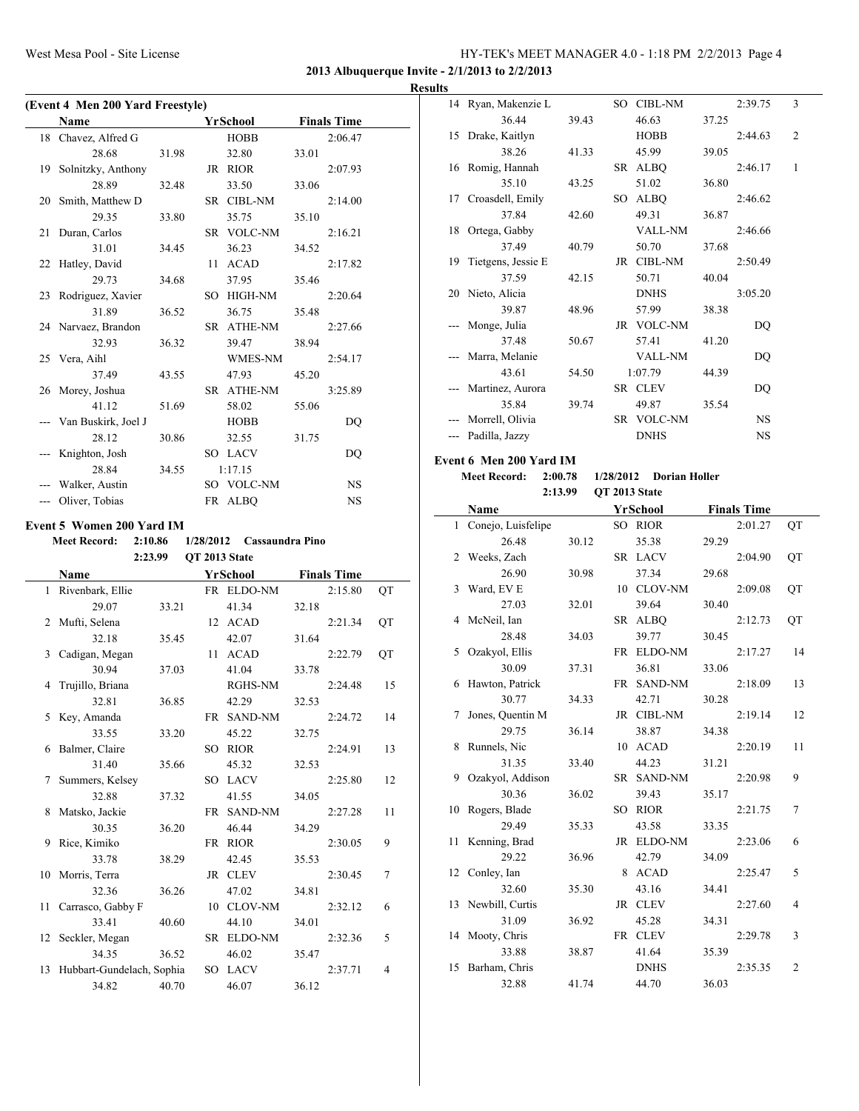**2013 Albuquerque Invite - 2/1/2013 to 2/2/2013**

#### **Results**

|    | (Event 4 Men 200 Yard Freestyle)   |       |                           |       |                    |                |
|----|------------------------------------|-------|---------------------------|-------|--------------------|----------------|
|    | Name                               |       | <b>YrSchool</b>           |       | <b>Finals Time</b> |                |
| 18 | Chavez, Alfred G                   |       | <b>HOBB</b>               |       | 2:06.47            |                |
|    | 28.68                              | 31.98 | 32.80                     | 33.01 |                    |                |
| 19 | Solnitzky, Anthony                 |       | JR RIOR                   |       | 2:07.93            |                |
|    | 28.89                              | 32.48 | 33.50                     | 33.06 |                    |                |
| 20 | Smith, Matthew D                   |       | SR CIBL-NM                |       | 2:14.00            |                |
|    | 29.35                              | 33.80 | 35.75                     | 35.10 |                    |                |
| 21 | Duran, Carlos                      |       | SR VOLC-NM                |       | 2:16.21            |                |
|    | 31.01                              | 34.45 | 36.23                     | 34.52 |                    |                |
|    | 22 Hatley, David                   |       | 11 ACAD                   |       | 2:17.82            |                |
|    | 29.73                              | 34.68 | 37.95                     | 35.46 |                    |                |
|    | 23 Rodriguez, Xavier               |       | SO HIGH-NM                |       | 2:20.64            |                |
|    | 31.89                              | 36.52 | 36.75                     | 35.48 |                    |                |
|    | 24 Narvaez, Brandon                |       | SR ATHE-NM                |       | 2:27.66            |                |
|    | 32.93                              | 36.32 | 39.47                     | 38.94 |                    |                |
| 25 | Vera, Aihl                         |       | WMES-NM                   |       | 2:54.17            |                |
|    | 37.49                              | 43.55 | 47.93                     | 45.20 |                    |                |
| 26 | Morey, Joshua                      |       | SR ATHE-NM                |       | 3:25.89            |                |
|    | 41.12                              | 51.69 | 58.02                     | 55.06 |                    |                |
|    | Van Buskirk, Joel J                |       | HOBB                      |       | DQ                 |                |
|    | 28.12                              |       | 32.55                     | 31.75 |                    |                |
|    |                                    | 30.86 |                           |       |                    |                |
|    | Knighton, Josh                     |       | SO LACV                   |       | DQ                 |                |
|    | 28.84                              | 34.55 | 1:17.15                   |       |                    |                |
|    | Walker, Austin                     |       | SO VOLC-NM                |       | NS                 |                |
|    | --- Oliver, Tobias                 |       | FR ALBQ                   |       | NS                 |                |
|    | <b>Event 5 Women 200 Yard IM</b>   |       |                           |       |                    |                |
|    | <b>Meet Record:</b><br>2:10.86     |       | 1/28/2012 Cassaundra Pino |       |                    |                |
|    | 2:23.99                            |       | QT 2013 State             |       |                    |                |
|    | Name                               |       | YrSchool                  |       | <b>Finals Time</b> |                |
| 1  | Rivenbark, Ellie                   |       | FR ELDO-NM                |       | 2:15.80            |                |
|    |                                    |       |                           |       |                    | QT             |
|    | 29.07                              | 33.21 | 41.34                     | 32.18 |                    |                |
| 2  |                                    |       |                           |       |                    |                |
|    | Mufti, Selena<br>32.18             | 35.45 | 12 ACAD<br>42.07          | 31.64 | 2:21.34            | QT             |
|    |                                    |       |                           |       |                    |                |
| 3  | Cadigan, Megan                     |       | 11 ACAD                   |       | 2:22.79            | QT             |
|    | 30.94                              | 37.03 | 41.04                     | 33.78 |                    |                |
| 4  | Trujillo, Briana                   |       | RGHS-NM                   |       | 2:24.48            | 15             |
|    | 32.81                              | 36.85 | 42.29                     | 32.53 |                    |                |
| 5  | Key, Amanda                        |       | FR SAND-NM                |       | 2:24.72            | 14             |
|    | 33.55                              | 33.20 | 45.22                     | 32.75 |                    |                |
| 6  | Balmer, Claire                     |       | SO RIOR                   |       | 2:24.91            | 13             |
|    | 31.40                              | 35.66 | 45.32                     | 32.53 |                    |                |
| 7  | Summers, Kelsey                    |       | SO LACV                   |       | 2:25.80            | 12             |
|    | 32.88                              | 37.32 | 41.55                     | 34.05 |                    |                |
| 8  | Matsko, Jackie                     |       | FR SAND-NM                |       | 2:27.28            | 11             |
|    | 30.35                              | 36.20 | 46.44                     | 34.29 |                    |                |
| 9  | Rice, Kimiko                       |       | FR RIOR                   |       | 2:30.05            | 9              |
|    | 33.78                              | 38.29 | 42.45                     | 35.53 |                    |                |
| 10 | Morris, Terra                      |       | JR CLEV                   |       | 2:30.45            | 7              |
|    | 32.36                              | 36.26 | 47.02                     | 34.81 |                    |                |
| 11 | Carrasco, Gabby F                  |       | 10 CLOV-NM                |       | 2:32.12            | 6              |
|    | 33.41                              | 40.60 | 44.10                     | 34.01 |                    |                |
| 12 | Seckler, Megan                     |       | SR ELDO-NM                |       | 2:32.36            | 5              |
|    | 34.35                              | 36.52 | 46.02                     | 35.47 |                    |                |
| 13 | Hubbart-Gundelach, Sophia<br>34.82 | 40.70 | SO LACV<br>46.07          | 36.12 | 2:37.71            | $\overline{4}$ |

|     | 14 Ryan, Makenzie L     |         |           | SO CIBL-NM           |       | 2:39.75            | 3  |
|-----|-------------------------|---------|-----------|----------------------|-------|--------------------|----|
|     | 36.44                   | 39.43   |           | 46.63                | 37.25 |                    |    |
| 15  | Drake, Kaitlyn          |         |           | HOBB                 |       | 2:44.63            | 2  |
|     | 38.26                   | 41.33   |           | 45.99                | 39.05 |                    |    |
| 16  | Romig, Hannah           |         |           | SR ALBQ              |       | 2:46.17            | 1  |
|     | 35.10                   | 43.25   |           | 51.02                | 36.80 |                    |    |
| 17  | Croasdell, Emily        |         |           | SO ALBQ              |       | 2:46.62            |    |
|     | 37.84                   | 42.60   |           | 49.31                | 36.87 |                    |    |
| 18  | Ortega, Gabby           |         |           | VALL-NM              |       | 2:46.66            |    |
|     | 37.49                   | 40.79   |           | 50.70                | 37.68 |                    |    |
| 19  | Tietgens, Jessie E      |         |           | JR CIBL-NM           |       | 2:50.49            |    |
|     | 37.59                   | 42.15   |           | 50.71                | 40.04 |                    |    |
| 20  | Nieto, Alicia           |         |           | <b>DNHS</b>          |       | 3:05.20            |    |
|     | 39.87                   | 48.96   |           | 57.99                | 38.38 |                    |    |
|     | Monge, Julia            |         |           | JR VOLC-NM           |       | DQ                 |    |
|     | 37.48                   | 50.67   |           | 57.41                | 41.20 |                    |    |
| --- | Marra, Melanie          |         |           | VALL-NM              |       | DQ                 |    |
|     | 43.61                   | 54.50   |           | 1:07.79              |       |                    |    |
|     |                         |         |           |                      | 44.39 |                    |    |
|     | Martinez, Aurora        |         |           | SR CLEV              |       | DQ                 |    |
|     | 35.84                   | 39.74   |           | 49.87                | 35.54 |                    |    |
| --- | Morrell, Olivia         |         |           | SR VOLC-NM           |       | NS                 |    |
|     | --- Padilla, Jazzy      |         |           | <b>DNHS</b>          |       | NS                 |    |
|     | Event 6 Men 200 Yard IM |         |           |                      |       |                    |    |
|     | <b>Meet Record:</b>     | 2:00.78 | 1/28/2012 | <b>Dorian Holler</b> |       |                    |    |
|     |                         | 2:13.99 |           | QT 2013 State        |       |                    |    |
|     | Name                    |         |           | YrSchool             |       | <b>Finals Time</b> |    |
| 1   | Conejo, Luisfelipe      |         |           | SO RIOR              |       | 2:01.27            | QT |
|     | 26.48                   | 30.12   |           | 35.38                | 29.29 |                    |    |
| 2   | Weeks, Zach             |         |           | SR LACV              |       | 2:04.90            | QT |
|     | 26.90                   | 30.98   |           | 37.34                | 29.68 |                    |    |
| 3   | Ward, EV E              |         |           | 10 CLOV-NM           |       | 2:09.08            | QT |
|     | 27.03                   | 32.01   |           | 39.64                | 30.40 |                    |    |
| 4   | McNeil, Ian             |         |           | SR ALBQ              |       | 2:12.73            | QT |
|     | 28.48                   | 34.03   |           | 39.77                | 30.45 |                    |    |
| 5   | Ozakyol, Ellis          |         |           | FR ELDO-NM           |       | 2:17.27            | 14 |
|     | 30.09                   | 37.31   |           | 36.81                | 33.06 |                    |    |
| 6   | Hawton, Patrick         |         |           | FR SAND-NM           |       | 2:18.09            | 13 |
|     | 30.77                   | 34.33   |           | 42.71                | 30.28 |                    |    |
| 7   | Jones, Quentin M        |         |           | JR CIBL-NM           |       | 2:19.14            | 12 |
|     | 29.75                   | 36.14   |           | 38.87                | 34.38 |                    |    |
| 8   | Runnels, Nic            |         |           | 10 ACAD              |       | 2:20.19            | 11 |
|     | 31.35                   | 33.40   |           | 44.23                | 31.21 |                    |    |
| 9   | Ozakyol, Addison        |         |           | SR SAND-NM           |       | 2:20.98            | 9  |
|     | 30.36                   | 36.02   |           | 39.43                | 35.17 |                    |    |
| 10  | Rogers, Blade           |         |           | SO RIOR              |       | 2:21.75            | 7  |
|     | 29.49                   |         |           |                      |       |                    |    |
|     |                         | 35.33   |           | 43.58                | 33.35 |                    |    |
| 11  | Kenning, Brad<br>29.22  |         |           | JR ELDO-NM<br>42.79  |       | 2:23.06            | 6  |
|     |                         | 36.96   |           |                      | 34.09 |                    |    |
| 12  | Conley, Ian             |         | 8         | ACAD                 |       | 2:25.47            | 5  |
|     | 32.60                   | 35.30   |           | 43.16                | 34.41 |                    |    |
| 13  | Newbill, Curtis         |         |           | JR CLEV              |       | 2:27.60            | 4  |
|     |                         | 36.92   |           | 45.28                | 34.31 |                    |    |
| 14  | 31.09                   |         |           |                      |       |                    |    |
|     | Mooty, Chris            |         |           | FR CLEV              |       | 2:29.78            | 3  |
|     | 33.88                   | 38.87   |           | 41.64                | 35.39 |                    |    |
| 15  | Barham, Chris<br>32.88  | 41.74   |           | <b>DNHS</b><br>44.70 | 36.03 | 2:35.35            | 2  |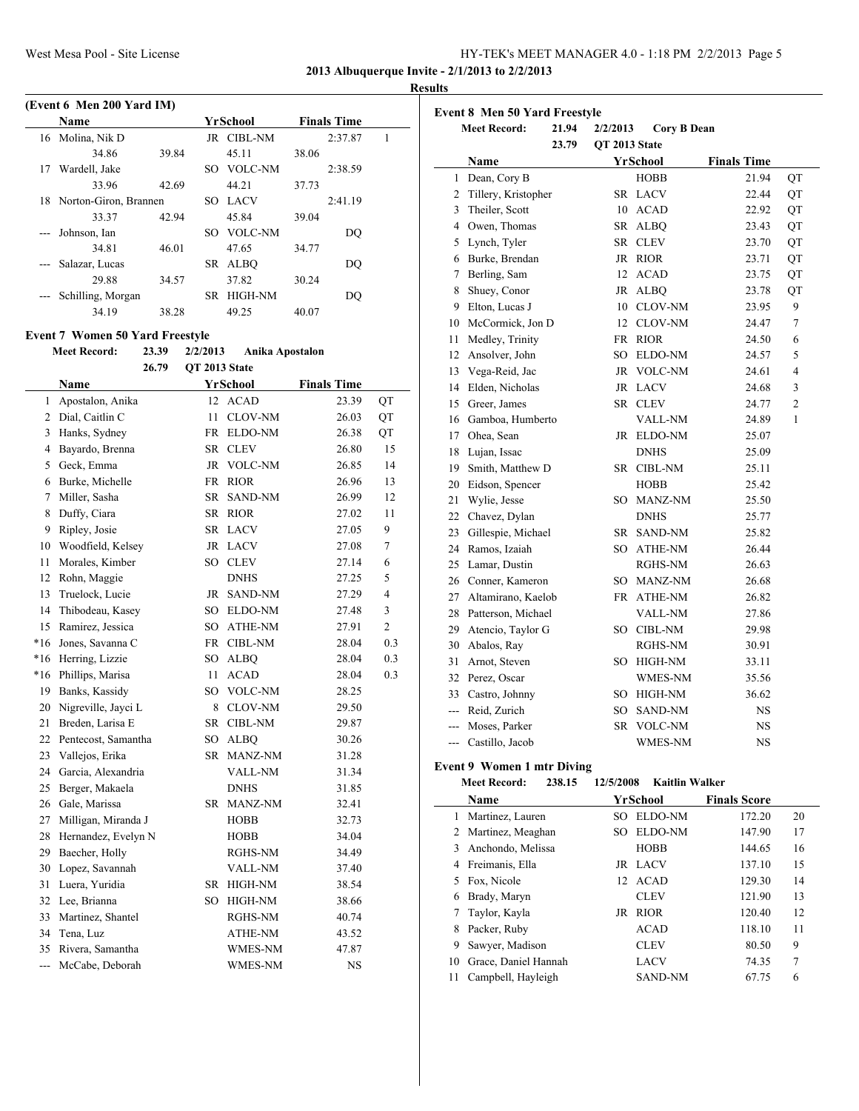| HY-TEK's MEET MANAGER 4.0 - 1:18 PM 2/2/2013 Page 5 |  |  |  |
|-----------------------------------------------------|--|--|--|
|-----------------------------------------------------|--|--|--|

#### **Results**

|    | (Event 6 Men 200 Yard IM) |       |     |             |       |                    |  |
|----|---------------------------|-------|-----|-------------|-------|--------------------|--|
|    | <b>Name</b>               |       |     | YrSchool    |       | <b>Finals Time</b> |  |
|    | 16 Molina, Nik D          |       |     | JR CIBL-NM  |       | 2:37.87            |  |
|    | 34.86                     | 39.84 |     | 45.11       | 38.06 |                    |  |
| 17 | Wardell, Jake             |       | SO. | VOLC-NM     |       | 2:38.59            |  |
|    | 33.96                     | 42.69 |     | 44.21       | 37.73 |                    |  |
|    | 18 Norton-Giron, Brannen  |       |     | SO LACV     |       | 2:41.19            |  |
|    | 33.37                     | 42.94 |     | 45.84       | 39.04 |                    |  |
|    | Johnson, Ian              |       |     | SO VOLC-NM  |       | DO                 |  |
|    | 34.81                     | 46.01 |     | 47.65       | 34.77 |                    |  |
|    | Salazar, Lucas            |       | SR. | <b>ALBO</b> |       | DO                 |  |
|    | 29.88                     | 34.57 |     | 37.82       | 30.24 |                    |  |
|    | Schilling, Morgan         |       | SR. | HIGH-NM     |       | DO                 |  |
|    | 34.19                     | 38.28 |     | 49.25       | 40.07 |                    |  |

#### **Event 7 Women 50 Yard Freestyle**

| <b>Meet Record:</b> | 23.39 | 2/2/2013 | Anika Apostalon |
|---------------------|-------|----------|-----------------|
|                     |       |          |                 |

|                | 26.79                  |    |                 |                    |                |
|----------------|------------------------|----|-----------------|--------------------|----------------|
|                | Name                   |    | <b>YrSchool</b> | <b>Finals Time</b> |                |
| 1              | Apostalon, Anika       | 12 | <b>ACAD</b>     | 23.39              | QT             |
| $\overline{2}$ | Dial, Caitlin C        | 11 | <b>CLOV-NM</b>  | 26.03              | QT             |
| 3              | Hanks, Sydney          |    | FR ELDO-NM      | 26.38              | QT             |
| 4              | Bayardo, Brenna        | SR | <b>CLEV</b>     | 26.80              | 15             |
| 5              | Geck, Emma             | JR | <b>VOLC-NM</b>  | 26.85              | 14             |
| 6              | Burke, Michelle        |    | FR RIOR         | 26.96              | 13             |
| 7              | Miller, Sasha          | SR | <b>SAND-NM</b>  | 26.99              | 12             |
| 8              | Duffy, Ciara           |    | SR RIOR         | 27.02              | 11             |
| 9              | Ripley, Josie          |    | SR LACV         | 27.05              | 9              |
| 10             | Woodfield, Kelsey      |    | JR LACV         | 27.08              | 7              |
| 11             | Morales, Kimber        |    | SO CLEV         | 27.14              | 6              |
|                | 12 Rohn, Maggie        |    | <b>DNHS</b>     | 27.25              | 5              |
| 13             | Truelock, Lucie        |    | JR SAND-NM      | 27.29              | 4              |
| 14             | Thibodeau, Kasey       |    | SO ELDO-NM      | 27.48              | 3              |
|                | 15 Ramirez, Jessica    |    | SO ATHE-NM      | 27.91              | $\overline{c}$ |
| $*16$          | Jones, Savanna C       |    | FR CIBL-NM      | 28.04              | 0.3            |
| $*16$          | Herring, Lizzie        |    | SO ALBQ         | 28.04              | 0.3            |
| $*16$          | Phillips, Marisa       | 11 | <b>ACAD</b>     | 28.04              | 0.3            |
| 19             | Banks, Kassidy         |    | SO VOLC-NM      | 28.25              |                |
| 20             | Nigreville, Jayci L    | 8  | <b>CLOV-NM</b>  | 29.50              |                |
| 21             | Breden, Larisa E       |    | SR CIBL-NM      | 29.87              |                |
|                | 22 Pentecost, Samantha |    | SO ALBO         | 30.26              |                |
|                | 23 Vallejos, Erika     |    | SR MANZ-NM      | 31.28              |                |
|                | 24 Garcia, Alexandria  |    | <b>VALL-NM</b>  | 31.34              |                |
|                | 25 Berger, Makaela     |    | <b>DNHS</b>     | 31.85              |                |
|                | 26 Gale, Marissa       |    | SR MANZ-NM      | 32.41              |                |
| 27             | Milligan, Miranda J    |    | <b>HOBB</b>     | 32.73              |                |
| 28             | Hernandez, Evelyn N    |    | <b>HOBB</b>     | 34.04              |                |
| 29             | Baecher, Holly         |    | RGHS-NM         | 34.49              |                |
| 30             | Lopez, Savannah        |    | <b>VALL-NM</b>  | 37.40              |                |
| 31             | Luera, Yuridia         |    | SR HIGH-NM      | 38.54              |                |
|                | 32 Lee, Brianna        |    | SO HIGH-NM      | 38.66              |                |
|                | 33 Martinez, Shantel   |    | RGHS-NM         | 40.74              |                |
| 34             | Tena, Luz              |    | ATHE-NM         | 43.52              |                |
| 35             | Rivera, Samantha       |    | WMES-NM         | 47.87              |                |
| ---            | McCabe, Deborah        |    | <b>WMES-NM</b>  | <b>NS</b>          |                |

|                | Event 8 Men 50 Yard Freestyle |       |               |                    |                    |    |
|----------------|-------------------------------|-------|---------------|--------------------|--------------------|----|
|                | <b>Meet Record:</b>           | 21.94 | 2/2/2013      | <b>Cory B Dean</b> |                    |    |
|                |                               | 23.79 | QT 2013 State |                    |                    |    |
|                | Name                          |       |               | YrSchool           | <b>Finals Time</b> |    |
| 1              | Dean, Cory B                  |       |               | <b>HOBB</b>        | 21.94              | QT |
| $\overline{2}$ | Tillery, Kristopher           |       | SR.           | LACV               | 22.44              | QT |
| 3              | Theiler, Scott                |       | 10            | ACAD               | 22.92              | QT |
|                | 4 Owen, Thomas                |       |               | SR ALBQ            | 23.43              | QT |
| 5              | Lynch, Tyler                  |       |               | SR CLEV            | 23.70              | QT |
| 6              | Burke, Brendan                |       |               | JR RIOR            | 23.71              | QT |
| 7              | Berling, Sam                  |       | 12            | <b>ACAD</b>        | 23.75              | QT |
| 8              | Shuey, Conor                  |       | JR            | <b>ALBQ</b>        | 23.78              | QT |
| 9              | Elton, Lucas J                |       |               | 10 CLOV-NM         | 23.95              | 9  |
| 10             | McCormick, Jon D              |       | 12            | <b>CLOV-NM</b>     | 24.47              | 7  |
| 11             | Medley, Trinity               |       | FR            | <b>RIOR</b>        | 24.50              | 6  |
| 12             | Ansolver, John                |       |               | SO ELDO-NM         | 24.57              | 5  |
| 13             | Vega-Reid, Jac                |       |               | JR VOLC-NM         | 24.61              | 4  |
| 14             | Elden, Nicholas               |       |               | JR LACV            | 24.68              | 3  |
| 15             | Greer, James                  |       |               | SR CLEV            | 24.77              | 2  |
| 16             | Gamboa, Humberto              |       |               | <b>VALL-NM</b>     | 24.89              | 1  |
| 17             | Ohea, Sean                    |       |               | JR ELDO-NM         | 25.07              |    |
| 18             | Lujan, Issac                  |       |               | <b>DNHS</b>        | 25.09              |    |
| 19             | Smith, Matthew D              |       |               | SR CIBL-NM         | 25.11              |    |
| 20             | Eidson, Spencer               |       |               | <b>HOBB</b>        | 25.42              |    |
| 21             | Wylie, Jesse                  |       |               | SO MANZ-NM         | 25.50              |    |
| 22             | Chavez, Dylan                 |       |               | <b>DNHS</b>        | 25.77              |    |
| 23             | Gillespie, Michael            |       | SR –          | <b>SAND-NM</b>     | 25.82              |    |
| 24             | Ramos, Izaiah                 |       | SO.           | ATHE-NM            | 26.44              |    |
| 25             | Lamar, Dustin                 |       |               | <b>RGHS-NM</b>     | 26.63              |    |
| 26             | Conner, Kameron               |       |               | SO MANZ-NM         | 26.68              |    |
| 27             | Altamirano, Kaelob            |       |               | FR ATHE-NM         | 26.82              |    |
| 28             | Patterson, Michael            |       |               | VALL-NM            | 27.86              |    |
| 29             | Atencio, Taylor G             |       |               | SO CIBL-NM         | 29.98              |    |
|                | 30 Abalos, Ray                |       |               | RGHS-NM            | 30.91              |    |
| 31             | Arnot, Steven                 |       |               | SO HIGH-NM         | 33.11              |    |
| 32             | Perez, Oscar                  |       |               | WMES-NM            | 35.56              |    |
| 33             | Castro, Johnny                |       |               | SO HIGH-NM         | 36.62              |    |
| $---$          | Reid, Zurich                  |       | SO.           | <b>SAND-NM</b>     | <b>NS</b>          |    |
|                | --- Moses, Parker             |       | SR            | <b>VOLC-NM</b>     | NS                 |    |
| $---$          | Castillo, Jacob               |       |               | WMES-NM            | <b>NS</b>          |    |

#### **Event 9 Women 1 mtr Diving**

|    | 238.15<br><b>Meet Record:</b> | 12/5/2008 | <b>Kaitlin Walker</b> |                     |    |  |  |
|----|-------------------------------|-----------|-----------------------|---------------------|----|--|--|
|    | Name                          |           | YrSchool              | <b>Finals Score</b> |    |  |  |
|    | Martinez, Lauren              | SO.       | ELDO-NM               | 172.20              | 20 |  |  |
| 2  | Martinez, Meaghan             | SO.       | ELDO-NM               | 147.90              | 17 |  |  |
| 3. | Anchondo, Melissa             |           | <b>HOBB</b>           | 144.65              | 16 |  |  |
| 4  | Freimanis, Ella               |           | JR LACV               | 137.10              | 15 |  |  |
| 5. | Fox, Nicole                   | 12        | ACAD                  | 129.30              | 14 |  |  |
| 6  | Brady, Maryn                  |           | <b>CLEV</b>           | 121.90              | 13 |  |  |
|    | Taylor, Kayla                 | JR        | <b>RIOR</b>           | 120.40              | 12 |  |  |
| 8  | Packer, Ruby                  |           | <b>ACAD</b>           | 118.10              | 11 |  |  |
| 9  | Sawyer, Madison               |           | <b>CLEV</b>           | 80.50               | 9  |  |  |
| 10 | Grace, Daniel Hannah          |           | LACV                  | 74.35               | 7  |  |  |
| 11 | Campbell, Hayleigh            |           | <b>SAND-NM</b>        | 67.75               | 6  |  |  |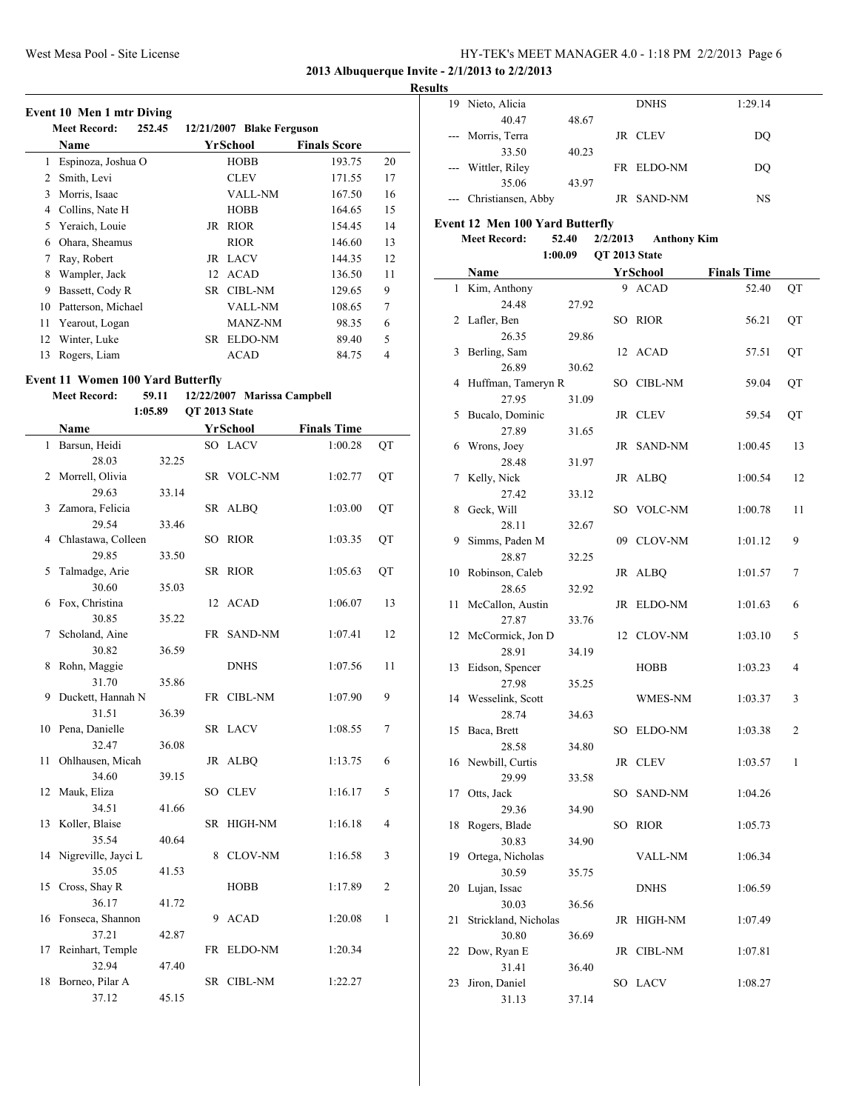**2013 Albuquerque Invite - 2/1/2013 to 2/2/2013**

#### **Results**

#### **Event 10 Men 1 mtr Diving**

|    | <b>Meet Record:</b><br>252.45 |     | 12/21/2007 Blake Ferguson |                     |    |  |  |  |
|----|-------------------------------|-----|---------------------------|---------------------|----|--|--|--|
|    | <b>Name</b>                   |     | YrSchool                  | <b>Finals Score</b> |    |  |  |  |
| 1  | Espinoza, Joshua O            |     | <b>HOBB</b>               | 193.75              | 20 |  |  |  |
| 2  | Smith, Levi                   |     | <b>CLEV</b>               | 171.55              | 17 |  |  |  |
| 3  | Morris, Isaac                 |     | <b>VALL-NM</b>            | 167.50              | 16 |  |  |  |
| 4  | Collins, Nate H               |     | <b>HOBB</b>               | 164.65              | 15 |  |  |  |
| 5  | Yeraich, Louie                | JR  | <b>RIOR</b>               | 154.45              | 14 |  |  |  |
| 6  | Ohara, Sheamus                |     | <b>RIOR</b>               | 146.60              | 13 |  |  |  |
| 7  | Ray, Robert                   |     | JR LACV                   | 144.35              | 12 |  |  |  |
| 8  | Wampler, Jack                 | 12  | <b>ACAD</b>               | 136.50              | 11 |  |  |  |
| 9  | Bassett, Cody R               | SR. | <b>CIBL-NM</b>            | 129.65              | 9  |  |  |  |
| 10 | Patterson, Michael            |     | <b>VALL-NM</b>            | 108.65              | 7  |  |  |  |
| 11 | Yearout, Logan                |     | MANZ-NM                   | 98.35               | 6  |  |  |  |
| 12 | Winter, Luke                  | SR  | ELDO-NM                   | 89.40               | 5  |  |  |  |
| 13 | Rogers, Liam                  |     | <b>ACAD</b>               | 84.75               | 4  |  |  |  |

#### **Event 11 Women 100 Yard Butterfly**

#### **Meet Record: 59.11 12/22/2007 Marissa Campbell 1:05.89 QT 2013 State**

|    | Name                   |       |    | YrSchool       | <b>Finals Time</b> |                |
|----|------------------------|-------|----|----------------|--------------------|----------------|
| 1  | Barsun, Heidi          |       |    | SO LACV        | 1:00.28            | QT             |
|    | 28.03                  | 32.25 |    |                |                    |                |
| 2  | Morrell, Olivia        |       |    | SR VOLC-NM     | 1:02.77            | QT             |
|    | 29.63                  | 33.14 |    |                |                    |                |
| 3  | Zamora, Felicia        |       |    | SR ALBQ        | 1:03.00            | QT             |
|    | 29.54                  | 33.46 |    |                |                    |                |
| 4  | Chlastawa, Colleen     |       |    | SO RIOR        | 1:03.35            | QT             |
|    | 29.85                  | 33.50 |    |                |                    |                |
| 5  | Talmadge, Arie         |       |    | SR RIOR        | 1:05.63            | QT             |
|    | 30.60                  | 35.03 |    |                |                    |                |
| 6  | Fox, Christina         |       | 12 | <b>ACAD</b>    | 1:06.07            | 13             |
|    | 30.85                  | 35.22 |    |                |                    |                |
| 7  | Scholand, Aine         |       | FR | SAND-NM        | 1:07.41            | 12             |
|    | 30.82                  | 36.59 |    |                |                    |                |
| 8  | Rohn, Maggie           |       |    | <b>DNHS</b>    | 1:07.56            | 11             |
|    | 31.70                  | 35.86 |    |                |                    |                |
| 9  | Duckett, Hannah N      |       |    | FR CIBL-NM     | 1:07.90            | 9              |
|    | 31.51                  | 36.39 |    |                |                    |                |
| 10 | Pena, Danielle         |       |    | SR LACV        | 1:08.55            | 7              |
|    | 32.47                  | 36.08 |    |                |                    |                |
| 11 | Ohlhausen, Micah       |       |    | JR ALBQ        | 1:13.75            | 6              |
|    | 34.60                  | 39.15 |    |                |                    |                |
| 12 | Mauk, Eliza            |       |    | SO CLEV        | 1:16.17            | 5              |
|    | 34.51                  | 41.66 |    |                |                    |                |
| 13 | Koller, Blaise         |       | SR | HIGH-NM        | 1:16.18            | 4              |
|    | 35.54                  | 40.64 |    |                |                    |                |
| 14 | Nigreville, Jayci L    |       | 8  | <b>CLOV-NM</b> | 1:16.58            | 3              |
|    | 35.05                  | 41.53 |    |                |                    | $\overline{2}$ |
| 15 | Cross, Shay R<br>36.17 |       |    | <b>HOBB</b>    | 1:17.89            |                |
| 16 | Fonseca, Shannon       | 41.72 | 9  | <b>ACAD</b>    | 1:20.08            | 1              |
|    | 37.21                  |       |    |                |                    |                |
| 17 | Reinhart, Temple       | 42.87 |    | FR ELDO-NM     | 1:20.34            |                |
|    | 32.94                  | 47.40 |    |                |                    |                |
| 18 | Borneo, Pilar A        |       |    | SR CIBL-NM     | 1:22.27            |                |
|    | 37.12                  | 45.15 |    |                |                    |                |
|    |                        |       |    |                |                    |                |

| 19. | Nieto, Alicia          |       | <b>DNHS</b> | 1:29.14 |
|-----|------------------------|-------|-------------|---------|
|     | 40.47                  | 48.67 |             |         |
|     | --- Morris, Terra      |       | JR CLEV     | DO      |
|     | 33.50                  | 40.23 |             |         |
|     | --- Wittler, Riley     |       | FR ELDO-NM  | DO      |
|     | 35.06                  | 43.97 |             |         |
|     | --- Christiansen, Abby |       | JR SAND-NM  | NS      |

### **Event 12 Men 100 Yard Butterfly**

#### **Meet Record: 52.40 2/2/2013 Anthony Kim**

#### **1:00.09 QT 2013 State**

|                | Name                    |       | <u>YrSchool</u> | <b>Finals Time</b> |    |
|----------------|-------------------------|-------|-----------------|--------------------|----|
| 1              | Kim, Anthony            |       | 9 ACAD          | 52.40              | QT |
|                | 24.48                   | 27.92 |                 |                    |    |
| $\overline{2}$ | Lafler, Ben             |       | SO RIOR         | 56.21              | QT |
|                | 26.35                   | 29.86 |                 |                    |    |
| 3              | Berling, Sam            |       | 12 ACAD         | 57.51              | QT |
|                | 26.89                   | 30.62 |                 |                    |    |
| 4              | Huffman, Tameryn R      |       | SO CIBL-NM      | 59.04              | QT |
|                | 27.95                   | 31.09 |                 |                    |    |
| 5              | Bucalo, Dominic         |       | JR CLEV         | 59.54              | QT |
|                | 27.89                   | 31.65 |                 |                    |    |
| 6              | Wrons, Joey             |       | JR SAND-NM      | 1:00.45            | 13 |
|                | 28.48                   | 31.97 |                 |                    |    |
| 7              | Kelly, Nick             |       | JR ALBQ         | 1:00.54            | 12 |
|                | 27.42                   | 33.12 |                 |                    |    |
| 8              | Geck, Will              |       | SO VOLC-NM      | 1:00.78            | 11 |
|                | 28.11                   | 32.67 |                 |                    |    |
| 9              | Simms, Paden M<br>28.87 |       | 09 CLOV-NM      | 1:01.12            | 9  |
| 10             | Robinson, Caleb         | 32.25 | JR ALBQ         | 1:01.57            | 7  |
|                | 28.65                   | 32.92 |                 |                    |    |
| 11             | McCallon, Austin        |       | JR ELDO-NM      | 1:01.63            | 6  |
|                | 27.87                   | 33.76 |                 |                    |    |
|                | 12 McCormick, Jon D     |       | 12 CLOV-NM      | 1:03.10            | 5  |
|                | 28.91                   | 34.19 |                 |                    |    |
| 13             | Eidson, Spencer         |       | HOBB            | 1:03.23            | 4  |
|                | 27.98                   | 35.25 |                 |                    |    |
|                | 14 Wesselink, Scott     |       | WMES-NM         | 1:03.37            | 3  |
|                | 28.74                   | 34.63 |                 |                    |    |
| 15             | Baca, Brett             |       | SO ELDO-NM      | 1:03.38            | 2  |
|                | 28.58                   | 34.80 |                 |                    |    |
| 16             | Newbill, Curtis         |       | JR CLEV         | 1:03.57            | 1  |
|                | 29.99                   | 33.58 |                 |                    |    |
| 17             | Otts, Jack              |       | SO SAND-NM      | 1:04.26            |    |
|                | 29.36                   | 34.90 |                 |                    |    |
| 18             | Rogers, Blade           |       | SO RIOR         | 1:05.73            |    |
|                | 30.83                   | 34.90 |                 |                    |    |
| 19             | Ortega, Nicholas        |       | VALL-NM         | 1:06.34            |    |
|                | 30.59                   | 35.75 |                 |                    |    |
|                | 20 Lujan, Issac         |       | <b>DNHS</b>     | 1:06.59            |    |
|                | 30.03                   | 36.56 |                 |                    |    |
| 21             | Strickland, Nicholas    |       | JR HIGH-NM      | 1:07.49            |    |
|                | 30.80                   | 36.69 | JR CIBL-NM      |                    |    |
| 22             | Dow, Ryan E<br>31.41    |       |                 | 1:07.81            |    |
| 23             | Jiron, Daniel           | 36.40 | SO LACV         | 1:08.27            |    |
|                | 31.13                   | 37.14 |                 |                    |    |
|                |                         |       |                 |                    |    |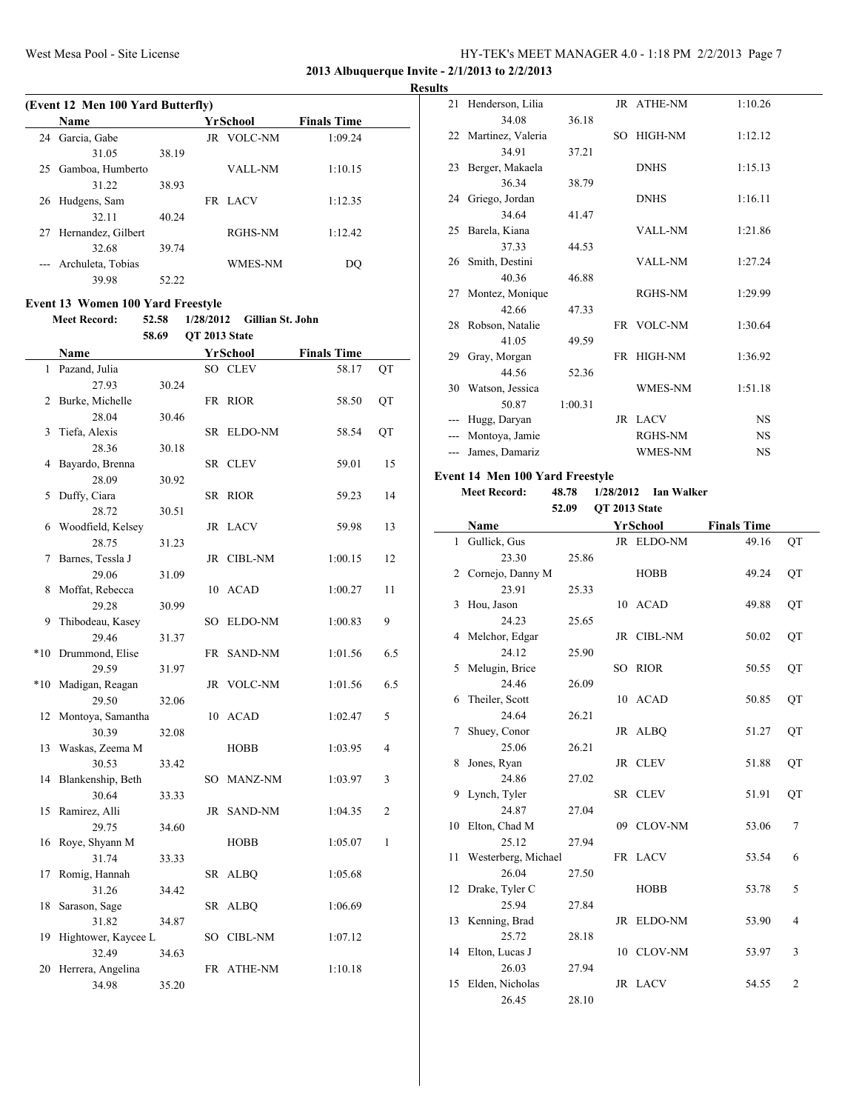**2013 Albuquerque Invite - 2/1/2013 to 2/2/2013**

**Results**

 $\sim$ 

|    | (Event 12 Men 100 Yard Butterfly) |       |                   |                    |  |
|----|-----------------------------------|-------|-------------------|--------------------|--|
|    | Name                              |       | YrSchool          | <b>Finals Time</b> |  |
| 24 | Garcia, Gabe                      |       | <b>JR VOLC-NM</b> | 1:09.24            |  |
|    | 31.05                             | 38.19 |                   |                    |  |
| 25 | Gamboa, Humberto                  |       | VALL-NM           | 1:10.15            |  |
|    | 31 22                             | 38.93 |                   |                    |  |
| 26 | Hudgens, Sam                      |       | FR LACV           | 1:12.35            |  |
|    | 32.11                             | 40.24 |                   |                    |  |
| 27 | Hernandez, Gilbert                |       | RGHS-NM           | 1:12.42            |  |
|    | 32.68                             | 39.74 |                   |                    |  |
|    | Archuleta, Tobias                 |       | <b>WMES-NM</b>    | DO                 |  |
|    | 39.98                             | 52.22 |                   |                    |  |

#### **Event 13 Women 100 Yard Freestyle**

**Meet Record: 52.58 1/28/2012 Gillian St. John**

|       |                     | 58.69 | QT 2013 State |                 |                    |                |
|-------|---------------------|-------|---------------|-----------------|--------------------|----------------|
|       | Name                |       |               | <b>YrSchool</b> | <b>Finals Time</b> |                |
| 1     | Pazand, Julia       |       |               | SO CLEV         | 58.17              | QT             |
|       | 27.93               | 30.24 |               |                 |                    |                |
| 2     | Burke, Michelle     |       |               | FR RIOR         | 58.50              | QT             |
|       | 28.04               | 30.46 |               |                 |                    |                |
| 3     | Tiefa, Alexis       |       |               | SR ELDO-NM      | 58.54              | QT             |
|       | 28.36               | 30.18 |               |                 |                    |                |
| 4     | Bayardo, Brenna     |       |               | SR CLEV         | 59.01              | 15             |
|       | 28.09<br>30.92      |       |               |                 |                    |                |
| 5     | Duffy, Ciara        |       |               | SR RIOR         | 59.23              | 14             |
|       | 28.72               | 30.51 |               |                 |                    |                |
| 6     | Woodfield, Kelsey   |       |               | JR LACV         | 59.98              | 13             |
|       | 28.75               | 31.23 |               |                 |                    |                |
| 7     | Barnes, Tessla J    |       |               | JR CIBL-NM      | 1:00.15            | 12             |
|       | 29.06               | 31.09 |               |                 |                    |                |
| 8     | Moffat, Rebecca     |       |               | 10 ACAD         | 1:00.27            | 11             |
|       | 29.28               | 30.99 |               |                 |                    |                |
| 9     | Thibodeau, Kasey    |       |               | SO ELDO-NM      | 1:00.83            | 9              |
|       | 29.46               | 31.37 |               |                 |                    |                |
| $*10$ | Drummond, Elise     |       |               | FR SAND-NM      | 1:01.56            | 6.5            |
|       | 29.59               | 31.97 |               |                 |                    |                |
| $*10$ | Madigan, Reagan     |       |               | JR VOLC-NM      | 1:01.56            | 6.5            |
|       | 29.50               | 32.06 |               |                 |                    |                |
| 12    | Montoya, Samantha   |       |               | 10 ACAD         | 1:02.47            | 5              |
|       | 30.39               | 32.08 |               |                 |                    |                |
| 13    | Waskas, Zeema M     |       |               | HOBB            | 1:03.95            | $\overline{4}$ |
|       | 30.53               | 33.42 |               |                 |                    |                |
| 14    | Blankenship, Beth   |       |               | SO MANZ-NM      | 1:03.97            | 3              |
|       | 30.64               | 33.33 |               |                 |                    |                |
| 15    | Ramirez, Alli       |       |               | JR SAND-NM      | 1:04.35            | 2              |
|       | 29.75               | 34.60 |               |                 |                    |                |
| 16    | Roye, Shyann M      |       |               | <b>HOBB</b>     | 1:05.07            | $\mathbf{1}$   |
|       | 31.74               | 33.33 |               |                 |                    |                |
| 17    | Romig, Hannah       |       |               | SR ALBQ         | 1:05.68            |                |
|       | 31.26               | 34.42 |               |                 |                    |                |
| 18    | Sarason, Sage       |       |               | SR ALBQ         | 1:06.69            |                |
|       | 31.82               | 34.87 |               |                 |                    |                |
| 19    | Hightower, Kaycee L |       |               | SO CIBL-NM      | 1:07.12            |                |
|       | 32.49               | 34.63 |               |                 |                    |                |
| 20    | Herrera, Angelina   |       |               | FR ATHE-NM      | 1:10.18            |                |
|       | 34.98               | 35.20 |               |                 |                    |                |

| 21    | Henderson, Lilia     |         |     | JR ATHE-NM     | 1:10.26   |  |
|-------|----------------------|---------|-----|----------------|-----------|--|
|       | 34.08                | 36.18   |     |                |           |  |
|       | 22 Martinez, Valeria |         | SO. | HIGH-NM        | 1:12.12   |  |
|       | 34.91                | 37.21   |     |                |           |  |
|       | 23 Berger, Makaela   |         |     | <b>DNHS</b>    | 1:15.13   |  |
|       | 36.34                | 38.79   |     |                |           |  |
|       | 24 Griego, Jordan    |         |     | <b>DNHS</b>    | 1:16.11   |  |
|       | 34.64                | 41.47   |     |                |           |  |
|       | 25 Barela, Kiana     |         |     | <b>VALL-NM</b> | 1:21.86   |  |
|       | 37.33                | 44.53   |     |                |           |  |
|       | 26 Smith, Destini    |         |     | <b>VALL-NM</b> | 1:27.24   |  |
|       | 40.36                | 46.88   |     |                |           |  |
| 27    | Montez, Monique      |         |     | <b>RGHS-NM</b> | 1:29.99   |  |
|       | 42.66                | 47.33   |     |                |           |  |
|       | 28 Robson, Natalie   |         |     | FR VOLC-NM     | 1:30.64   |  |
|       | 41.05                | 49.59   |     |                |           |  |
| 29    | Gray, Morgan         |         |     | FR HIGH-NM     | 1:36.92   |  |
|       | 44.56                | 52.36   |     |                |           |  |
|       | 30 Watson, Jessica   |         |     | WMES-NM        | 1:51.18   |  |
|       | 50.87                | 1:00.31 |     |                |           |  |
|       | Hugg, Daryan         |         |     | JR LACV        | <b>NS</b> |  |
|       | Montoya, Jamie       |         |     | RGHS-NM        | <b>NS</b> |  |
| $---$ | James, Damariz       |         |     | WMES-NM        | <b>NS</b> |  |
|       |                      |         |     |                |           |  |

#### **Event 14 Men 100 Yard Freestyle**

**Meet Record: 48.78 1/28/2012 Ian Walker**

#### **52.09 QT 2013 State**

|              | Name                |       |    | YrSchool       | <b>Finals Time</b> |                |  |  |  |  |
|--------------|---------------------|-------|----|----------------|--------------------|----------------|--|--|--|--|
| $\mathbf{1}$ | Gullick, Gus        |       |    | JR ELDO-NM     | 49.16              | QT             |  |  |  |  |
|              | 23.30               | 25.86 |    |                |                    |                |  |  |  |  |
| 2            | Cornejo, Danny M    |       |    | <b>HOBB</b>    | 49.24              | QT             |  |  |  |  |
|              | 23.91               | 25.33 |    |                |                    |                |  |  |  |  |
| 3            | Hou, Jason          |       |    | 10 ACAD        | 49.88              | QT             |  |  |  |  |
|              | 24.23               | 25.65 |    |                |                    |                |  |  |  |  |
| 4            | Melchor, Edgar      |       |    | JR CIBL-NM     | 50.02              | QT             |  |  |  |  |
|              | 24.12               | 25.90 |    |                |                    |                |  |  |  |  |
| 5            | Melugin, Brice      |       | SO | <b>RIOR</b>    | 50.55              | QT             |  |  |  |  |
|              | 24.46               | 26.09 |    |                |                    |                |  |  |  |  |
| 6            | Theiler, Scott      |       |    | 10 ACAD        | 50.85              | QT             |  |  |  |  |
|              | 24.64               | 26.21 |    |                |                    |                |  |  |  |  |
| 7            | Shuey, Conor        |       |    | JR ALBQ        | 51.27              | QT             |  |  |  |  |
|              | 25.06               | 26.21 |    |                |                    |                |  |  |  |  |
| 8            | Jones, Ryan         |       |    | JR CLEV        | 51.88              | QT             |  |  |  |  |
|              | 24.86               | 27.02 |    |                |                    |                |  |  |  |  |
| 9            | Lynch, Tyler        |       |    | SR CLEV        | 51.91              | QT             |  |  |  |  |
|              | 24.87               | 27.04 |    |                |                    |                |  |  |  |  |
| 10           | Elton, Chad M       |       |    | 09 CLOV-NM     | 53.06              | 7              |  |  |  |  |
|              | 25.12               | 27.94 |    |                |                    |                |  |  |  |  |
| 11           | Westerberg, Michael |       |    | FR LACV        | 53.54              | 6              |  |  |  |  |
|              | 26.04               | 27.50 |    |                |                    |                |  |  |  |  |
| 12           | Drake, Tyler C      |       |    | <b>HOBB</b>    | 53.78              | 5              |  |  |  |  |
|              | 25.94               | 27.84 |    |                |                    |                |  |  |  |  |
|              | 13 Kenning, Brad    |       |    | JR ELDO-NM     | 53.90              | 4              |  |  |  |  |
|              | 25.72               | 28.18 |    |                |                    |                |  |  |  |  |
| 14           | Elton, Lucas J      |       | 10 | <b>CLOV-NM</b> | 53.97              | 3              |  |  |  |  |
|              | 26.03               | 27.94 |    |                |                    |                |  |  |  |  |
| 15           | Elden, Nicholas     |       |    | JR LACV        | 54.55              | $\overline{2}$ |  |  |  |  |
|              | 26.45               | 28.10 |    |                |                    |                |  |  |  |  |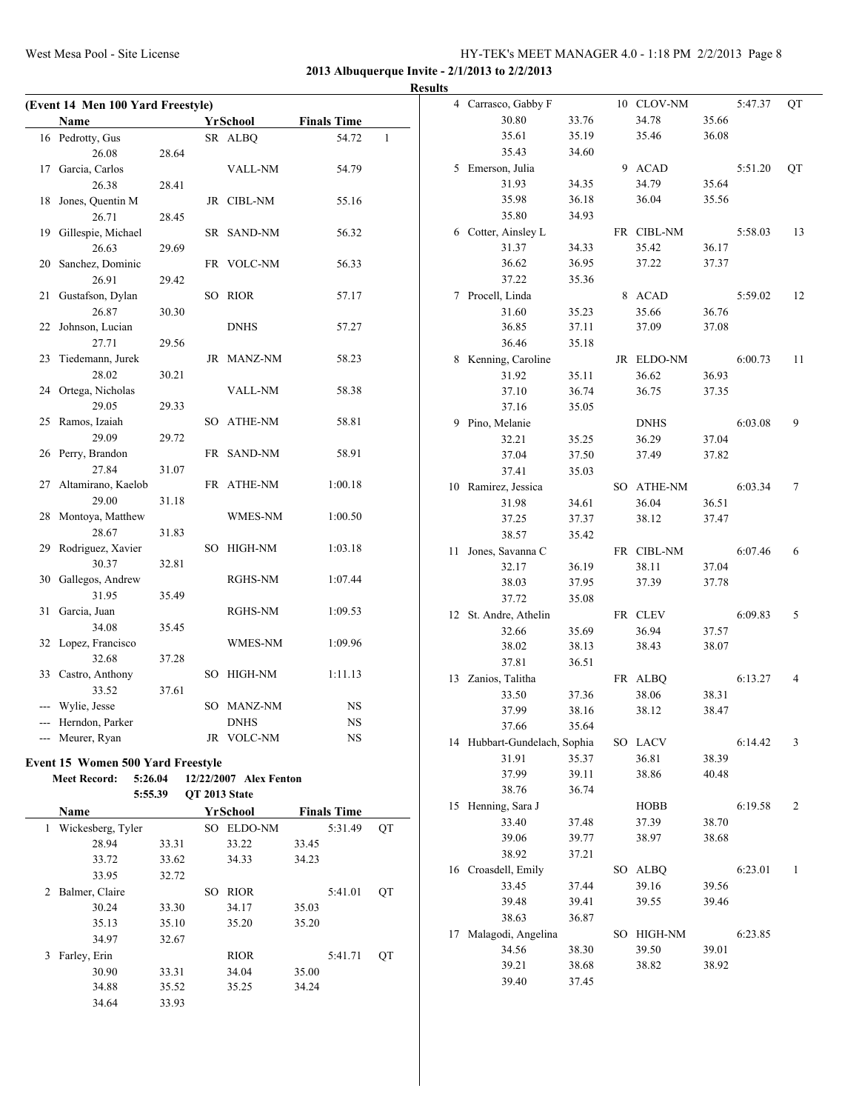**2013 Albuquerque Invite - 2/1/2013 to 2/2/2013**

|                                   |       |                        |       |                    |              | <b>Results</b> |                              |       |             |       |         |    |
|-----------------------------------|-------|------------------------|-------|--------------------|--------------|----------------|------------------------------|-------|-------------|-------|---------|----|
| (Event 14 Men 100 Yard Freestyle) |       |                        |       |                    |              |                | 4 Carrasco, Gabby F          |       | 10 CLOV-NM  |       | 5:47.37 | QT |
| Name                              |       | YrSchool               |       | <b>Finals Time</b> |              |                | 30.80                        | 33.76 | 34.78       | 35.66 |         |    |
| 16 Pedrotty, Gus                  |       | SR ALBQ                |       | 54.72              | $\mathbf{1}$ |                | 35.61                        | 35.19 | 35.46       | 36.08 |         |    |
| 26.08                             | 28.64 |                        |       |                    |              |                | 35.43                        | 34.60 |             |       |         |    |
| 17 Garcia, Carlos                 |       | <b>VALL-NM</b>         |       | 54.79              |              |                | 5 Emerson, Julia             |       | 9 ACAD      |       | 5:51.20 | QT |
| 26.38                             | 28.41 |                        |       |                    |              |                | 31.93                        | 34.35 | 34.79       | 35.64 |         |    |
| 18 Jones, Quentin M               |       | JR CIBL-NM             |       | 55.16              |              |                | 35.98                        | 36.18 | 36.04       | 35.56 |         |    |
| 26.71                             | 28.45 |                        |       |                    |              |                | 35.80                        | 34.93 |             |       |         |    |
| 19 Gillespie, Michael             |       | SR SAND-NM             |       | 56.32              |              |                | 6 Cotter, Ainsley L          |       | FR CIBL-NM  |       | 5:58.03 | 13 |
| 26.63                             | 29.69 |                        |       |                    |              |                | 31.37                        | 34.33 | 35.42       | 36.17 |         |    |
| 20 Sanchez, Dominic               |       | FR VOLC-NM             |       | 56.33              |              |                | 36.62                        | 36.95 | 37.22       | 37.37 |         |    |
| 26.91                             | 29.42 |                        |       |                    |              |                | 37.22                        | 35.36 |             |       |         |    |
| 21 Gustafson, Dylan               |       | SO RIOR                |       | 57.17              |              |                | 7 Procell, Linda             |       | 8 ACAD      |       | 5:59.02 | 12 |
| 26.87                             | 30.30 |                        |       |                    |              |                | 31.60                        | 35.23 | 35.66       | 36.76 |         |    |
| 22 Johnson, Lucian                |       | <b>DNHS</b>            |       | 57.27              |              |                | 36.85                        | 37.11 | 37.09       | 37.08 |         |    |
| 27.71                             | 29.56 |                        |       |                    |              |                | 36.46                        | 35.18 |             |       |         |    |
| 23 Tiedemann, Jurek               |       | JR MANZ-NM             |       | 58.23              |              |                | 8 Kenning, Caroline          |       | JR ELDO-NM  |       | 6:00.73 | 11 |
| 28.02                             | 30.21 |                        |       |                    |              |                | 31.92                        | 35.11 | 36.62       | 36.93 |         |    |
| 24 Ortega, Nicholas               |       | VALL-NM                |       | 58.38              |              |                | 37.10                        | 36.74 | 36.75       | 37.35 |         |    |
| 29.05                             | 29.33 |                        |       |                    |              |                |                              |       |             |       |         |    |
| 25 Ramos, Izaiah                  |       | SO ATHE-NM             |       |                    |              |                | 37.16                        | 35.05 |             |       |         |    |
|                                   |       |                        |       | 58.81              |              |                | 9 Pino, Melanie              |       | <b>DNHS</b> |       | 6:03.08 | 9  |
| 29.09                             | 29.72 |                        |       |                    |              |                | 32.21                        | 35.25 | 36.29       | 37.04 |         |    |
| 26 Perry, Brandon                 |       | FR SAND-NM             |       | 58.91              |              |                | 37.04                        | 37.50 | 37.49       | 37.82 |         |    |
| 27.84                             | 31.07 |                        |       |                    |              |                | 37.41                        | 35.03 |             |       |         |    |
| 27 Altamirano, Kaelob             |       | FR ATHE-NM             |       | 1:00.18            |              |                | 10 Ramirez, Jessica          |       | SO ATHE-NM  |       | 6:03.34 | 7  |
| 29.00                             | 31.18 |                        |       |                    |              |                | 31.98                        | 34.61 | 36.04       | 36.51 |         |    |
| 28 Montoya, Matthew               |       | WMES-NM                |       | 1:00.50            |              |                | 37.25                        | 37.37 | 38.12       | 37.47 |         |    |
| 28.67                             | 31.83 |                        |       |                    |              |                | 38.57                        | 35.42 |             |       |         |    |
| 29 Rodriguez, Xavier              |       | SO HIGH-NM             |       | 1:03.18            |              |                | 11 Jones, Savanna C          |       | FR CIBL-NM  |       | 6:07.46 | 6  |
| 30.37                             | 32.81 |                        |       |                    |              |                | 32.17                        | 36.19 | 38.11       | 37.04 |         |    |
| 30 Gallegos, Andrew               |       | RGHS-NM                |       | 1:07.44            |              |                | 38.03                        | 37.95 | 37.39       | 37.78 |         |    |
| 31.95                             | 35.49 |                        |       |                    |              |                | 37.72                        | 35.08 |             |       |         |    |
| 31 Garcia, Juan                   |       | RGHS-NM                |       | 1:09.53            |              |                | 12 St. Andre, Athelin        |       | FR CLEV     |       | 6:09.83 | 5  |
| 34.08                             | 35.45 |                        |       |                    |              |                | 32.66                        | 35.69 | 36.94       | 37.57 |         |    |
| 32 Lopez, Francisco               |       | WMES-NM                |       | 1:09.96            |              |                | 38.02                        | 38.13 | 38.43       | 38.07 |         |    |
| 32.68                             | 37.28 |                        |       |                    |              |                | 37.81                        | 36.51 |             |       |         |    |
| 33 Castro, Anthony                |       | SO HIGH-NM             |       | 1:11.13            |              |                | 13 Zanios, Talitha           |       | FR ALBQ     |       | 6:13.27 | 4  |
| 33.52                             | 37.61 |                        |       |                    |              |                | 33.50                        | 37.36 | 38.06       | 38.31 |         |    |
| --- Wylie, Jesse                  |       | SO MANZ-NM             |       | NS                 |              |                | 37.99                        | 38.16 | 38.12       | 38.47 |         |    |
| --- Herndon, Parker               |       | <b>DNHS</b>            |       | $_{\rm NS}$        |              |                | 37.66                        | 35.64 |             |       |         |    |
| --- Meurer, Ryan                  |       | JR VOLC-NM             |       | $_{\rm NS}$        |              |                | 14 Hubbart-Gundelach, Sophia |       | SO LACV     |       | 6:14.42 | 3  |
| Event 15 Women 500 Yard Freestyle |       |                        |       |                    |              |                | 31.91                        | 35.37 | 36.81       | 38.39 |         |    |
| 5:26.04<br><b>Meet Record:</b>    |       | 12/22/2007 Alex Fenton |       |                    |              |                | 37.99                        | 39.11 | 38.86       | 40.48 |         |    |
| 5:55.39                           |       | QT 2013 State          |       |                    |              |                | 38.76                        | 36.74 |             |       |         |    |
| Name                              |       | YrSchool               |       | <b>Finals Time</b> |              |                | 15 Henning, Sara J           |       | <b>HOBB</b> |       | 6:19.58 | 2  |
|                                   |       |                        |       |                    |              |                | 33.40                        | 37.48 | 37.39       | 38.70 |         |    |
| 1 Wickesberg, Tyler               |       | SO ELDO-NM             |       | 5:31.49            | QT           |                | 39.06                        | 39.77 | 38.97       | 38.68 |         |    |
| 28.94                             | 33.31 | 33.22                  | 33.45 |                    |              |                | 38.92                        | 37.21 |             |       |         |    |
| 33.72                             | 33.62 | 34.33                  | 34.23 |                    |              |                | 16 Croasdell, Emily          |       | SO ALBQ     |       | 6:23.01 | -1 |
| 33.95                             | 32.72 |                        |       |                    |              |                | 33.45                        | 37.44 | 39.16       | 39.56 |         |    |
| 2 Balmer, Claire                  |       | SO RIOR                |       | 5:41.01            | <b>QT</b>    |                | 39.48                        | 39.41 | 39.55       | 39.46 |         |    |
| 30.24                             | 33.30 | 34.17                  | 35.03 |                    |              |                | 38.63                        | 36.87 |             |       |         |    |
| 35.13                             | 35.10 | 35.20                  | 35.20 |                    |              |                | 17 Malagodi, Angelina        |       | SO HIGH-NM  |       | 6:23.85 |    |
| 34.97                             | 32.67 |                        |       |                    |              |                | 34.56                        | 38.30 | 39.50       | 39.01 |         |    |
| 3 Farley, Erin                    |       | <b>RIOR</b>            |       | 5:41.71            | QT           |                |                              |       |             |       |         |    |
| 30.90                             | 33.31 | 34.04                  | 35.00 |                    |              |                | 39.21                        | 38.68 | 38.82       | 38.92 |         |    |
| 34.88                             | 35.52 | 35.25                  | 34.24 |                    |              |                | 39.40                        | 37.45 |             |       |         |    |
| 34.64                             | 33.93 |                        |       |                    |              |                |                              |       |             |       |         |    |
|                                   |       |                        |       |                    |              |                |                              |       |             |       |         |    |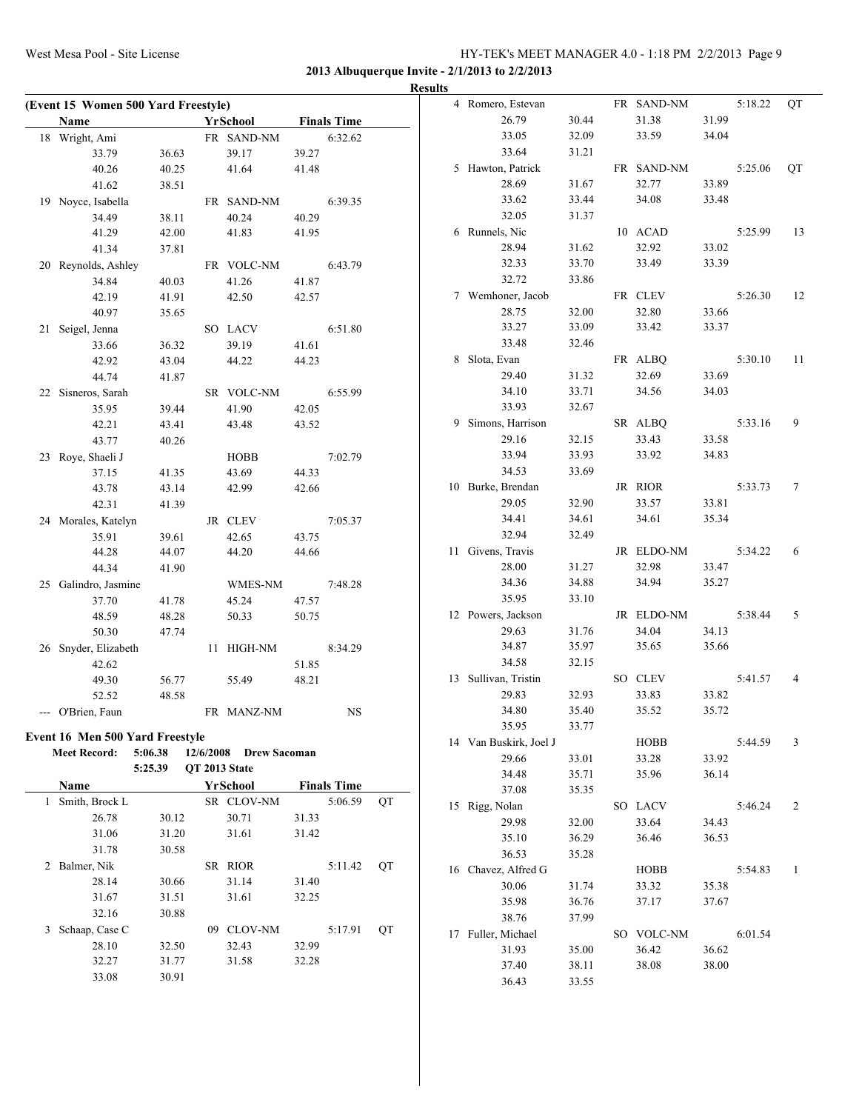**(Event 15 Women 500 Yard Freestyle)**

#### West Mesa Pool - Site License HY-TEK's MEET MANAGER 4.0 - 1:18 PM 2/2/2013 Page 9

**2013 Albuquerque Invite - 2/1/2013 to 2/2/2013 Results**

|                | <b>Name</b>                     |         |               | YrSchool            |                | <b>Finals Time</b> |    |
|----------------|---------------------------------|---------|---------------|---------------------|----------------|--------------------|----|
|                | 18 Wright, Ami                  |         |               | FR SAND-NM          |                | 6:32.62            |    |
|                | 33.79                           | 36.63   |               | 39.17               | 39.27          |                    |    |
|                | 40.26                           | 40.25   |               | 41.64               | 41.48          |                    |    |
|                | 41.62                           | 38.51   |               |                     |                |                    |    |
|                | 19 Noyce, Isabella              |         |               | FR SAND-NM          |                | 6:39.35            |    |
|                | 34.49                           | 38.11   |               | 40.24               | 40.29          |                    |    |
|                | 41.29                           | 42.00   |               | 41.83               | 41.95          |                    |    |
|                | 41.34                           | 37.81   |               |                     |                |                    |    |
|                | 20 Reynolds, Ashley             |         |               | FR VOLC-NM          |                | 6:43.79            |    |
|                | 34.84                           | 40.03   |               | 41.26               | 41.87          |                    |    |
|                | 42.19                           | 41.91   |               | 42.50               | 42.57          |                    |    |
|                | 40.97                           | 35.65   |               |                     |                |                    |    |
| 21             | Seigel, Jenna                   |         |               | SO LACV             |                | 6:51.80            |    |
|                | 33.66                           | 36.32   |               | 39.19               | 41.61          |                    |    |
|                | 42.92                           | 43.04   |               | 44.22               | 44.23          |                    |    |
|                | 44.74                           | 41.87   |               |                     |                |                    |    |
|                | 22 Sisneros, Sarah              |         |               | SR VOLC-NM          |                | 6:55.99            |    |
|                | 35.95                           | 39.44   |               | 41.90               | 42.05          |                    |    |
|                | 42.21                           | 43.41   |               | 43.48               | 43.52          |                    |    |
|                | 43.77                           | 40.26   |               |                     |                |                    |    |
|                |                                 |         |               |                     |                | 7:02.79            |    |
|                | 23 Roye, Shaeli J               |         |               | HOBB                |                |                    |    |
|                | 37.15                           | 41.35   |               | 43.69<br>42.99      | 44.33<br>42.66 |                    |    |
|                | 43.78                           | 43.14   |               |                     |                |                    |    |
|                | 42.31                           | 41.39   |               |                     |                |                    |    |
|                | 24 Morales, Katelyn             |         |               | JR CLEV             |                | 7:05.37            |    |
|                | 35.91                           | 39.61   |               | 42.65               | 43.75          |                    |    |
|                | 44.28                           | 44.07   |               | 44.20               | 44.66          |                    |    |
|                | 44.34                           | 41.90   |               |                     |                |                    |    |
|                | 25 Galindro, Jasmine            |         |               | WMES-NM             |                | 7:48.28            |    |
|                | 37.70                           | 41.78   |               | 45.24               | 47.57          |                    |    |
|                | 48.59                           | 48.28   |               | 50.33               | 50.75          |                    |    |
|                | 50.30                           | 47.74   |               |                     |                |                    |    |
| 26             | Snyder, Elizabeth               |         | 11            | HIGH-NM             |                | 8:34.29            |    |
|                | 42.62                           |         |               |                     | 51.85          |                    |    |
|                | 49.30                           | 56.77   |               | 55.49               | 48.21          |                    |    |
|                | 52.52                           | 48.58   |               |                     |                |                    |    |
|                | --- O'Brien, Faun               |         |               | FR MANZ-NM          |                | NS                 |    |
|                | Event 16 Men 500 Yard Freestyle |         |               |                     |                |                    |    |
|                | <b>Meet Record:</b>             | 5:06.38 | 12/6/2008     | <b>Drew Sacoman</b> |                |                    |    |
|                |                                 | 5:25.39 | QT 2013 State |                     |                |                    |    |
|                | Name                            |         |               | YrSchool            |                | <b>Finals Time</b> |    |
| $\mathbf{1}$   | Smith, Brock L                  |         |               | SR CLOV-NM          |                | 5:06.59            | QT |
|                | 26.78                           | 30.12   |               | 30.71               | 31.33          |                    |    |
|                | 31.06                           | 31.20   |               | 31.61               | 31.42          |                    |    |
|                | 31.78                           | 30.58   |               |                     |                |                    |    |
| $\overline{2}$ | Balmer, Nik                     |         |               | SR RIOR             |                | 5:11.42            | QT |
|                |                                 |         |               |                     |                |                    |    |
|                | 28.14                           | 30.66   |               | 31.14               | 31.40          |                    |    |
|                | 31.67                           | 31.51   |               | 31.61               | 32.25          |                    |    |
|                | 32.16                           | 30.88   |               |                     |                |                    |    |
| 3              | Schaap, Case C                  |         |               | 09 CLOV-NM          |                | 5:17.91            | QT |
|                | 28.10                           | 32.50   |               | 32.43               | 32.99          |                    |    |
|                | 32.27                           | 31.77   |               | 31.58               | 32.28          |                    |    |
|                | 33.08                           | 30.91   |               |                     |                |                    |    |

|    | 4 Romero, Estevan      |                |     | FR SAND-NM     |       | 5:18.22 | QT |
|----|------------------------|----------------|-----|----------------|-------|---------|----|
|    | 26.79                  | 30.44          |     | 31.38          | 31.99 |         |    |
|    | 33.05                  | 32.09          |     | 33.59          | 34.04 |         |    |
|    | 33.64                  | 31.21          |     |                |       |         |    |
| 5  | Hawton, Patrick        |                | FR  | <b>SAND-NM</b> |       | 5:25.06 | QT |
|    | 28.69                  | 31.67          |     | 32.77          | 33.89 |         |    |
|    | 33.62                  | 33.44          |     | 34.08          | 33.48 |         |    |
|    | 32.05                  | 31.37          |     |                |       |         |    |
| 6  | Runnels, Nic           |                |     | 10 ACAD        |       | 5:25.99 | 13 |
|    | 28.94                  | 31.62          |     | 32.92          | 33.02 |         |    |
|    | 32.33                  | 33.70          |     | 33.49          | 33.39 |         |    |
|    | 32.72                  |                |     |                |       |         |    |
|    |                        | 33.86          |     |                |       |         |    |
|    | 7 Wemhoner, Jacob      |                |     | FR CLEV        |       | 5:26.30 | 12 |
|    | 28.75                  | 32.00          |     | 32.80          | 33.66 |         |    |
|    | 33.27                  | 33.09          |     | 33.42          | 33.37 |         |    |
|    | 33.48                  | 32.46          |     |                |       |         |    |
| 8  | Slota, Evan            |                | FR  | <b>ALBQ</b>    |       | 5:30.10 | 11 |
|    | 29.40                  | 31.32          |     | 32.69          | 33.69 |         |    |
|    | 34.10                  | 33.71          |     | 34.56          | 34.03 |         |    |
|    | 33.93                  | 32.67          |     |                |       |         |    |
| 9  | Simons, Harrison       |                |     | SR ALBQ        |       | 5:33.16 | 9  |
|    | 29.16                  | 32.15          |     | 33.43          | 33.58 |         |    |
|    | 33.94                  | 33.93          |     | 33.92          | 34.83 |         |    |
|    | 34.53                  | 33.69          |     |                |       |         |    |
| 10 | Burke, Brendan         |                | JR  | <b>RIOR</b>    |       | 5:33.73 | 7  |
|    | 29.05                  | 32.90          |     | 33.57          | 33.81 |         |    |
|    | 34.41                  | 34.61          |     | 34.61          | 35.34 |         |    |
|    | 32.94                  | 32.49          |     |                |       |         |    |
| 11 | Givens, Travis         |                |     | JR ELDO-NM     |       | 5:34.22 | 6  |
|    | 28.00                  | 31.27          |     | 32.98          | 33.47 |         |    |
|    | 34.36                  | 34.88          |     | 34.94          | 35.27 |         |    |
|    | 35.95                  | 33.10          |     |                |       |         |    |
| 12 | Powers, Jackson        |                |     | JR ELDO-NM     |       | 5:38.44 | 5  |
|    | 29.63                  |                |     |                | 34.13 |         |    |
|    |                        | 31.76<br>35.97 |     | 34.04          | 35.66 |         |    |
|    | 34.87                  |                |     | 35.65          |       |         |    |
|    | 34.58                  | 32.15          |     |                |       |         |    |
| 13 | Sullivan, Tristin      |                |     | SO CLEV        |       | 5:41.57 | 4  |
|    | 29.83                  | 32.93          |     | 33.83          | 33.82 |         |    |
|    | 34.80                  | 35.40          |     | 35.52          | 35.72 |         |    |
|    | 35.95                  | 33.77          |     |                |       |         |    |
|    | 14 Van Buskirk, Joel J |                |     | HOBB           |       | 5:44.59 | 3  |
|    | 29.66                  | 33.01          |     | 33.28          | 33.92 |         |    |
|    | 34.48                  | 35.71          |     | 35.96          | 36.14 |         |    |
|    | 37.08                  | 35.35          |     |                |       |         |    |
| 15 | Rigg, Nolan            |                | SO. | <b>LACV</b>    |       | 5:46.24 | 2  |
|    | 29.98                  | 32.00          |     | 33.64          | 34.43 |         |    |
|    | 35.10                  | 36.29          |     | 36.46          | 36.53 |         |    |
|    | 36.53                  | 35.28          |     |                |       |         |    |
| 16 | Chavez, Alfred G       |                |     | <b>HOBB</b>    |       | 5:54.83 | 1  |
|    | 30.06                  | 31.74          |     | 33.32          | 35.38 |         |    |
|    | 35.98                  | 36.76          |     | 37.17          | 37.67 |         |    |
|    | 38.76                  | 37.99          |     |                |       |         |    |
| 17 | Fuller, Michael        |                |     | SO VOLC-NM     |       | 6:01.54 |    |
|    | 31.93                  | 35.00          |     | 36.42          | 36.62 |         |    |
|    | 37.40                  | 38.11          |     | 38.08          | 38.00 |         |    |
|    | 36.43                  | 33.55          |     |                |       |         |    |
|    |                        |                |     |                |       |         |    |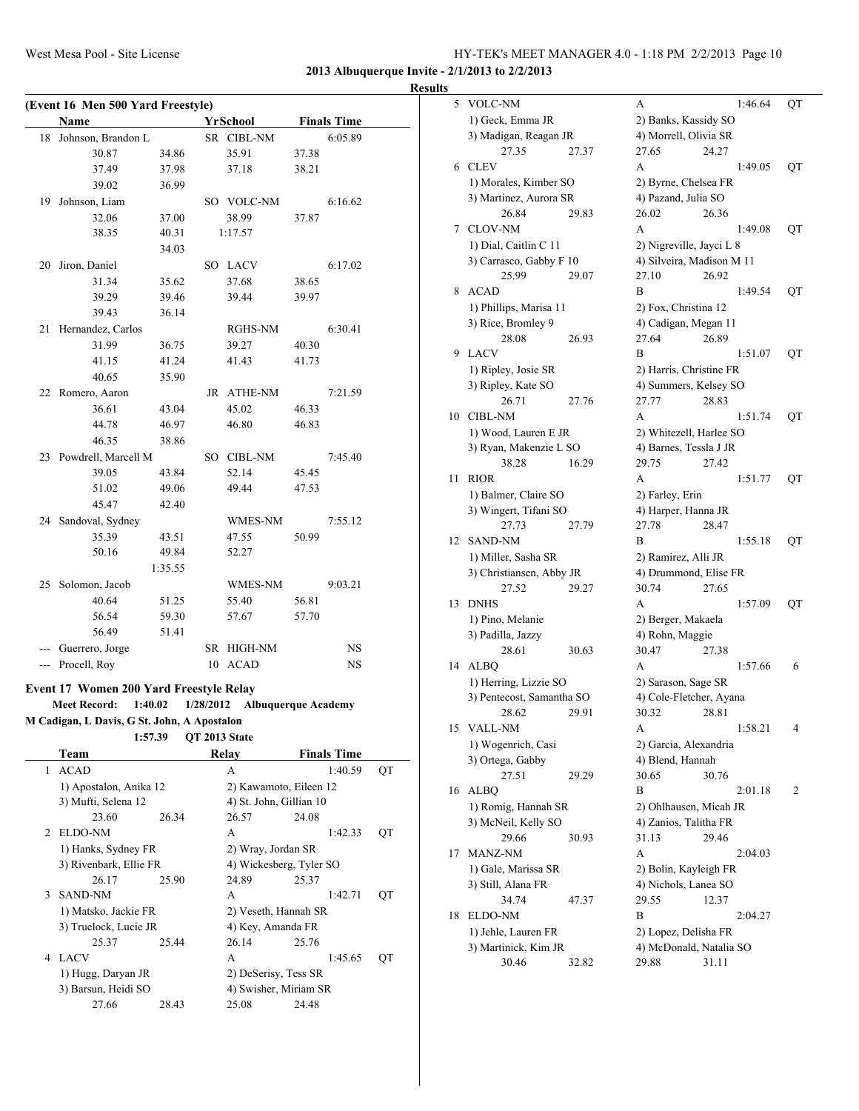**2013 Albuquerque Invite - 2/1/2013 to 2/2/2013**

| <b>Results</b> |
|----------------|
|----------------|

|              | Name                                        |         |           | YrSchool                   |       | <b>Finals Time</b> |    |
|--------------|---------------------------------------------|---------|-----------|----------------------------|-------|--------------------|----|
| 18           | Johnson, Brandon L                          |         |           | SR CIBL-NM                 |       | 6:05.89            |    |
|              | 30.87                                       | 34.86   |           | 35.91                      | 37.38 |                    |    |
|              | 37.49                                       | 37.98   |           | 37.18                      | 38.21 |                    |    |
|              | 39.02                                       | 36.99   |           |                            |       |                    |    |
| 19           | Johnson, Liam                               |         |           | SO VOLC-NM                 |       | 6:16.62            |    |
|              | 32.06                                       | 37.00   |           | 38.99                      | 37.87 |                    |    |
|              | 38.35                                       | 40.31   |           | 1:17.57                    |       |                    |    |
|              |                                             | 34.03   |           |                            |       |                    |    |
| 20           | Jiron, Daniel                               |         |           | SO LACV                    |       | 6:17.02            |    |
|              | 31.34                                       | 35.62   |           | 37.68                      | 38.65 |                    |    |
|              | 39.29                                       | 39.46   |           | 39.44                      | 39.97 |                    |    |
|              | 39.43                                       | 36.14   |           |                            |       |                    |    |
| 21           | Hernandez, Carlos                           |         |           | RGHS-NM                    |       | 6:30.41            |    |
|              | 31.99                                       | 36.75   |           | 39.27                      | 40.30 |                    |    |
|              | 41.15                                       | 41.24   |           | 41.43                      | 41.73 |                    |    |
|              | 40.65                                       | 35.90   |           |                            |       |                    |    |
|              | 22 Romero, Aaron                            |         |           | JR ATHE-NM                 |       | 7:21.59            |    |
|              | 36.61                                       | 43.04   |           | 45.02                      | 46.33 |                    |    |
|              | 44.78                                       | 46.97   |           | 46.80                      | 46.83 |                    |    |
|              | 46.35                                       | 38.86   |           |                            |       |                    |    |
|              | 23 Powdrell, Marcell M                      |         |           | SO CIBL-NM                 |       | 7:45.40            |    |
|              | 39.05                                       | 43.84   |           | 52.14                      | 45.45 |                    |    |
|              | 51.02                                       | 49.06   |           | 49.44                      | 47.53 |                    |    |
|              | 45.47                                       | 42.40   |           |                            |       |                    |    |
|              | 24 Sandoval, Sydney                         |         |           | WMES-NM                    |       | 7:55.12            |    |
|              | 35.39                                       | 43.51   |           | 47.55                      | 50.99 |                    |    |
|              | 50.16                                       | 49.84   |           | 52.27                      |       |                    |    |
|              |                                             | 1:35.55 |           |                            |       |                    |    |
| 25           | Solomon, Jacob                              |         |           | WMES-NM                    |       | 9:03.21            |    |
|              | 40.64                                       | 51.25   |           | 55.40                      | 56.81 |                    |    |
|              | 56.54                                       | 59.30   |           | 57.67                      | 57.70 |                    |    |
|              | 56.49                                       | 51.41   |           |                            |       |                    |    |
|              | --- Guerrero, Jorge                         |         |           | SR HIGH-NM                 |       | NS                 |    |
|              | --- Procell, Roy                            |         |           | 10 ACAD                    |       | <b>NS</b>          |    |
|              |                                             |         |           |                            |       |                    |    |
|              | Event 17 Women 200 Yard Freestyle Relay     |         |           |                            |       |                    |    |
|              | 1:40.02<br><b>Meet Record:</b>              |         | 1/28/2012 | <b>Albuquerque Academy</b> |       |                    |    |
|              | M Cadigan, L Davis, G St. John, A Apostalon |         |           |                            |       |                    |    |
|              | 1:57.39                                     |         |           | QT 2013 State              |       |                    |    |
|              | Team                                        |         |           | <b>Relay</b>               |       | <b>Finals Time</b> |    |
| $\mathbf{1}$ | <b>ACAD</b>                                 |         |           | A                          |       | 1:40.59            | QT |
|              | 1) Apostalon, Anika 12                      |         |           | 2) Kawamoto, Eileen 12     |       |                    |    |
|              | 3) Mufti, Selena 12                         |         |           | 4) St. John, Gillian 10    |       |                    |    |
|              | 23.60                                       | 26.34   |           | 26.57                      | 24.08 |                    |    |
| 2            | ELDO-NM                                     |         |           | A                          |       | 1:42.33            | QT |
|              | 1) Hanks, Sydney FR                         |         |           | 2) Wray, Jordan SR         |       |                    |    |
|              | 3) Rivenbark, Ellie FR                      |         |           | 4) Wickesberg, Tyler SO    |       |                    |    |
|              | 26.17                                       | 25.90   |           | 24.89                      | 25.37 |                    |    |
| 3            | <b>SAND-NM</b>                              |         |           | A                          |       | 1:42.71            | QT |
|              | 1) Matsko, Jackie FR                        |         |           | 2) Veseth, Hannah SR       |       |                    |    |
|              | 3) Truelock, Lucie JR                       |         |           | 4) Key, Amanda FR          |       |                    |    |
|              | 25.37                                       | 25.44   |           | 26.14                      | 25.76 |                    |    |
| 4            | LACV                                        |         |           | A                          |       | 1:45.65            | QT |
|              | 1) Hugg, Daryan JR                          |         |           | 2) DeSerisy, Tess SR       |       |                    |    |
|              | 3) Barsun, Heidi SO                         |         |           | 4) Swisher, Miriam SR      |       |                    |    |
|              | 27.66                                       | 28.43   |           | 25.08                      | 24.48 |                    |    |

| S  |                           |       |                           |       |         |    |
|----|---------------------------|-------|---------------------------|-------|---------|----|
| 5  | VOLC-NM                   |       | А                         |       | 1:46.64 | QT |
|    | 1) Geck, Emma JR          |       | 2) Banks, Kassidy SO      |       |         |    |
|    | 3) Madigan, Reagan JR     |       | 4) Morrell, Olivia SR     |       |         |    |
|    | 27.35                     | 27.37 | 27.65                     | 24.27 |         |    |
| 6  | <b>CLEV</b>               |       | A                         |       | 1:49.05 | QT |
|    | 1) Morales, Kimber SO     |       | 2) Byrne, Chelsea FR      |       |         |    |
|    | 3) Martinez, Aurora SR    |       | 4) Pazand, Julia SO       |       |         |    |
|    | 26.84                     | 29.83 | 26.02                     | 26.36 |         |    |
| 7  | <b>CLOV-NM</b>            |       | А                         |       | 1:49.08 | QT |
|    | 1) Dial, Caitlin C 11     |       | 2) Nigreville, Jayci L 8  |       |         |    |
|    | 3) Carrasco, Gabby F 10   |       | 4) Silveira, Madison M 11 |       |         |    |
|    | 25.99                     | 29.07 | 27.10                     | 26.92 |         |    |
| 8  | <b>ACAD</b>               |       | В                         |       | 1:49.54 | QT |
|    | 1) Phillips, Marisa 11    |       | 2) Fox, Christina 12      |       |         |    |
|    | 3) Rice, Bromley 9        |       | 4) Cadigan, Megan 11      |       |         |    |
|    | 28.08                     | 26.93 | 27.64                     | 26.89 |         |    |
| 9  | <b>LACV</b>               |       | В                         |       | 1:51.07 | QT |
|    | 1) Ripley, Josie SR       |       | 2) Harris, Christine FR   |       |         |    |
|    | 3) Ripley, Kate SO        |       | 4) Summers, Kelsey SO     |       |         |    |
|    | 26.71                     | 27.76 | 27.77                     | 28.83 |         |    |
| 10 | <b>CIBL-NM</b>            |       | A                         |       | 1:51.74 | QT |
|    | 1) Wood, Lauren E JR      |       | 2) Whitezell, Harlee SO   |       |         |    |
|    |                           |       |                           |       |         |    |
|    | 3) Ryan, Makenzie L SO    |       | 4) Barnes, Tessla J JR    |       |         |    |
| 11 | 38.28<br><b>RIOR</b>      | 16.29 | 29.75<br>А                | 27.42 | 1:51.77 |    |
|    |                           |       |                           |       |         | QT |
|    | 1) Balmer, Claire SO      |       | 2) Farley, Erin           |       |         |    |
|    | 3) Wingert, Tifani SO     |       | 4) Harper, Hanna JR       |       |         |    |
|    | 27.73                     | 27.79 | 27.78                     | 28.47 |         |    |
| 12 | <b>SAND-NM</b>            |       | В                         |       | 1:55.18 | QT |
|    | 1) Miller, Sasha SR       |       | 2) Ramirez, Alli JR       |       |         |    |
|    | 3) Christiansen, Abby JR  |       | 4) Drummond, Elise FR     |       |         |    |
|    | 27.52                     | 29.27 | 30.74                     | 27.65 |         |    |
| 13 | <b>DNHS</b>               |       | А                         |       | 1:57.09 | QT |
|    | 1) Pino, Melanie          |       | 2) Berger, Makaela        |       |         |    |
|    | 3) Padilla, Jazzy         |       | 4) Rohn, Maggie           |       |         |    |
|    | 28.61                     | 30.63 | 30.47                     | 27.38 |         |    |
| 14 | ALBO                      |       | A                         |       | 1:57.66 | 6  |
|    | 1) Herring, Lizzie SO     |       | 2) Sarason, Sage SR       |       |         |    |
|    | 3) Pentecost, Samantha SO |       | 4) Cole-Fletcher, Ayana   |       |         |    |
|    | 28.62                     | 29.91 | 30.32                     | 28.81 |         |    |
| 15 | VALL-NM                   |       | А                         |       | 1:58.21 | 4  |
|    | 1) Wogenrich, Casi        |       | 2) Garcia, Alexandria     |       |         |    |
|    | 3) Ortega, Gabby          |       | 4) Blend, Hannah          |       |         |    |
|    | 27.51                     | 29.29 | 30.65                     | 30.76 |         |    |
| 16 | <b>ALBQ</b>               |       | B                         |       | 2:01.18 | 2  |
|    | 1) Romig, Hannah SR       |       | 2) Ohlhausen, Micah JR    |       |         |    |
|    | 3) McNeil, Kelly SO       |       | 4) Zanios, Talitha FR     |       |         |    |
|    | 29.66                     | 30.93 | 31.13                     | 29.46 |         |    |
| 17 | MANZ-NM                   |       | A                         |       | 2:04.03 |    |
|    | 1) Gale, Marissa SR       |       | 2) Bolin, Kayleigh FR     |       |         |    |
|    | 3) Still, Alana FR        |       | 4) Nichols, Lanea SO      |       |         |    |
|    | 34.74                     | 47.37 | 29.55                     | 12.37 |         |    |
| 18 | ELDO-NM                   |       | B                         |       | 2:04.27 |    |
|    | 1) Jehle, Lauren FR       |       | 2) Lopez, Delisha FR      |       |         |    |
|    | 3) Martinick, Kim JR      |       | 4) McDonald, Natalia SO   |       |         |    |
|    | 30.46                     | 32.82 | 29.88                     | 31.11 |         |    |
|    |                           |       |                           |       |         |    |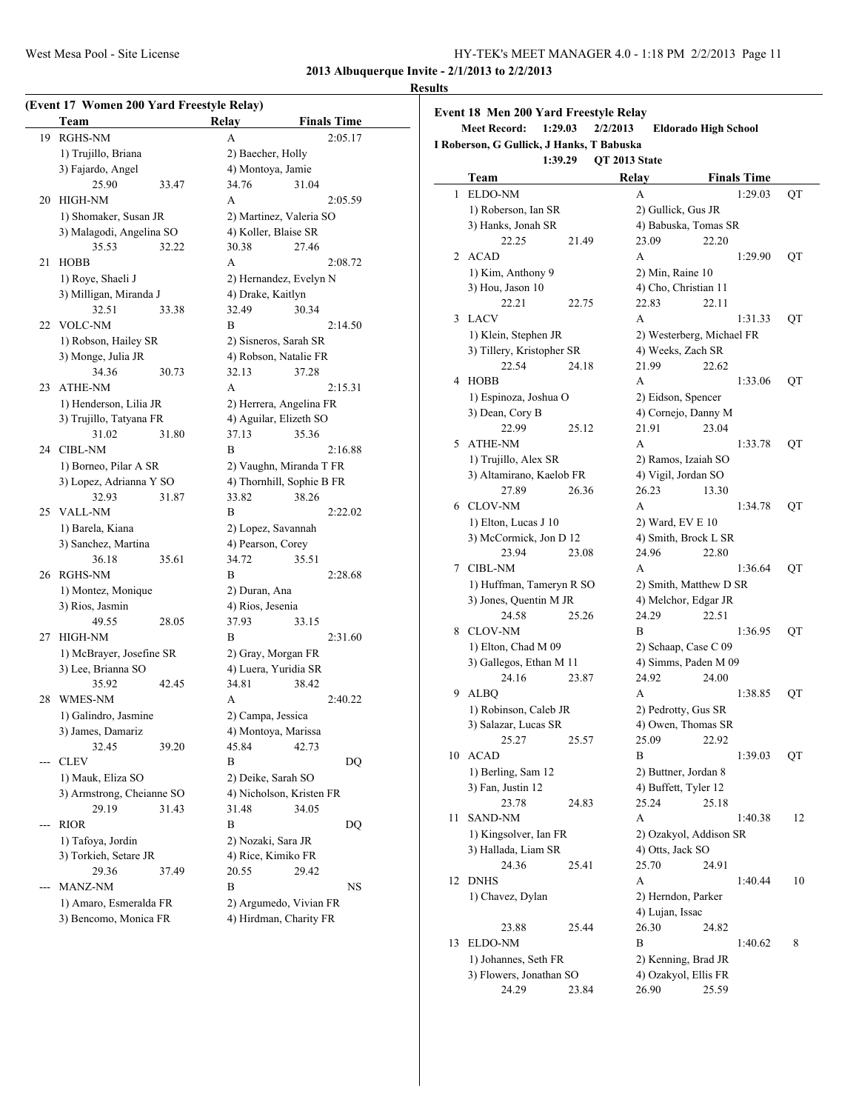#### **Results**

|       | Team                                            |       | Relay             | <b>Finals Time</b>        |
|-------|-------------------------------------------------|-------|-------------------|---------------------------|
| 19    | <b>RGHS-NM</b>                                  |       | A                 | 2:05.17                   |
|       | 1) Trujillo, Briana                             |       |                   | 2) Baecher, Holly         |
|       | 3) Fajardo, Angel                               |       |                   | 4) Montoya, Jamie         |
|       | 25.90                                           | 33.47 | 34.76             | 31.04                     |
| 20    | HIGH-NM                                         |       | А                 | 2:05.59                   |
|       | 1) Shomaker, Susan JR                           |       |                   | 2) Martinez, Valeria SO   |
|       | 3) Malagodi, Angelina SO                        |       |                   | 4) Koller, Blaise SR      |
|       | 35.53                                           | 32.22 | 30.38             | 27.46                     |
| 21    | <b>HOBB</b>                                     |       | A                 | 2:08.72                   |
|       | 1) Roye, Shaeli J                               |       |                   | 2) Hernandez, Evelyn N    |
|       | 3) Milligan, Miranda J                          |       | 4) Drake, Kaitlyn |                           |
|       | 32.51                                           | 33.38 | 32.49             | 30.34                     |
| 22    | <b>VOLC-NM</b>                                  |       | B                 | 2:14.50                   |
|       | 1) Robson, Hailey SR                            |       |                   | 2) Sisneros, Sarah SR     |
|       | 3) Monge, Julia JR                              |       |                   | 4) Robson, Natalie FR     |
|       | 34.36                                           | 30.73 | 32.13             | 37.28                     |
| 23    | <b>ATHE-NM</b>                                  |       | A                 | 2:15.31                   |
|       | 1) Henderson, Lilia JR                          |       |                   | 2) Herrera, Angelina FR   |
|       | 3) Trujillo, Tatyana FR                         |       |                   | 4) Aguilar, Elizeth SO    |
|       | 31.02                                           | 31.80 | 37.13             | 35.36                     |
| 24    | <b>CIBL-NM</b>                                  |       | B                 | 2:16.88                   |
|       | 1) Borneo, Pilar A SR                           |       |                   | 2) Vaughn, Miranda T FR   |
|       | 3) Lopez, Adrianna Y SO                         |       |                   | 4) Thornhill, Sophie B FR |
|       | 32.93                                           | 31.87 | 33.82             | 38.26                     |
| 25    | <b>VALL-NM</b>                                  |       | B                 | 2:22.02                   |
|       | 1) Barela, Kiana                                |       |                   | 2) Lopez, Savannah        |
|       | 3) Sanchez, Martina                             |       |                   | 4) Pearson, Corey         |
|       | 36.18                                           | 35.61 | 34.72             | 35.51                     |
| 26    | <b>RGHS-NM</b>                                  |       | B                 | 2:28.68                   |
|       | 1) Montez, Monique                              |       | 2) Duran, Ana     |                           |
|       | 3) Rios, Jasmin                                 |       | 4) Rios, Jesenia  |                           |
|       | 49.55                                           | 28.05 | 37.93             | 33.15                     |
| 27    | HIGH-NM                                         |       | B                 | 2:31.60                   |
|       | 1) McBrayer, Josefine SR                        |       |                   | 2) Gray, Morgan FR        |
|       | 3) Lee, Brianna SO                              |       |                   | 4) Luera, Yuridia SR      |
|       | 35.92                                           | 42.45 | 34.81             | 38.42                     |
| 28    | WMES-NM                                         |       | A                 | 2:40.22                   |
|       | 1) Galindro, Jasmine                            |       |                   | 2) Campa, Jessica         |
|       | 3) James, Damariz                               |       |                   | 4) Montoya, Marissa       |
|       | 32.45                                           | 39.20 | 45.84             | 42.73                     |
| ---   | <b>CLEV</b>                                     |       | B                 | DQ                        |
|       | 1) Mauk, Eliza SO                               |       |                   | 2) Deike, Sarah SO        |
|       | 3) Armstrong, Cheianne SO                       |       |                   | 4) Nicholson, Kristen FR  |
|       | 29.19                                           | 31.43 | 31.48             | 34.05                     |
| $---$ | <b>RIOR</b>                                     |       | B                 | DQ                        |
|       | 1) Tafoya, Jordin                               |       |                   | 2) Nozaki, Sara JR        |
|       | 3) Torkieh, Setare JR                           |       |                   | 4) Rice, Kimiko FR        |
|       | 29.36                                           | 37.49 | 20.55             | 29.42                     |
| ---   | <b>MANZ-NM</b>                                  |       | B                 | NS                        |
|       |                                                 |       |                   |                           |
|       | 1) Amaro, Esmeralda FR<br>3) Bencomo, Monica FR |       |                   | 2) Argumedo, Vivian FR    |
|       |                                                 |       |                   | 4) Hirdman, Charity FR    |

|    | Event 18 Men 200 Yard Freestyle Relay                                       |       |               |              |                                             |       |                    |    |
|----|-----------------------------------------------------------------------------|-------|---------------|--------------|---------------------------------------------|-------|--------------------|----|
|    | <b>Meet Record:</b><br>1:29.03<br>I Roberson, G Gullick, J Hanks, T Babuska |       | 2/2/2013      |              | <b>Eldorado High School</b>                 |       |                    |    |
|    | 1:39.29                                                                     |       | QT 2013 State |              |                                             |       |                    |    |
|    | Team                                                                        |       |               | <b>Relay</b> |                                             |       | <b>Finals Time</b> |    |
| 1  | <b>ELDO-NM</b>                                                              |       |               | А            |                                             |       | 1:29.03            | QT |
|    | 1) Roberson, Ian SR                                                         |       |               |              | 2) Gullick, Gus JR                          |       |                    |    |
|    | 3) Hanks, Jonah SR                                                          |       |               |              | 4) Babuska, Tomas SR                        |       |                    |    |
|    | 22.25                                                                       | 21.49 |               | 23.09        |                                             | 22.20 |                    |    |
| 2  | <b>ACAD</b>                                                                 |       |               | А            |                                             |       | 1:29.90            | QT |
|    | 1) Kim, Anthony 9                                                           |       |               |              | 2) Min, Raine 10                            |       |                    |    |
|    | 3) Hou, Jason 10                                                            |       |               |              | 4) Cho, Christian 11                        |       |                    |    |
|    | 22.21                                                                       | 22.75 |               | 22.83        |                                             | 22.11 |                    |    |
| 3  | <b>LACV</b>                                                                 |       |               | A            |                                             |       | 1:31.33            | QT |
|    | 1) Klein, Stephen JR                                                        |       |               |              | 2) Westerberg, Michael FR                   |       |                    |    |
|    | 3) Tillery, Kristopher SR                                                   |       |               |              | 4) Weeks, Zach SR                           |       |                    |    |
|    | 22.54                                                                       | 24.18 |               | 21.99        |                                             | 22.62 |                    |    |
| 4  | <b>HOBB</b>                                                                 |       |               | А            |                                             |       | 1:33.06            | QT |
|    | 1) Espinoza, Joshua O                                                       |       |               |              | 2) Eidson, Spencer                          |       |                    |    |
|    | 3) Dean, Cory B                                                             |       |               |              | 4) Cornejo, Danny M                         |       |                    |    |
|    | 22.99                                                                       | 25.12 |               | 21.91        |                                             | 23.04 |                    |    |
| 5  | <b>ATHE-NM</b>                                                              |       |               | А            |                                             |       | 1:33.78            | QT |
|    | 1) Trujillo, Alex SR                                                        |       |               |              | 2) Ramos, Izaiah SO                         |       |                    |    |
|    | 3) Altamirano, Kaelob FR                                                    |       |               |              | 4) Vigil, Jordan SO                         |       |                    |    |
|    | 27.89                                                                       | 26.36 |               | 26.23        |                                             | 13.30 |                    |    |
| 6  | CLOV-NM                                                                     |       |               | A            |                                             |       | 1:34.78            | QT |
|    | 1) Elton, Lucas J 10                                                        |       |               |              | 2) Ward, EV E 10                            |       |                    |    |
|    | 3) McCormick, Jon D 12                                                      |       |               |              | 4) Smith, Brock L SR                        |       |                    |    |
|    | 23.94                                                                       | 23.08 |               | 24.96        |                                             | 22.80 |                    |    |
| 7  | <b>CIBL-NM</b>                                                              |       |               | A            |                                             |       | 1:36.64            | QT |
|    | 1) Huffman, Tameryn R SO                                                    |       |               |              | 2) Smith, Matthew D SR                      |       |                    |    |
|    | 3) Jones, Quentin M JR                                                      |       |               |              | 4) Melchor, Edgar JR                        |       |                    |    |
|    | 24.58                                                                       | 25.26 |               | 24.29        |                                             | 22.51 |                    |    |
| 8  | <b>CLOV-NM</b>                                                              |       |               | B            |                                             |       | 1:36.95            | QT |
|    | 1) Elton, Chad M 09<br>3) Gallegos, Ethan M 11                              |       |               |              | 2) Schaap, Case C 09                        |       |                    |    |
|    | 24.16                                                                       | 23.87 |               | 24.92        | 4) Simms, Paden M 09                        | 24.00 |                    |    |
| 9  | ALBQ                                                                        |       |               | А            |                                             |       | 1:38.85            | QT |
|    | 1) Robinson, Caleb JR                                                       |       |               |              | 2) Pedrotty, Gus SR                         |       |                    |    |
|    | 3) Salazar, Lucas SR                                                        |       |               |              | 4) Owen, Thomas SR                          |       |                    |    |
|    | 25.27                                                                       | 25.57 |               | 25.09        |                                             | 22.92 |                    |    |
| 10 | <b>ACAD</b>                                                                 |       |               | B            |                                             |       | 1:39.03            | QT |
|    | 1) Berling, Sam 12                                                          |       |               |              | 2) Buttner, Jordan 8                        |       |                    |    |
|    | 3) Fan, Justin 12                                                           |       |               |              | 4) Buffett, Tyler 12                        |       |                    |    |
|    | 23.78                                                                       | 24.83 |               | 25.24        |                                             | 25.18 |                    |    |
| 11 | <b>SAND-NM</b>                                                              |       |               | А            |                                             |       | 1:40.38            | 12 |
|    | 1) Kingsolver, Ian FR                                                       |       |               |              | 2) Ozakyol, Addison SR                      |       |                    |    |
|    | 3) Hallada, Liam SR                                                         |       |               |              | 4) Otts, Jack SO                            |       |                    |    |
|    | 24.36                                                                       | 25.41 |               | 25.70        |                                             | 24.91 |                    |    |
| 12 | <b>DNHS</b>                                                                 |       |               | А            |                                             |       | 1:40.44            | 10 |
|    | 1) Chavez, Dylan                                                            |       |               |              | 2) Herndon, Parker                          |       |                    |    |
|    |                                                                             |       |               |              | 4) Lujan, Issac                             |       |                    |    |
|    | 23.88                                                                       | 25.44 |               | 26.30        |                                             | 24.82 |                    |    |
| 13 | ELDO-NM                                                                     |       |               | B            |                                             |       | 1:40.62            | 8  |
|    | 1) Johannes, Seth FR                                                        |       |               |              | 2) Kenning, Brad JR                         |       |                    |    |
|    | $_{\text{than CO}}$<br>$2)$ Elementary                                      |       |               |              | $O_{\text{real}}$ <sub>rie</sub> l Ellis ED |       |                    |    |

3) Flowers, Jonathan SO 4) Ozakyol, Ellis FR<br>24.29 23.84 26.90 25.59 24.29 23.84 26.90 25.59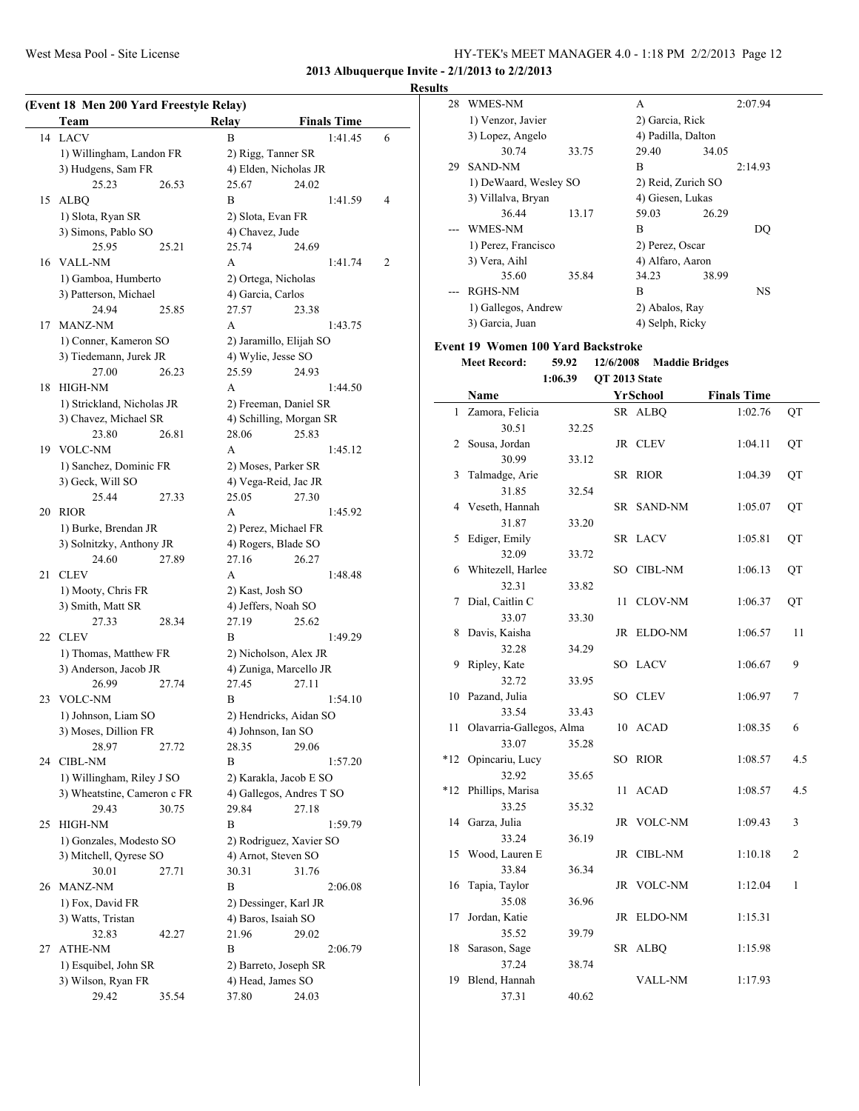#### **Results**

|    | (Event 18 Men 200 Yard Freestyle Relay)<br><b>Team</b> | Relay                      | <b>Finals Time</b>       |                |
|----|--------------------------------------------------------|----------------------------|--------------------------|----------------|
| 14 | <b>LACV</b>                                            | B                          | 1:41.45                  | 6              |
|    | 1) Willingham, Landon FR                               | 2) Rigg, Tanner SR         |                          |                |
|    | 3) Hudgens, Sam FR                                     |                            | 4) Elden, Nicholas JR    |                |
|    | 25.23<br>26.53                                         | 25.67                      | 24.02                    |                |
| 15 | <b>ALBQ</b>                                            | B                          | 1:41.59                  | $\overline{4}$ |
|    | 1) Slota, Ryan SR                                      | 2) Slota, Evan FR          |                          |                |
|    | 3) Simons, Pablo SO                                    | 4) Chavez, Jude            |                          |                |
|    | 25.95<br>25.21                                         | 25.74                      | 24.69                    |                |
| 16 | <b>VALL-NM</b>                                         | A                          | 1:41.74                  | $\overline{2}$ |
|    | 1) Gamboa, Humberto                                    | 2) Ortega, Nicholas        |                          |                |
|    | 3) Patterson, Michael                                  | 4) Garcia, Carlos          |                          |                |
|    | 24.94<br>25.85                                         | 27.57                      | 23.38                    |                |
| 17 | <b>MANZ-NM</b>                                         | A                          | 1:43.75                  |                |
|    |                                                        |                            |                          |                |
|    | 1) Conner, Kameron SO                                  |                            | 2) Jaramillo, Elijah SO  |                |
|    | 3) Tiedemann, Jurek JR                                 | 4) Wylie, Jesse SO         |                          |                |
|    | 27.00<br>26.23                                         | 25.59                      | 24.93                    |                |
| 18 | <b>HIGH-NM</b>                                         | A                          | 1:44.50                  |                |
|    | 1) Strickland, Nicholas JR                             |                            | 2) Freeman, Daniel SR    |                |
|    | 3) Chavez, Michael SR                                  |                            | 4) Schilling, Morgan SR  |                |
|    | 23.80<br>26.81                                         | 28.06                      | 25.83                    |                |
| 19 | <b>VOLC-NM</b>                                         | A                          | 1:45.12                  |                |
|    | 1) Sanchez, Dominic FR                                 |                            | 2) Moses, Parker SR      |                |
|    | 3) Geck, Will SO                                       |                            | 4) Vega-Reid, Jac JR     |                |
|    | 25.44<br>27.33                                         | 25.05                      | 27.30                    |                |
| 20 | <b>RIOR</b>                                            | A                          | 1:45.92                  |                |
|    | 1) Burke, Brendan JR                                   |                            | 2) Perez, Michael FR     |                |
|    | 3) Solnitzky, Anthony JR                               |                            | 4) Rogers, Blade SO      |                |
|    | 24.60<br>27.89                                         | 27.16                      | 26.27                    |                |
| 21 | <b>CLEV</b>                                            | A                          | 1:48.48                  |                |
|    | 1) Mooty, Chris FR                                     | 2) Kast, Josh SO           |                          |                |
|    | 3) Smith, Matt SR                                      | 4) Jeffers, Noah SO        |                          |                |
|    | 27.33<br>28.34                                         | 27.19                      | 25.62                    |                |
| 22 | <b>CLEV</b>                                            | B                          | 1:49.29                  |                |
|    | 1) Thomas, Matthew FR                                  |                            | 2) Nicholson, Alex JR    |                |
|    | 3) Anderson, Jacob JR                                  |                            | 4) Zuniga, Marcello JR   |                |
|    | 26.99<br>27.74                                         | 27.45                      | 27.11                    |                |
| 23 | <b>VOLC-NM</b>                                         | В                          | 1:54.10                  |                |
|    | 1) Johnson, Liam SO                                    |                            | 2) Hendricks, Aidan SO   |                |
|    | 3) Moses, Dillion FR                                   | 4) Johnson, Ian SO         |                          |                |
|    | 28.97<br>27.72                                         | 28.35                      | 29.06                    |                |
| 24 | CIBL-NM                                                | B                          | 1:57.20                  |                |
|    | 1) Willingham, Riley J SO                              |                            | 2) Karakla, Jacob E SO   |                |
|    | 3) Wheatstine, Cameron c FR                            |                            | 4) Gallegos, Andres T SO |                |
|    | 29.43<br>30.75                                         | 29.84                      | 27.18                    |                |
| 25 | <b>HIGH-NM</b>                                         | B                          | 1:59.79                  |                |
|    | 1) Gonzales, Modesto SO                                |                            | 2) Rodriguez, Xavier SO  |                |
|    | 3) Mitchell, Oyrese SO                                 |                            | 4) Arnot, Steven SO      |                |
|    | 30.01<br>27.71                                         | 30.31                      | 31.76                    |                |
| 26 | MANZ-NM                                                | B                          | 2:06.08                  |                |
|    |                                                        |                            |                          |                |
|    | 1) Fox, David FR                                       |                            | 2) Dessinger, Karl JR    |                |
|    | 3) Watts, Tristan                                      | 4) Baros, Isaiah SO        |                          |                |
|    | 32.83<br>42.27                                         | 21.96                      | 29.02                    |                |
| 27 | ATHE-NM                                                | B                          | 2:06.79                  |                |
|    |                                                        |                            |                          |                |
|    | 1) Esquibel, John SR                                   |                            | 2) Barreto, Joseph SR    |                |
|    | 3) Wilson, Ryan FR<br>29.42<br>35.54                   | 4) Head, James SO<br>37.80 | 24.03                    |                |

| ιιэ          |                                           |         |           |                       |                    |    |
|--------------|-------------------------------------------|---------|-----------|-----------------------|--------------------|----|
| 28           | WMES-NM                                   |         |           | A                     | 2:07.94            |    |
|              | 1) Venzor, Javier                         |         |           | 2) Garcia, Rick       |                    |    |
|              | 3) Lopez, Angelo                          |         |           | 4) Padilla, Dalton    |                    |    |
|              | 30.74                                     | 33.75   |           | 29.40                 | 34.05              |    |
| 29           | <b>SAND-NM</b>                            |         |           | B                     | 2:14.93            |    |
|              | 1) DeWaard, Wesley SO                     |         |           | 2) Reid, Zurich SO    |                    |    |
|              | 3) Villalva, Bryan                        |         |           | 4) Giesen, Lukas      |                    |    |
|              | 36.44                                     | 13.17   |           | 59.03                 | 26.29              |    |
|              | <b>WMES-NM</b>                            |         |           | $\overline{B}$        | DO                 |    |
|              | 1) Perez, Francisco                       |         |           | 2) Perez, Oscar       |                    |    |
|              | 3) Vera, Aihl                             |         |           | 4) Alfaro, Aaron      |                    |    |
|              | 35.60                                     | 35.84   |           | 34.23                 | 38.99              |    |
|              | <b>RGHS-NM</b>                            |         |           | B                     | NS                 |    |
|              | 1) Gallegos, Andrew                       |         |           | 2) Abalos, Ray        |                    |    |
|              | 3) Garcia, Juan                           |         |           | 4) Selph, Ricky       |                    |    |
|              | <b>Event 19 Women 100 Yard Backstroke</b> |         |           |                       |                    |    |
|              | <b>Meet Record:</b>                       | 59.92   | 12/6/2008 | <b>Maddie Bridges</b> |                    |    |
|              |                                           | 1:06.39 |           | OT 2013 State         |                    |    |
|              | Name                                      |         |           | YrSchool              | <b>Finals Time</b> |    |
| $\mathbf{1}$ | Zamora, Felicia                           |         |           | SR ALBQ               | 1:02.76            | QT |
|              | 30.51                                     | 32.25   |           |                       |                    |    |
| 2            | Sousa, Jordan                             |         |           | JR CLEV               | 1:04.11            | QT |
|              | 30.99                                     | 33.12   |           |                       |                    |    |
| 3            | Talmadge, Arie                            |         | SR        | <b>RIOR</b>           | 1:04.39            | QT |
|              | 31.85                                     | 32.54   |           |                       |                    |    |
| 4            | Veseth, Hannah                            |         | SR        | <b>SAND-NM</b>        | 1:05.07            | QT |
|              | 31.87                                     | 33.20   |           |                       |                    |    |
| 5            | Ediger, Emily                             |         |           | SR LACV               | 1:05.81            | QT |
|              | 32.09                                     | 33.72   |           |                       |                    |    |
| 6            | Whitezell, Harlee                         |         |           | SO CIBL-NM            | 1:06.13            | QT |
|              | 32.31                                     | 33.82   |           |                       |                    |    |
| 7            | Dial, Caitlin C                           |         | 11        | <b>CLOV-NM</b>        | 1:06.37            | QT |
|              | 33.07                                     | 33.30   |           |                       |                    |    |
| 8            | Davis, Kaisha                             |         |           | JR ELDO-NM            | 1:06.57            | 11 |
|              | 32.28                                     | 34.29   |           |                       |                    |    |
| 9            | Ripley, Kate                              |         |           | SO LACV               | 1:06.67            | 9  |
|              | 32.72                                     | 33.95   |           |                       |                    |    |
| 10           | Pazand, Julia                             |         |           | SO CLEV               | 1:06.97            | 7  |
|              |                                           |         |           |                       |                    |    |

|    | 32.72                    | 33.95 |     |             |         |                |
|----|--------------------------|-------|-----|-------------|---------|----------------|
|    | 10 Pazand, Julia         |       |     | SO CLEV     | 1:06.97 | $\overline{7}$ |
|    | 33.54                    | 33.43 |     |             |         |                |
| 11 | Olavarria-Gallegos, Alma |       |     | 10 ACAD     | 1:08.35 | 6              |
|    | 33.07                    | 35.28 |     |             |         |                |
|    | *12 Opincariu, Lucy      |       | SO. | <b>RIOR</b> | 1:08.57 | 4.5            |
|    | 32.92                    | 35.65 |     |             |         |                |
|    | *12 Phillips, Marisa     |       | 11  | <b>ACAD</b> | 1:08.57 | 4.5            |
|    | 33.25                    | 35.32 |     |             |         |                |
|    | 14 Garza, Julia          |       |     | JR VOLC-NM  | 1:09.43 | 3              |
|    | 33.24                    | 36.19 |     |             |         |                |
|    | 15 Wood, Lauren E        |       |     | JR CIBL-NM  | 1:10.18 | $\overline{2}$ |
|    | 33.84                    | 36.34 |     |             |         |                |
|    | 16 Tapia, Taylor         |       |     | JR VOLC-NM  | 1:12.04 | 1              |
|    | 35.08                    | 36.96 |     |             |         |                |
| 17 | Jordan, Katie            |       |     | JR ELDO-NM  | 1:15.31 |                |
|    | 35.52                    | 39.79 |     |             |         |                |
| 18 | Sarason, Sage            |       |     | SR ALBO     | 1:15.98 |                |
|    | 37.24                    | 38.74 |     |             |         |                |
| 19 | Blend, Hannah            |       |     | VALL-NM     | 1:17.93 |                |

37.31 40.62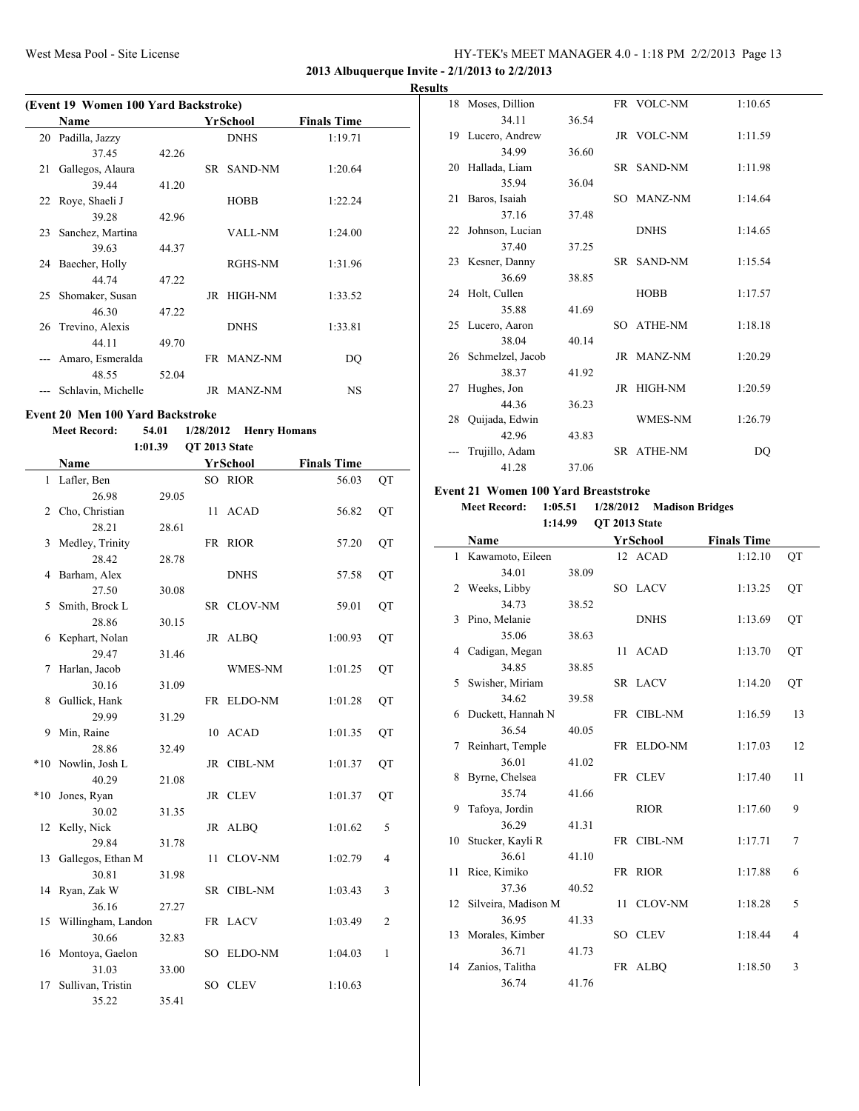**2013 Albuquerque Invite - 2/1/2013 to 2/2/2013**

**Results**

|    | (Event 19 Women 100 Yard Backstroke) |       |  |                |                    |  |  |  |  |
|----|--------------------------------------|-------|--|----------------|--------------------|--|--|--|--|
|    | Name                                 |       |  | YrSchool       | <b>Finals Time</b> |  |  |  |  |
| 20 | Padilla, Jazzy                       |       |  | <b>DNHS</b>    | 1:19.71            |  |  |  |  |
|    | 37.45                                | 42.26 |  |                |                    |  |  |  |  |
| 21 | Gallegos, Alaura                     |       |  | SR SAND-NM     | 1:20.64            |  |  |  |  |
|    | 39.44                                | 41.20 |  |                |                    |  |  |  |  |
|    | 22 Roye, Shaeli J                    |       |  | <b>HOBB</b>    | 1:22.24            |  |  |  |  |
|    | 39.28                                | 42.96 |  |                |                    |  |  |  |  |
| 23 | Sanchez, Martina                     |       |  | <b>VALL-NM</b> | 1:24.00            |  |  |  |  |
|    | 39.63                                | 44.37 |  |                |                    |  |  |  |  |
|    | 24 Baecher, Holly                    |       |  | RGHS-NM        | 1:31.96            |  |  |  |  |
|    | 44.74                                | 47.22 |  |                |                    |  |  |  |  |
| 25 | Shomaker, Susan                      |       |  | JR HIGH-NM     | 1:33.52            |  |  |  |  |
|    | 46.30                                | 47.22 |  |                |                    |  |  |  |  |
| 26 | Trevino, Alexis                      |       |  | <b>DNHS</b>    | 1:33.81            |  |  |  |  |
|    | 44.11                                | 49.70 |  |                |                    |  |  |  |  |
|    | Amaro, Esmeralda                     |       |  | FR MANZ-NM     | DO                 |  |  |  |  |
|    | 48.55                                | 52.04 |  |                |                    |  |  |  |  |
|    | Schlavin, Michelle                   |       |  | JR MANZ-NM     | <b>NS</b>          |  |  |  |  |
|    |                                      |       |  |                |                    |  |  |  |  |

#### **Event 20 Men 100 Yard Backstroke**

 $\overline{a}$ 

#### **Meet Record: 54.01 1/28/2012 Henry Homans 1:01.39 QT 2013 State**

|       | Name               |       |    | YrSchool       | <b>Finals Time</b> |                |
|-------|--------------------|-------|----|----------------|--------------------|----------------|
|       | 1 Lafler, Ben      |       |    | SO RIOR        | 56.03              | QT             |
|       | 26.98              | 29.05 |    |                |                    |                |
| 2     | Cho, Christian     |       | 11 | <b>ACAD</b>    | 56.82              | QT             |
|       | 28.21              | 28.61 |    |                |                    |                |
| 3     | Medley, Trinity    |       |    | FR RIOR        | 57.20              | QT             |
|       | 28.42              | 28.78 |    |                |                    |                |
| 4     | Barham, Alex       |       |    | <b>DNHS</b>    | 57.58              | QT             |
|       | 27.50              | 30.08 |    |                |                    |                |
| 5     | Smith, Brock L     |       |    | SR CLOV-NM     | 59.01              | QT             |
|       | 28.86              | 30.15 |    |                |                    |                |
| 6     | Kephart, Nolan     |       |    | JR ALBQ        | 1:00.93            | QT             |
|       | 29.47              | 31.46 |    |                |                    |                |
| 7     | Harlan, Jacob      |       |    | WMES-NM        | 1:01.25            | QT             |
|       | 30.16              | 31.09 |    |                |                    |                |
| 8     | Gullick, Hank      |       |    | FR ELDO-NM     | 1:01.28            | QT             |
|       | 29.99              | 31.29 |    |                |                    |                |
| 9     | Min, Raine         |       |    | 10 ACAD        | 1:01.35            | QT             |
|       | 28.86              | 32.49 |    |                |                    |                |
| $*10$ | Nowlin, Josh L     |       |    | JR CIBL-NM     | 1:01.37            | QT             |
|       | 40.29              | 21.08 |    |                |                    |                |
| $*10$ | Jones, Ryan        |       |    | JR CLEV        | 1:01.37            | QT             |
|       | 30.02              | 31.35 |    |                |                    |                |
|       | 12 Kelly, Nick     |       |    | JR ALBQ        | 1:01.62            | 5              |
|       | 29.84              | 31.78 |    |                |                    |                |
| 13    | Gallegos, Ethan M  |       | 11 | <b>CLOV-NM</b> | 1:02.79            | 4              |
|       | 30.81              | 31.98 |    |                |                    |                |
| 14    | Ryan, Zak W        |       |    | SR CIBL-NM     | 1:03.43            | 3              |
|       | 36.16              | 27.27 |    |                |                    |                |
| 15    | Willingham, Landon |       |    | FR LACV        | 1:03.49            | $\overline{2}$ |
|       | 30.66              | 32.83 |    |                |                    |                |
|       | 16 Montoya, Gaelon |       |    | SO ELDO-NM     | 1:04.03            | $\mathbf{1}$   |
|       | 31.03              | 33.00 |    |                |                    |                |
| 17    | Sullivan, Tristin  |       |    | SO CLEV        | 1:10.63            |                |
|       | 35.22              | 35.41 |    |                |                    |                |

|    | 18 Moses, Dillion   |       | FR VOLC-NM     | 1:10.65 |
|----|---------------------|-------|----------------|---------|
|    | 34.11               | 36.54 |                |         |
|    | 19 Lucero, Andrew   |       | JR VOLC-NM     | 1:11.59 |
|    | 34.99               | 36.60 |                |         |
|    | 20 Hallada, Liam    |       | SR SAND-NM     | 1:11.98 |
|    | 35.94               | 36.04 |                |         |
|    | 21 Baros, Isaiah    |       | SO MANZ-NM     | 1:14.64 |
|    | 37.16               | 37.48 |                |         |
|    | 22 Johnson, Lucian  |       | <b>DNHS</b>    | 1:14.65 |
|    | 37.40               | 37.25 |                |         |
|    | 23 Kesner, Danny    |       | SR SAND-NM     | 1:15.54 |
|    | 36.69               | 38.85 |                |         |
|    | 24 Holt, Cullen     |       | <b>HOBB</b>    | 1:17.57 |
|    | 35.88               | 41.69 |                |         |
|    | 25 Lucero, Aaron    |       | SO ATHE-NM     | 1:18.18 |
|    | 38.04               | 40.14 |                |         |
|    | 26 Schmelzel, Jacob |       | JR MANZ-NM     | 1:20.29 |
|    | 38.37               | 41.92 |                |         |
| 27 | Hughes, Jon         |       | JR HIGH-NM     | 1:20.59 |
|    | 44.36               | 36.23 |                |         |
| 28 | Quijada, Edwin      |       | <b>WMES-NM</b> | 1:26.79 |
|    | 42.96               | 43.83 |                |         |
|    | Trujillo, Adam      |       | SR ATHE-NM     | DQ      |
|    | 41.28               | 37.06 |                |         |

#### **Event 21 Women 100 Yard Breaststroke**

**Meet Record: 1:05.51 1/28/2012 Madison Bridges 1:14.99 QT 2013 State**

|    | Name                   |       | YrSchool    | <b>Finals Time</b> |    |
|----|------------------------|-------|-------------|--------------------|----|
|    | 1 Kawamoto, Eileen     |       | 12 ACAD     | 1:12.10            | QT |
|    | 34.01                  | 38.09 |             |                    |    |
| 2  | Weeks, Libby           |       | SO LACV     | 1:13.25            | QT |
|    | 34.73                  | 38.52 |             |                    |    |
|    | 3 Pino, Melanie        |       | <b>DNHS</b> | 1:13.69            | QT |
|    | 35.06                  | 38.63 |             |                    |    |
|    | 4 Cadigan, Megan       |       | 11 ACAD     | 1:13.70            | QT |
|    | 34.85                  | 38.85 |             |                    |    |
|    | 5 Swisher, Miriam      |       | SR LACV     | 1:14.20            | QT |
|    | 34.62                  | 39.58 |             |                    |    |
|    | 6 Duckett, Hannah N    |       | FR CIBL-NM  | 1:16.59            | 13 |
|    | 36.54                  | 40.05 |             |                    |    |
| 7  | Reinhart, Temple       |       | FR ELDO-NM  | 1:17.03            | 12 |
|    | 36.01                  | 41.02 |             |                    |    |
|    | 8 Byrne, Chelsea       |       | FR CLEV     | 1:17.40            | 11 |
|    | 35.74                  | 41.66 |             |                    |    |
| 9  | Tafoya, Jordin         |       | <b>RIOR</b> | 1:17.60            | 9  |
|    | 36.29                  | 41.31 |             |                    |    |
|    | 10 Stucker, Kayli R    |       | FR CIBL-NM  | 1:17.71            | 7  |
|    | 36.61                  | 41.10 |             |                    |    |
| 11 | Rice, Kimiko           |       | FR RIOR     | 1:17.88            | 6  |
|    | 37.36                  | 40.52 |             |                    |    |
|    | 12 Silveira, Madison M |       | 11 CLOV-NM  | 1:18.28            | 5  |
|    | 36.95                  | 41.33 |             |                    |    |
|    | 13 Morales, Kimber     |       | SO CLEV     | 1:18.44            | 4  |
|    | 36.71                  | 41.73 |             |                    |    |
|    | 14 Zanios, Talitha     |       | FR ALBQ     | 1:18.50            | 3  |
|    | 36.74                  | 41.76 |             |                    |    |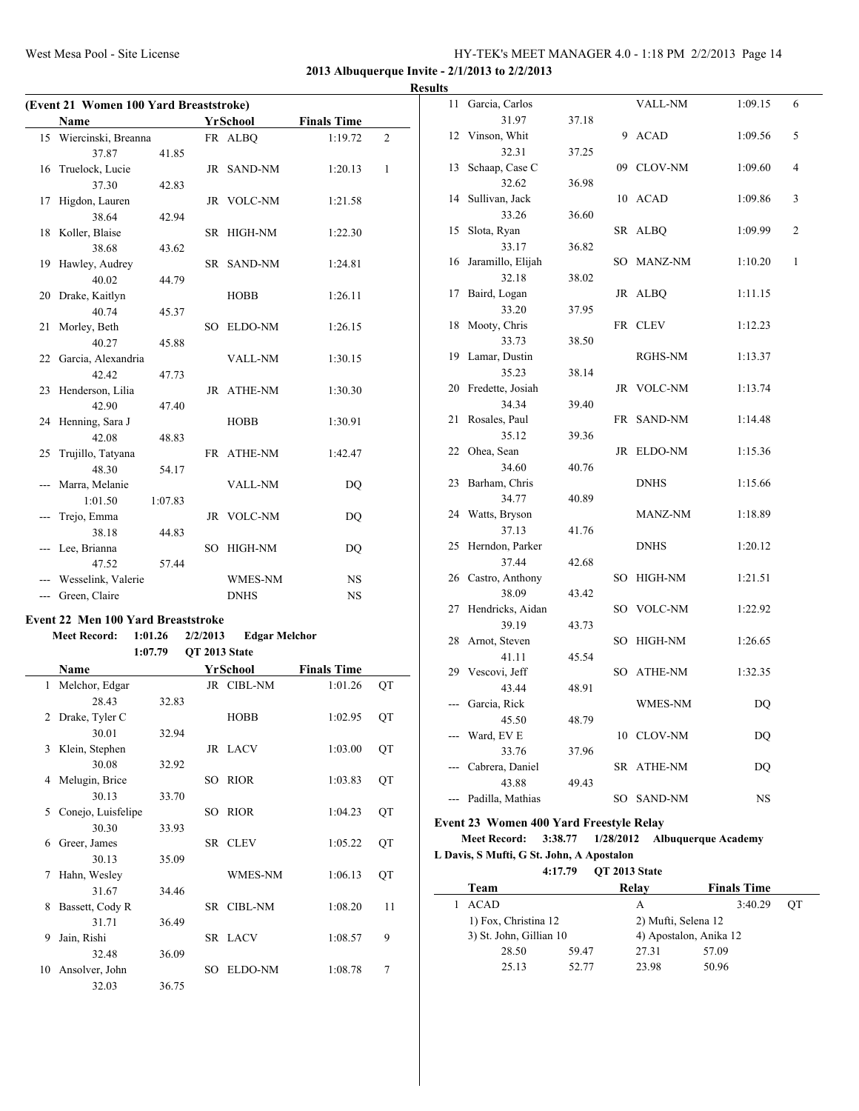**2013 Albuquerque Invite - 2/1/2013 to 2/2/2013**

|     | (Event 21 Women 100 Yard Breaststroke) |         |               |                      |                    |   |  |
|-----|----------------------------------------|---------|---------------|----------------------|--------------------|---|--|
|     | Name                                   |         |               | <b>YrSchool</b>      | <b>Finals Time</b> |   |  |
|     | 15 Wiercinski, Breanna                 |         |               | FR ALBQ              | 1:19.72            | 2 |  |
|     | 37.87                                  | 41.85   |               |                      |                    |   |  |
| 16  | Truelock, Lucie                        |         |               | JR SAND-NM           | 1:20.13            | 1 |  |
|     | 37.30                                  | 42.83   |               |                      |                    |   |  |
| 17  | Higdon, Lauren                         |         |               | JR VOLC-NM           | 1:21.58            |   |  |
|     | 38.64                                  | 42.94   |               |                      |                    |   |  |
|     | 18 Koller, Blaise                      |         |               | SR HIGH-NM           | 1:22.30            |   |  |
|     | 38.68                                  | 43.62   |               |                      |                    |   |  |
|     | 19 Hawley, Audrey                      |         |               | SR SAND-NM           | 1:24.81            |   |  |
|     | 40.02                                  | 44.79   |               |                      |                    |   |  |
|     | 20 Drake, Kaitlyn                      |         |               | <b>HOBB</b>          | 1:26.11            |   |  |
|     | 40.74                                  | 45.37   |               |                      |                    |   |  |
| 21  | Morley, Beth                           |         | SO            | ELDO-NM              | 1:26.15            |   |  |
|     | 40.27                                  | 45.88   |               |                      |                    |   |  |
|     | 22 Garcia, Alexandria                  |         |               | VALL-NM              | 1:30.15            |   |  |
|     | 42.42                                  | 47.73   |               |                      |                    |   |  |
|     | 23 Henderson, Lilia                    |         |               | JR ATHE-NM           | 1:30.30            |   |  |
|     | 42.90                                  | 47.40   |               |                      |                    |   |  |
|     | 24 Henning, Sara J                     |         |               | HOBB                 | 1:30.91            |   |  |
|     | 42.08                                  | 48.83   |               |                      |                    |   |  |
| 25  | Trujillo, Tatyana                      |         |               | FR ATHE-NM           | 1:42.47            |   |  |
|     | 48.30                                  | 54.17   |               |                      |                    |   |  |
|     | Marra, Melanie                         |         |               | <b>VALL-NM</b>       | <b>DQ</b>          |   |  |
|     | 1:01.50                                | 1:07.83 |               |                      |                    |   |  |
|     | Trejo, Emma                            |         |               | JR VOLC-NM           | D <sub>O</sub>     |   |  |
|     | 38.18                                  | 44.83   |               |                      |                    |   |  |
| --- | Lee, Brianna                           |         | SO            | HIGH-NM              | <b>DQ</b>          |   |  |
|     | 47.52                                  | 57.44   |               |                      |                    |   |  |
| --- | Wesselink, Valerie                     |         |               | <b>WMES-NM</b>       | <b>NS</b>          |   |  |
|     | --- Green, Claire                      |         |               | <b>DNHS</b>          | NS                 |   |  |
|     | Event 22 Men 100 Yard Breaststroke     |         |               |                      |                    |   |  |
|     | <b>Meet Record:</b>                    | 1:01.26 | 2/2/2013      | <b>Edgar Melchor</b> |                    |   |  |
|     |                                        | 1:07.79 | QT 2013 State |                      |                    |   |  |
|     | Name                                   |         |               | <b>YrSchool</b>      | <b>Finals Time</b> |   |  |

|               | Name               |       |    | YrSchool       | Finals Time |    |
|---------------|--------------------|-------|----|----------------|-------------|----|
| 1             | Melchor, Edgar     |       |    | JR CIBL-NM     | 1:01.26     | QT |
|               | 28.43              | 32.83 |    |                |             |    |
| $\mathcal{L}$ | Drake, Tyler C     |       |    | <b>HOBB</b>    | 1:02.95     | QT |
|               | 30.01              | 32.94 |    |                |             |    |
| 3             | Klein, Stephen     |       |    | JR LACV        | 1:03.00     | QT |
|               | 30.08              | 32.92 |    |                |             |    |
| 4             | Melugin, Brice     |       | SО | <b>RIOR</b>    | 1:03.83     | QT |
|               | 30.13              | 33.70 |    |                |             |    |
| 5             | Conejo, Luisfelipe |       | SO | <b>RIOR</b>    | 1:04.23     | QT |
|               | 30.30              | 33.93 |    |                |             |    |
| 6             | Greer, James       |       |    | SR CLEV        | 1:05.22     | QT |
|               | 30.13              | 35.09 |    |                |             |    |
| 7             | Hahn, Wesley       |       |    | <b>WMES-NM</b> | 1:06.13     | QT |
|               | 31.67              | 34.46 |    |                |             |    |
| 8             | Bassett, Cody R    |       |    | SR CIBL-NM     | 1:08.20     | 11 |
|               | 31.71              | 36.49 |    |                |             |    |
| 9             | Jain, Rishi        |       |    | SR LACV        | 1:08.57     | 9  |
|               | 32.48              | 36.09 |    |                |             |    |
| 10            | Ansolver, John     |       | SО | ELDO-NM        | 1:08.78     | 7  |
|               | 32.03              | 36.75 |    |                |             |    |

| <b>Results</b> |                              |       |             |         |              |
|----------------|------------------------------|-------|-------------|---------|--------------|
|                | 11 Garcia, Carlos            |       | VALL-NM     | 1:09.15 | 6            |
|                | 31.97                        | 37.18 |             |         |              |
|                | 12 Vinson, Whit              |       | 9 ACAD      | 1:09.56 | 5            |
|                | 32.31                        | 37.25 |             |         |              |
|                | 13 Schaap, Case C            |       | 09 CLOV-NM  | 1:09.60 | 4            |
|                | 32.62                        | 36.98 |             |         |              |
|                | 14 Sullivan, Jack            |       | 10 ACAD     | 1:09.86 | 3            |
|                | 33.26                        | 36.60 |             |         |              |
|                | 15 Slota, Ryan               |       | SR ALBQ     | 1:09.99 | 2            |
|                | 33.17                        | 36.82 |             |         |              |
|                | 16 Jaramillo, Elijah         |       | SO MANZ-NM  | 1:10.20 | $\mathbf{1}$ |
|                | 32.18                        | 38.02 |             |         |              |
|                | 17 Baird, Logan              |       | JR ALBQ     | 1:11.15 |              |
|                | 33.20                        | 37.95 |             |         |              |
|                | 18 Mooty, Chris              |       | FR CLEV     | 1:12.23 |              |
|                | 33.73                        | 38.50 |             |         |              |
|                | 19 Lamar, Dustin             |       | RGHS-NM     | 1:13.37 |              |
|                | 35.23                        | 38.14 | JR VOLC-NM  |         |              |
|                | 20 Fredette, Josiah<br>34.34 |       |             | 1:13.74 |              |
|                | 21 Rosales, Paul             | 39.40 | FR SAND-NM  | 1:14.48 |              |
|                | 35.12                        | 39.36 |             |         |              |
|                | 22 Ohea, Sean                |       | JR ELDO-NM  | 1:15.36 |              |
|                | 34.60                        | 40.76 |             |         |              |
|                | 23 Barham, Chris             |       | <b>DNHS</b> | 1:15.66 |              |
|                | 34.77                        | 40.89 |             |         |              |
|                | 24 Watts, Bryson             |       | MANZ-NM     | 1:18.89 |              |
|                | 37.13                        | 41.76 |             |         |              |
|                | 25 Herndon, Parker           |       | <b>DNHS</b> | 1:20.12 |              |
|                | 37.44                        | 42.68 |             |         |              |
|                | 26 Castro, Anthony           |       | SO HIGH-NM  | 1:21.51 |              |
|                | 38.09                        | 43.42 |             |         |              |
|                | 27 Hendricks, Aidan          |       | SO VOLC-NM  | 1:22.92 |              |
|                | 39.19                        | 43.73 |             |         |              |
|                | 28 Arnot, Steven             |       | SO HIGH-NM  | 1:26.65 |              |
|                | 41.11                        | 45.54 |             |         |              |
|                | 29 Vescovi, Jeff             |       | SO ATHE-NM  | 1:32.35 |              |
|                | 43.44                        | 48.91 |             |         |              |
|                | --- Garcia, Rick             |       | WMES-NM     | DQ      |              |
|                | 45.50                        | 48.79 |             |         |              |
|                | Ward, EV E                   |       | 10 CLOV-NM  | DQ      |              |
|                | 33.76                        | 37.96 |             |         |              |
|                | Cabrera, Daniel              |       | SR ATHE-NM  | DQ      |              |
|                | 43.88                        | 49.43 |             |         |              |
|                | Padilla, Mathias             |       | SO SAND-NM  | NS      |              |
|                |                              |       |             |         |              |

## **Event 23 Women 400 Yard Freestyle Relay**

#### **Meet Record: 3:38.77 1/28/2012 Albuquerque Academy L Davis, S Mufti, G St. John, A Apostalon**

**4:17.79 QT 2013 State**

| Team                    |                      | Relav                  | <b>Finals Time</b>  |    |  |
|-------------------------|----------------------|------------------------|---------------------|----|--|
| ACAD                    |                      | А                      | 3:40.29             | OТ |  |
|                         | 1) Fox, Christina 12 |                        | 2) Mufti, Selena 12 |    |  |
| 3) St. John, Gillian 10 |                      | 4) Apostalon, Anika 12 |                     |    |  |
| 28.50                   | 59.47                | 27.31                  | 57.09               |    |  |
| 25.13                   | 52.77                | 23.98                  | 50.96               |    |  |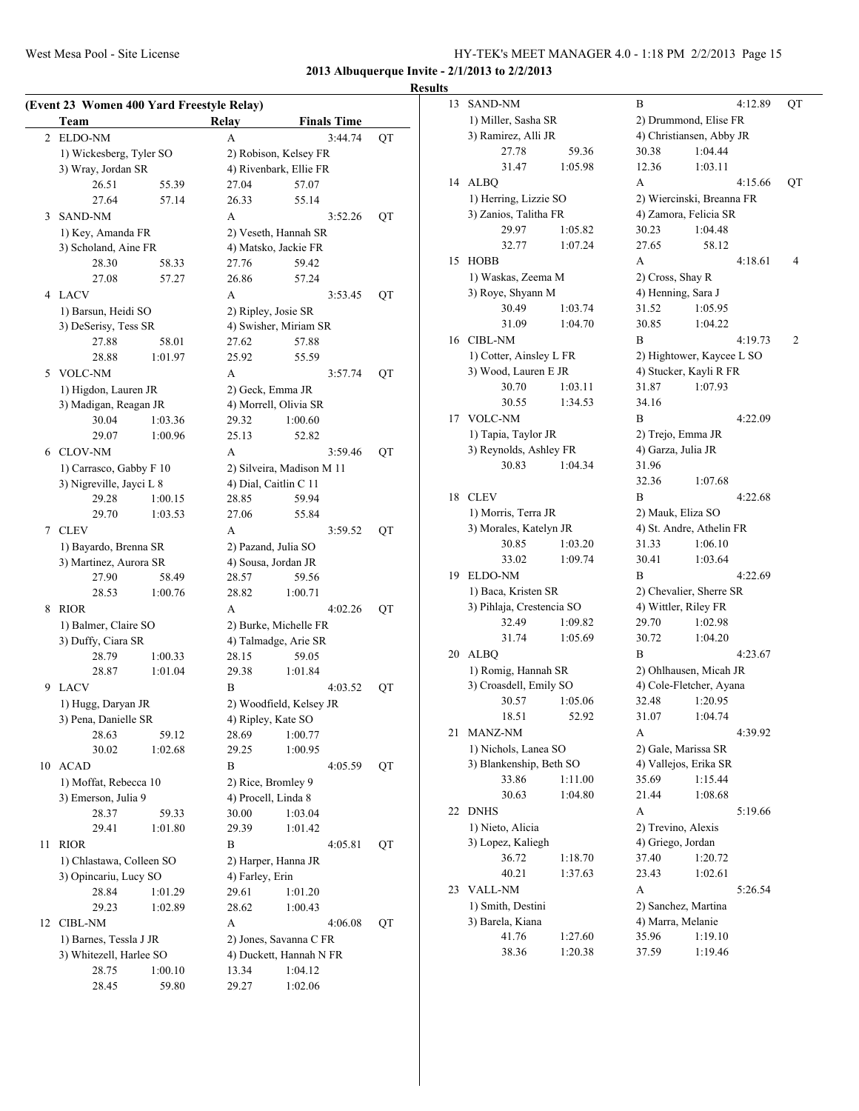# **Results**<br>13 S.

|    | Team                                          |         | Relay           | <b>Finals Time</b>             |    |
|----|-----------------------------------------------|---------|-----------------|--------------------------------|----|
| 2  | ELDO-NM                                       |         | A               | 3:44.74                        | QT |
|    | 1) Wickesberg, Tyler SO                       |         |                 | 2) Robison, Kelsey FR          |    |
|    | 3) Wray, Jordan SR                            |         |                 | 4) Rivenbark, Ellie FR         |    |
|    | 26.51                                         | 55.39   | 27.04           | 57.07                          |    |
|    | 27.64                                         | 57.14   | 26.33           | 55.14                          |    |
| 3  | <b>SAND-NM</b>                                |         | A               | 3:52.26                        | QT |
|    | 1) Key, Amanda FR                             |         |                 | 2) Veseth, Hannah SR           |    |
|    | 3) Scholand, Aine FR                          |         |                 | 4) Matsko, Jackie FR           |    |
|    | 28.30                                         | 58.33   | 27.76           | 59.42                          |    |
|    | 27.08                                         | 57.27   | 26.86           | 57.24                          |    |
|    | 4 LACV                                        |         | A               | 3:53.45                        | QT |
|    | 1) Barsun, Heidi SO                           |         |                 | 2) Ripley, Josie SR            |    |
|    | 3) DeSerisy, Tess SR                          |         |                 | 4) Swisher, Miriam SR          |    |
|    | 27.88                                         | 58.01   | 27.62           | 57.88                          |    |
|    | 28.88                                         | 1:01.97 | 25.92           | 55.59                          |    |
| 5  | <b>VOLC-NM</b>                                |         | A               | 3:57.74                        | QT |
|    |                                               |         |                 | 2) Geck, Emma JR               |    |
|    | 1) Higdon, Lauren JR<br>3) Madigan, Reagan JR |         |                 | 4) Morrell, Olivia SR          |    |
|    | 30.04                                         | 1:03.36 | 29.32           | 1:00.60                        |    |
|    | 29.07                                         | 1:00.96 | 25.13           | 52.82                          |    |
|    | 6 CLOV-NM                                     |         | A               | 3:59.46                        | QT |
|    | 1) Carrasco, Gabby F 10                       |         |                 |                                |    |
|    | 3) Nigreville, Jayci L 8                      |         |                 | 2) Silveira, Madison M 11      |    |
|    | 29.28                                         | 1:00.15 | 28.85           | 4) Dial, Caitlin C 11<br>59.94 |    |
|    | 29.70                                         | 1:03.53 | 27.06           | 55.84                          |    |
|    |                                               |         | A               |                                |    |
| 7  | <b>CLEV</b>                                   |         |                 | 3:59.52                        | QT |
|    | 1) Bayardo, Brenna SR                         |         |                 | 2) Pazand, Julia SO            |    |
|    | 3) Martinez, Aurora SR                        |         |                 | 4) Sousa, Jordan JR            |    |
|    | 27.90                                         | 58.49   | 28.57           | 59.56                          |    |
|    | 28.53                                         | 1:00.76 | 28.82           | 1:00.71                        |    |
| 8  | <b>RIOR</b>                                   |         | A               | 4:02.26                        | QT |
|    | 1) Balmer, Claire SO                          |         |                 | 2) Burke, Michelle FR          |    |
|    | 3) Duffy, Ciara SR                            |         |                 | 4) Talmadge, Arie SR           |    |
|    | 28.79                                         | 1:00.33 | 28.15           | 59.05                          |    |
|    | 28.87                                         | 1:01.04 | 29.38           | 1:01.84                        |    |
| 9. | LACV                                          |         | B               | 4:03.52                        | QT |
|    | 1) Hugg, Daryan JR                            |         |                 | 2) Woodfield, Kelsey JR        |    |
|    | 3) Pena, Danielle SR                          |         |                 | 4) Ripley, Kate SO             |    |
|    | 28.63                                         | 59.12   | 28.69           | 1:00.77                        |    |
|    | 30.02                                         | 1:02.68 | 29.25           | 1:00.95                        |    |
| 10 | <b>ACAD</b>                                   |         | B               | 4:05.59                        | QT |
|    | 1) Moffat, Rebecca 10                         |         |                 | 2) Rice, Bromley 9             |    |
|    | 3) Emerson, Julia 9                           |         |                 | 4) Procell, Linda 8            |    |
|    | 28.37                                         | 59.33   | 30.00           | 1:03.04                        |    |
|    | 29.41                                         | 1:01.80 | 29.39           | 1:01.42                        |    |
| 11 | <b>RIOR</b>                                   |         | B               | 4:05.81                        | QT |
|    | 1) Chlastawa, Colleen SO                      |         |                 | 2) Harper, Hanna JR            |    |
|    | 3) Opincariu, Lucy SO                         |         | 4) Farley, Erin |                                |    |
|    | 28.84                                         | 1:01.29 | 29.61           | 1:01.20                        |    |
|    | 29.23                                         | 1:02.89 | 28.62           | 1:00.43                        |    |
| 12 | <b>CIBL-NM</b>                                |         | А               | 4:06.08                        | QT |
|    | 1) Barnes, Tessla J JR                        |         |                 | 2) Jones, Savanna C FR         |    |
|    | 3) Whitezell, Harlee SO                       |         |                 | 4) Duckett, Hannah N FR        |    |
|    | 28.75                                         | 1:00.10 | 13.34           | 1:04.12                        |    |
|    |                                               |         |                 | 1:02.06                        |    |

| 13 | SAND-NM                   |         | В                  | 4:12.89                                      | QT             |  |  |
|----|---------------------------|---------|--------------------|----------------------------------------------|----------------|--|--|
|    | 1) Miller, Sasha SR       |         |                    | 2) Drummond, Elise FR                        |                |  |  |
|    | 3) Ramirez, Alli JR       |         |                    | 4) Christiansen, Abby JR                     |                |  |  |
|    | 27.78                     | 59.36   | 30.38              | 1:04.44                                      |                |  |  |
|    | 31.47                     | 1:05.98 | 12.36              | 1:03.11                                      |                |  |  |
| 14 | <b>ALBQ</b>               |         | A                  | 4:15.66                                      | QT             |  |  |
|    | 1) Herring, Lizzie SO     |         |                    | 2) Wiercinski, Breanna FR                    |                |  |  |
|    | 3) Zanios, Talitha FR     |         |                    | 4) Zamora, Felicia SR                        |                |  |  |
|    | 29.97                     | 1:05.82 | 30.23              | 1:04.48                                      |                |  |  |
|    | 32.77                     | 1:07.24 | 27.65              | 58.12                                        |                |  |  |
| 15 | <b>HOBB</b>               |         | A                  | 4:18.61                                      | $\overline{4}$ |  |  |
|    | 1) Waskas, Zeema M        |         | 2) Cross, Shay R   |                                              |                |  |  |
|    | 3) Roye, Shyann M         |         | 4) Henning, Sara J |                                              |                |  |  |
|    | 30.49                     | 1:03.74 | 31.52              | 1:05.95                                      |                |  |  |
|    | 31.09                     | 1:04.70 | 30.85              | 1:04.22                                      |                |  |  |
| 16 | CIBL-NM                   |         | В                  | 4:19.73                                      | 2              |  |  |
|    | 1) Cotter, Ainsley L FR   |         |                    | 2) Hightower, Kaycee L SO                    |                |  |  |
|    | 3) Wood, Lauren E JR      |         |                    | 4) Stucker, Kayli R FR                       |                |  |  |
|    | 30.70                     | 1:03.11 | 31.87              | 1:07.93                                      |                |  |  |
|    | 30.55                     | 1:34.53 | 34.16              |                                              |                |  |  |
| 17 | <b>VOLC-NM</b>            |         | В                  | 4:22.09                                      |                |  |  |
|    | 1) Tapia, Taylor JR       |         |                    | 2) Trejo, Emma JR                            |                |  |  |
|    | 3) Reynolds, Ashley FR    |         | 4) Garza, Julia JR |                                              |                |  |  |
|    | 30.83                     | 1:04.34 | 31.96              |                                              |                |  |  |
|    |                           |         | 32.36              | 1:07.68                                      |                |  |  |
| 18 | <b>CLEV</b>               |         | B                  | 4:22.68                                      |                |  |  |
|    | 1) Morris, Terra JR       |         |                    | 2) Mauk, Eliza SO                            |                |  |  |
|    | 3) Morales, Katelyn JR    |         |                    | 4) St. Andre, Athelin FR                     |                |  |  |
|    | 30.85                     | 1:03.20 | 31.33              | 1:06.10                                      |                |  |  |
|    | 33.02                     | 1:09.74 | 30.41              | 1:03.64                                      |                |  |  |
| 19 | ELDO-NM                   |         | B                  | 4:22.69                                      |                |  |  |
|    | 1) Baca, Kristen SR       |         |                    | 2) Chevalier, Sherre SR                      |                |  |  |
|    | 3) Pihlaja, Crestencia SO |         |                    | 4) Wittler, Riley FR                         |                |  |  |
|    | 32.49                     | 1:09.82 | 29.70              | 1:02.98                                      |                |  |  |
|    | 31.74                     | 1:05.69 | 30.72              | 1:04.20                                      |                |  |  |
| 20 | <b>ALBQ</b>               |         | В                  | 4:23.67                                      |                |  |  |
|    | 1) Romig, Hannah SR       |         |                    | 2) Ohlhausen, Micah JR                       |                |  |  |
|    | 3) Croasdell, Emily SO    |         |                    | 4) Cole-Fletcher, Ayana                      |                |  |  |
|    | 30.57                     | 1:05.06 | 32.48              | 1:20.95                                      |                |  |  |
|    | 18.51                     | 52.92   | 31.07              | 1:04.74                                      |                |  |  |
| 21 | MANZ-NM                   |         | А                  | 4:39.92                                      |                |  |  |
|    | 1) Nichols, Lanea SO      |         |                    |                                              |                |  |  |
|    | 3) Blankenship, Beth SO   |         |                    | 2) Gale, Marissa SR<br>4) Vallejos, Erika SR |                |  |  |
|    | 33.86                     | 1:11.00 | 35.69              | 1:15.44                                      |                |  |  |
|    | 30.63                     | 1:04.80 | 21.44              | 1:08.68                                      |                |  |  |
| 22 | <b>DNHS</b>               |         | А                  | 5:19.66                                      |                |  |  |
|    | 1) Nieto, Alicia          |         | 2) Trevino, Alexis |                                              |                |  |  |
|    | 3) Lopez, Kaliegh         |         | 4) Griego, Jordan  |                                              |                |  |  |
|    | 36.72                     | 1:18.70 | 37.40              | 1:20.72                                      |                |  |  |
|    | 40.21                     | 1:37.63 | 23.43              | 1:02.61                                      |                |  |  |
| 23 | <b>VALL-NM</b>            |         | А                  | 5:26.54                                      |                |  |  |
|    | 1) Smith, Destini         |         |                    | 2) Sanchez, Martina                          |                |  |  |
|    | 3) Barela, Kiana          |         | 4) Marra, Melanie  |                                              |                |  |  |
|    | 41.76                     | 1:27.60 | 35.96              | 1:19.10                                      |                |  |  |
|    | 38.36                     | 1:20.38 | 37.59              | 1:19.46                                      |                |  |  |
|    |                           |         |                    |                                              |                |  |  |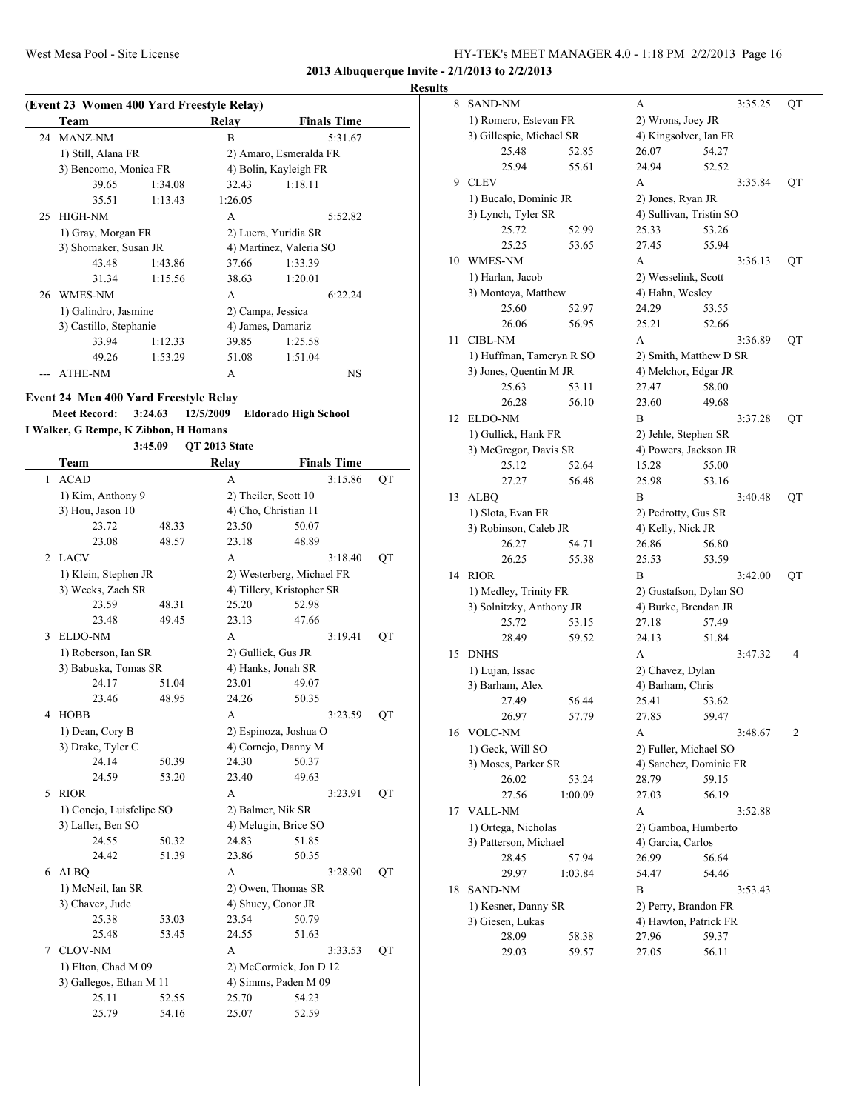**2013 Albuquerque Invite - 2/1/2013 to 2/2/2013**

#### **Results**

|    | Team                   |         | Relay             | <b>Finals Time</b>      |
|----|------------------------|---------|-------------------|-------------------------|
|    | 24 MANZ-NM             |         | B                 | 5:31.67                 |
|    | 1) Still, Alana FR     |         |                   | 2) Amaro, Esmeralda FR  |
|    | 3) Bencomo, Monica FR  |         |                   | 4) Bolin, Kayleigh FR   |
|    | 39.65                  | 1:34.08 | 32.43             | 1:18.11                 |
|    | 35.51                  | 1:13.43 | 1:26.05           |                         |
| 25 | <b>HIGH-NM</b>         |         | A                 | 5:52.82                 |
|    | 1) Gray, Morgan FR     |         |                   | 2) Luera, Yuridia SR    |
|    | 3) Shomaker, Susan JR  |         |                   | 4) Martinez, Valeria SO |
|    | 43.48                  | 1:43.86 | 37.66             | 1:33.39                 |
|    | 31.34                  | 1:15.56 | 38.63             | 1:20.01                 |
|    | 26 WMES-NM             |         | A                 | 6:22.24                 |
|    | 1) Galindro, Jasmine   |         | 2) Campa, Jessica |                         |
|    | 3) Castillo, Stephanie |         |                   | 4) James, Damariz       |
|    | 33.94                  | 1:12.33 | 39.85             | 1:25.58                 |
|    | 49.26                  | 1:53.29 | 51.08             | 1:51.04                 |
|    | <b>ATHE-NM</b>         |         | A                 | NS                      |

**Meet Record: 3:24.63 12/5/2009 Eldorado High School**

**I Walker, G Rempe, K Zibbon, H Homans 3:45.09 QT 2013 State**

|   | Team                     |       | Relay                     |       | <b>Finals Time</b> |    |
|---|--------------------------|-------|---------------------------|-------|--------------------|----|
| 1 | <b>ACAD</b>              |       | A                         |       | 3:15.86            | QT |
|   | 1) Kim, Anthony 9        |       | 2) Theiler, Scott 10      |       |                    |    |
|   | 3) Hou, Jason 10         |       | 4) Cho, Christian 11      |       |                    |    |
|   | 23.72                    | 48.33 | 23.50                     | 50.07 |                    |    |
|   | 23.08                    | 48.57 | 23.18                     | 48.89 |                    |    |
| 2 | <b>LACV</b>              |       | A                         |       | 3:18.40            | QT |
|   | 1) Klein, Stephen JR     |       | 2) Westerberg, Michael FR |       |                    |    |
|   | 3) Weeks, Zach SR        |       | 4) Tillery, Kristopher SR |       |                    |    |
|   | 23.59                    | 48.31 | 25.20                     | 52.98 |                    |    |
|   | 23.48                    | 49.45 | 23.13                     | 47.66 |                    |    |
| 3 | ELDO-NM                  |       | A                         |       | 3:19.41            | QT |
|   | 1) Roberson, Ian SR      |       | 2) Gullick, Gus JR        |       |                    |    |
|   | 3) Babuska, Tomas SR     |       | 4) Hanks, Jonah SR        |       |                    |    |
|   | 24.17                    | 51.04 | 23.01                     | 49.07 |                    |    |
|   | 23.46                    | 48.95 | 24.26                     | 50.35 |                    |    |
| 4 | <b>HOBB</b>              |       | A                         |       | 3:23.59            | QT |
|   | 1) Dean, Cory B          |       | 2) Espinoza, Joshua O     |       |                    |    |
|   | 3) Drake, Tyler C        |       | 4) Cornejo, Danny M       |       |                    |    |
|   | 24.14                    | 50.39 | 24.30                     | 50.37 |                    |    |
|   | 24.59                    | 53.20 | 23.40                     | 49.63 |                    |    |
| 5 | <b>RIOR</b>              |       | A                         |       | 3:23.91            | QT |
|   | 1) Conejo, Luisfelipe SO |       | 2) Balmer, Nik SR         |       |                    |    |
|   | 3) Lafler, Ben SO        |       | 4) Melugin, Brice SO      |       |                    |    |
|   | 24.55                    | 50.32 | 24.83                     | 51.85 |                    |    |
|   | 24.42                    | 51.39 | 23.86                     | 50.35 |                    |    |
| 6 | <b>ALBQ</b>              |       | A                         |       | 3:28.90            | QT |
|   | 1) McNeil, Ian SR        |       | 2) Owen, Thomas SR        |       |                    |    |
|   | 3) Chavez, Jude          |       | 4) Shuey, Conor JR        |       |                    |    |
|   | 25.38                    | 53.03 | 23.54                     | 50.79 |                    |    |
|   | 25.48                    | 53.45 | 24.55                     | 51.63 |                    |    |
| 7 | <b>CLOV-NM</b>           |       | A                         |       | 3:33.53            | QT |
|   | 1) Elton, Chad M 09      |       | 2) McCormick, Jon D 12    |       |                    |    |
|   | 3) Gallegos, Ethan M 11  |       | 4) Simms, Paden M 09      |       |                    |    |
|   | 25.11                    | 52.55 | 25.70                     | 54.23 |                    |    |
|   | 25.79                    | 54.16 | 25.07                     | 52.59 |                    |    |

| 8  | <b>SAND-NM</b>                                    |         | А                                             | 3:35.25                | QT |  |  |
|----|---------------------------------------------------|---------|-----------------------------------------------|------------------------|----|--|--|
|    | 1) Romero, Estevan FR                             |         | 2) Wrons, Joey JR                             |                        |    |  |  |
|    | 3) Gillespie, Michael SR                          |         | 4) Kingsolver, Ian FR                         |                        |    |  |  |
|    | 25.48                                             | 52.85   | 26.07                                         | 54.27                  |    |  |  |
|    | 25.94                                             | 55.61   | 24.94                                         | 52.52                  |    |  |  |
| 9  | <b>CLEV</b>                                       |         | A                                             | 3:35.84                | QT |  |  |
|    | 1) Bucalo, Dominic JR                             |         | 2) Jones, Ryan JR                             |                        |    |  |  |
|    | 3) Lynch, Tyler SR                                |         | 4) Sullivan, Tristin SO                       |                        |    |  |  |
|    | 25.72                                             | 52.99   | 25.33                                         | 53.26                  |    |  |  |
|    | 25.25                                             | 53.65   | 27.45                                         | 55.94                  |    |  |  |
| 10 | WMES-NM                                           |         | А                                             | 3:36.13                | QT |  |  |
|    | 1) Harlan, Jacob                                  |         | 2) Wesselink, Scott                           |                        |    |  |  |
|    | 3) Montoya, Matthew                               |         | 4) Hahn, Wesley                               |                        |    |  |  |
|    | 25.60                                             | 52.97   | 24.29                                         | 53.55                  |    |  |  |
|    | 26.06                                             | 56.95   | 25.21                                         | 52.66                  |    |  |  |
| 11 | <b>CIBL-NM</b>                                    |         | A                                             | 3:36.89                | QT |  |  |
|    | 1) Huffman, Tameryn R SO                          |         |                                               | 2) Smith, Matthew D SR |    |  |  |
|    | 3) Jones, Quentin M JR                            |         | 4) Melchor, Edgar JR                          |                        |    |  |  |
|    | 25.63                                             | 53.11   | 27.47                                         | 58.00                  |    |  |  |
|    | 26.28                                             | 56.10   | 23.60                                         | 49.68                  |    |  |  |
| 12 | <b>ELDO-NM</b>                                    |         | B                                             | 3:37.28                | QT |  |  |
|    | 1) Gullick, Hank FR                               |         |                                               |                        |    |  |  |
|    | 3) McGregor, Davis SR                             |         | 2) Jehle, Stephen SR<br>4) Powers, Jackson JR |                        |    |  |  |
|    | 25.12                                             | 52.64   | 15.28                                         | 55.00                  |    |  |  |
|    | 27.27                                             | 56.48   | 25.98                                         | 53.16                  |    |  |  |
| 13 | <b>ALBQ</b>                                       |         | B                                             | 3:40.48                | QT |  |  |
|    |                                                   |         |                                               |                        |    |  |  |
|    | 1) Slota, Evan FR<br>3) Robinson, Caleb JR        |         | 2) Pedrotty, Gus SR                           |                        |    |  |  |
|    | 26.27                                             | 54.71   | 4) Kelly, Nick JR<br>26.86                    | 56.80                  |    |  |  |
|    | 26.25                                             | 55.38   | 25.53                                         | 53.59                  |    |  |  |
| 14 | <b>RIOR</b>                                       |         | B                                             | 3:42.00                | QT |  |  |
|    |                                                   |         |                                               |                        |    |  |  |
|    | 1) Medley, Trinity FR<br>3) Solnitzky, Anthony JR |         | 4) Burke, Brendan JR                          | 2) Gustafson, Dylan SO |    |  |  |
|    | 25.72                                             | 53.15   | 27.18                                         | 57.49                  |    |  |  |
|    | 28.49                                             | 59.52   | 24.13                                         | 51.84                  |    |  |  |
| 15 | <b>DNHS</b>                                       |         | A                                             | 3:47.32                | 4  |  |  |
|    | 1) Lujan, Issac                                   |         |                                               |                        |    |  |  |
|    |                                                   |         | 2) Chavez, Dylan<br>4) Barham, Chris          |                        |    |  |  |
|    | 3) Barham, Alex                                   | 56.44   | 25.41                                         | 53.62                  |    |  |  |
|    | 27.49<br>26.97                                    | 57.79   | 27.85                                         | 59.47                  |    |  |  |
|    |                                                   |         |                                               |                        |    |  |  |
| 16 | <b>VOLC-NM</b>                                    |         | А                                             | 3:48.67                | 2  |  |  |
|    | 1) Geck, Will SO                                  |         | 2) Fuller, Michael SO                         | 4) Sanchez, Dominic FR |    |  |  |
|    | 3) Moses, Parker SR                               |         |                                               |                        |    |  |  |
|    | 26.02                                             | 53.24   | 28.79                                         | 59.15                  |    |  |  |
|    | 27.56                                             | 1:00.09 | 27.03                                         | 56.19                  |    |  |  |
| 17 | <b>VALL-NM</b>                                    |         | А                                             | 3:52.88                |    |  |  |
|    | 1) Ortega, Nicholas                               |         | 2) Gamboa, Humberto                           |                        |    |  |  |
|    | 3) Patterson, Michael                             |         | 4) Garcia, Carlos                             |                        |    |  |  |
|    | 28.45                                             | 57.94   | 26.99                                         | 56.64                  |    |  |  |
|    | 29.97                                             | 1:03.84 | 54.47                                         | 54.46                  |    |  |  |
| 18 | <b>SAND-NM</b>                                    |         | B                                             | 3:53.43                |    |  |  |
|    | 1) Kesner, Danny SR                               |         | 2) Perry, Brandon FR                          |                        |    |  |  |
|    | 3) Giesen, Lukas                                  |         | 4) Hawton, Patrick FR                         |                        |    |  |  |
|    | 28.09                                             | 58.38   | 27.96                                         | 59.37                  |    |  |  |
|    | 29.03                                             | 59.57   | 27.05                                         | 56.11                  |    |  |  |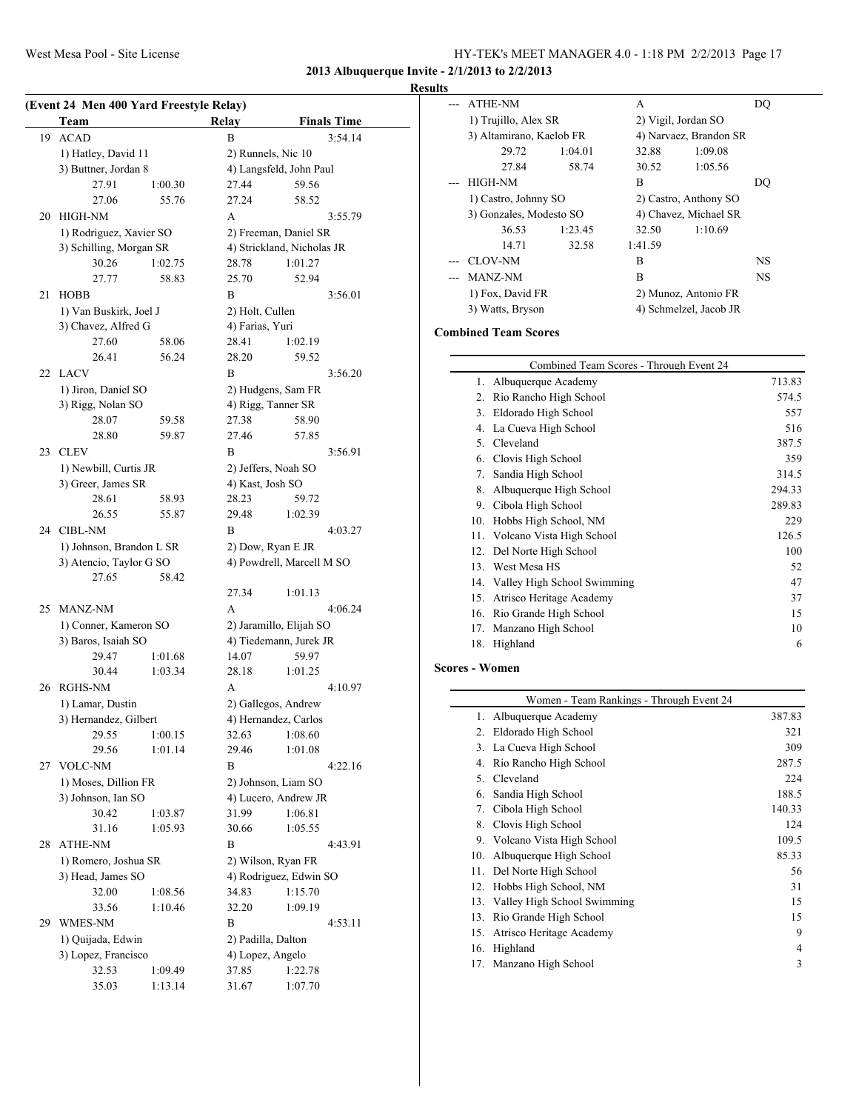# **Results**

|     | (Event 24 Men 400 Yard Freestyle Relay) |         |                    |                            |  |  |
|-----|-----------------------------------------|---------|--------------------|----------------------------|--|--|
|     | Team                                    |         | Relay              | <b>Finals Time</b>         |  |  |
| 19  | <b>ACAD</b>                             |         | B                  | 3:54.14                    |  |  |
|     | 1) Hatley, David 11                     |         | 2) Runnels, Nic 10 |                            |  |  |
|     | 3) Buttner, Jordan 8                    |         |                    | 4) Langsfeld, John Paul    |  |  |
|     | 27.91                                   | 1:00.30 | 27.44              | 59.56                      |  |  |
|     | 27.06                                   | 55.76   | 27.24              | 58.52                      |  |  |
|     | 20 HIGH-NM                              |         | A                  | 3:55.79                    |  |  |
|     | 1) Rodriguez, Xavier SO                 |         |                    | 2) Freeman, Daniel SR      |  |  |
|     | 3) Schilling, Morgan SR                 |         |                    | 4) Strickland, Nicholas JR |  |  |
|     | 30.26                                   | 1:02.75 | 28.78              | 1:01.27                    |  |  |
|     | 27.77                                   | 58.83   | 25.70              | 52.94                      |  |  |
| 21  | <b>HOBB</b>                             |         | B                  | 3:56.01                    |  |  |
|     | 1) Van Buskirk, Joel J                  |         | 2) Holt, Cullen    |                            |  |  |
|     | 3) Chavez, Alfred G                     |         | 4) Farias, Yuri    |                            |  |  |
|     | 27.60                                   | 58.06   | 28.41              | 1:02.19                    |  |  |
|     | 26.41                                   | 56.24   | 28.20              | 59.52                      |  |  |
|     | 22 LACV                                 |         | B                  | 3:56.20                    |  |  |
|     | 1) Jiron, Daniel SO                     |         |                    | 2) Hudgens, Sam FR         |  |  |
|     | 3) Rigg, Nolan SO                       |         |                    | 4) Rigg, Tanner SR         |  |  |
|     | 28.07                                   | 59.58   | 27.38              | 58.90                      |  |  |
|     | 28.80                                   | 59.87   | 27.46              | 57.85                      |  |  |
| 23  | <b>CLEV</b>                             |         | B                  | 3:56.91                    |  |  |
|     | 1) Newbill, Curtis JR                   |         |                    | 2) Jeffers, Noah SO        |  |  |
|     | 3) Greer, James SR                      |         | 4) Kast, Josh SO   |                            |  |  |
|     | 28.61                                   | 58.93   | 28.23              | 59.72                      |  |  |
|     | 26.55                                   | 55.87   | 29.48              | 1:02.39                    |  |  |
|     | 24 CIBL-NM                              |         | B                  | 4:03.27                    |  |  |
|     | 1) Johnson, Brandon L SR                |         |                    | 2) Dow, Ryan E JR          |  |  |
|     | 3) Atencio, Taylor G SO                 |         |                    | 4) Powdrell, Marcell M SO  |  |  |
|     | 27.65                                   | 58.42   |                    |                            |  |  |
|     |                                         |         | 27.34              | 1:01.13                    |  |  |
| 25  | <b>MANZ-NM</b>                          |         | A                  | 4:06.24                    |  |  |
|     | 1) Conner, Kameron SO                   |         |                    | 2) Jaramillo, Elijah SO    |  |  |
|     | 3) Baros, Isaiah SO                     |         |                    | 4) Tiedemann, Jurek JR     |  |  |
|     | 29.47                                   | 1:01.68 | 14.07              | 59.97                      |  |  |
|     | 30.44                                   | 1:03.34 | 28.18              | 1:01.25                    |  |  |
| 26  | RGHS-NM                                 |         | A                  | 4:10.97                    |  |  |
|     | 1) Lamar, Dustin                        |         |                    | 2) Gallegos, Andrew        |  |  |
|     | 3) Hernandez, Gilbert                   |         |                    | 4) Hernandez, Carlos       |  |  |
|     | 29.55                                   | 1:00.15 | 32.63              | 1:08.60                    |  |  |
|     | 29.56                                   | 1:01.14 | 29.46              | 1:01.08                    |  |  |
| 27  | <b>VOLC-NM</b>                          |         | В                  | 4:22.16                    |  |  |
|     | 1) Moses, Dillion FR                    |         |                    | 2) Johnson, Liam SO        |  |  |
|     | 3) Johnson, Ian SO                      |         |                    | 4) Lucero, Andrew JR       |  |  |
|     | 30.42                                   | 1:03.87 | 31.99              | 1:06.81                    |  |  |
|     | 31.16                                   | 1:05.93 | 30.66              | 1:05.55                    |  |  |
| 28  | ATHE-NM                                 |         | B                  | 4:43.91                    |  |  |
|     | 1) Romero, Joshua SR                    |         |                    | 2) Wilson, Ryan FR         |  |  |
|     | 3) Head, James SO                       |         |                    | 4) Rodriguez, Edwin SO     |  |  |
|     | 32.00                                   | 1:08.56 | 34.83              | 1:15.70                    |  |  |
|     | 33.56                                   | 1:10.46 | 32.20              | 1:09.19                    |  |  |
| 29. | WMES-NM                                 |         | B                  | 4:53.11                    |  |  |
|     | 1) Quijada, Edwin                       |         | 2) Padilla, Dalton |                            |  |  |
|     | 3) Lopez, Francisco                     |         | 4) Lopez, Angelo   |                            |  |  |
|     | 32.53                                   | 1:09.49 | 37.85              | 1:22.78                    |  |  |
|     | 35.03                                   | 1:13.14 | 31.67              | 1:07.70                    |  |  |
|     |                                         |         |                    |                            |  |  |

| э |                          |         |                     |                        |    |
|---|--------------------------|---------|---------------------|------------------------|----|
|   | <b>ATHE-NM</b>           |         | A                   |                        | DO |
|   | 1) Trujillo, Alex SR     |         | 2) Vigil, Jordan SO |                        |    |
|   | 3) Altamirano, Kaelob FR |         |                     | 4) Narvaez, Brandon SR |    |
|   | 29.72                    | 1:04.01 | 32.88               | 1:09.08                |    |
|   | 27.84                    | 58.74   | 30.52               | 1:05.56                |    |
|   | <b>HIGH-NM</b>           |         | B                   |                        | DO |
|   | 1) Castro, Johnny SO     |         |                     | 2) Castro, Anthony SO  |    |
|   | 3) Gonzales, Modesto SO  |         |                     | 4) Chavez, Michael SR  |    |
|   | 36.53                    | 1:23.45 | 32.50               | 1:10.69                |    |
|   | 14.71                    | 32.58   | 1:41.59             |                        |    |
|   | <b>CLOV-NM</b>           |         | B                   |                        | NS |
|   | MANZ-NM                  |         | B                   |                        | NS |
|   | 1) Fox, David FR         |         |                     | 2) Munoz, Antonio FR   |    |
|   | 3) Watts, Bryson         |         |                     | 4) Schmelzel, Jacob JR |    |
|   |                          |         |                     |                        |    |

#### **Combined Team Scores**

|                                 | Combined Team Scores - Through Event 24 |        |  |  |  |  |
|---------------------------------|-----------------------------------------|--------|--|--|--|--|
| 1.                              | Albuquerque Academy                     | 713.83 |  |  |  |  |
| $\mathfrak{2}$ .                | Rio Rancho High School                  | 574.5  |  |  |  |  |
| 3.                              | Eldorado High School                    | 557    |  |  |  |  |
| 4.                              | La Cueva High School                    | 516    |  |  |  |  |
|                                 | 5. Cleveland                            | 387.5  |  |  |  |  |
| 6.                              | Clovis High School                      | 359    |  |  |  |  |
| $7_{\scriptscriptstyle{\circ}}$ | Sandia High School                      | 314.5  |  |  |  |  |
| 8.                              | Albuquerque High School                 | 294.33 |  |  |  |  |
| 9.                              | Cibola High School                      | 289.83 |  |  |  |  |
| 10.                             | Hobbs High School, NM                   | 229    |  |  |  |  |
| 11.                             | Volcano Vista High School               | 126.5  |  |  |  |  |
| 12.                             | Del Norte High School                   | 100    |  |  |  |  |
|                                 | 13. West Mesa HS                        | 52     |  |  |  |  |
| 14.                             | Valley High School Swimming             | 47     |  |  |  |  |
| 15.                             | Atrisco Heritage Academy                | 37     |  |  |  |  |
| 16.                             | Rio Grande High School                  | 15     |  |  |  |  |
| 17.                             | Manzano High School                     | 10     |  |  |  |  |
| 18.                             | Highland                                | 6      |  |  |  |  |
|                                 |                                         |        |  |  |  |  |

#### **Scores - Women**

|     | Women - Team Rankings - Through Event 24 |                |  |  |  |  |
|-----|------------------------------------------|----------------|--|--|--|--|
| 1.  | Albuquerque Academy                      | 387.83         |  |  |  |  |
| 2.  | Eldorado High School                     | 321            |  |  |  |  |
| 3.  | La Cueva High School                     | 309            |  |  |  |  |
| 4.  | Rio Rancho High School                   | 287.5          |  |  |  |  |
| 5.  | Cleveland                                | 224            |  |  |  |  |
| 6.  | Sandia High School                       | 188.5          |  |  |  |  |
| 7.  | Cibola High School                       | 140.33         |  |  |  |  |
| 8.  | Clovis High School                       | 124            |  |  |  |  |
| 9.  | Volcano Vista High School                | 109.5          |  |  |  |  |
| 10. | Albuquerque High School                  | 85.33          |  |  |  |  |
| 11. | Del Norte High School                    | 56             |  |  |  |  |
| 12. | Hobbs High School, NM                    | 31             |  |  |  |  |
| 13. | Valley High School Swimming              | 15             |  |  |  |  |
| 13. | Rio Grande High School                   | 15             |  |  |  |  |
| 15. | Atrisco Heritage Academy                 | 9              |  |  |  |  |
| 16. | Highland                                 | $\overline{4}$ |  |  |  |  |
| 17. | Manzano High School                      | 3              |  |  |  |  |
|     |                                          |                |  |  |  |  |